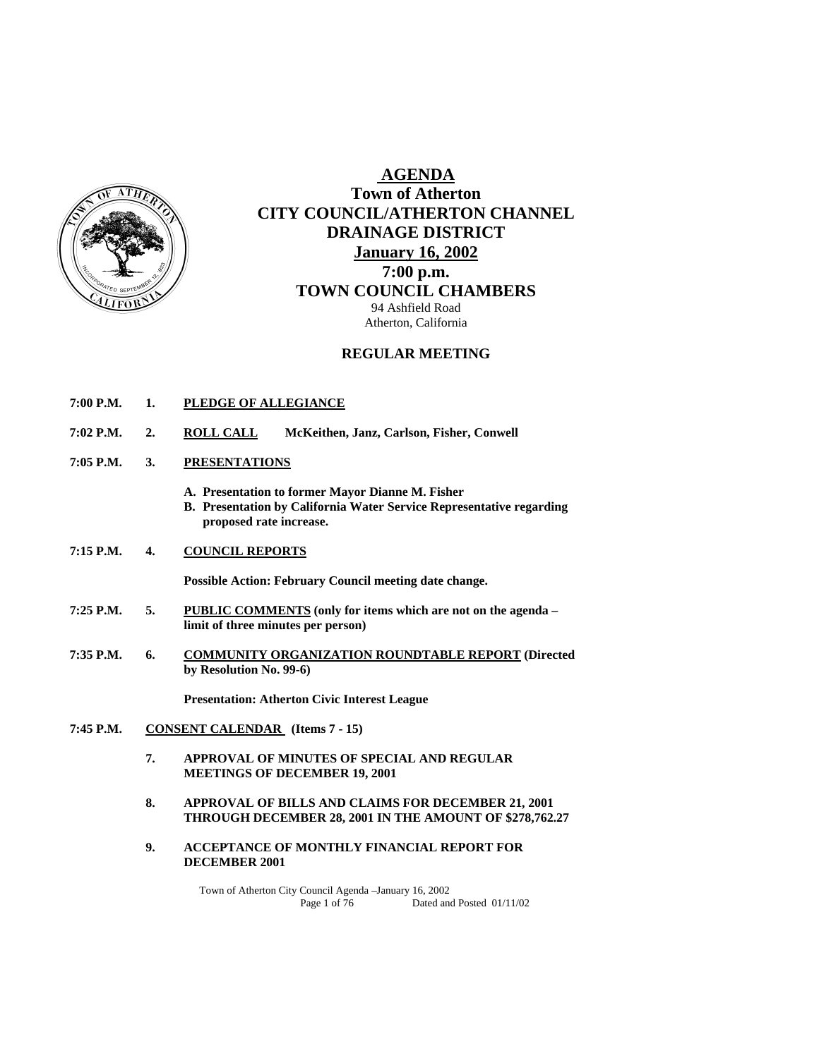

# **AGENDA Town of Atherton CITY COUNCIL/ATHERTON CHANNEL DRAINAGE DISTRICT January 16, 2002 7:00 p.m. TOWN COUNCIL CHAMBERS** 94 Ashfield Road

Atherton, California

# **REGULAR MEETING**

- **7:00 P.M. 1. PLEDGE OF ALLEGIANCE**
- **7:02 P.M. 2. ROLL CALL McKeithen, Janz, Carlson, Fisher, Conwell**
- **7:05 P.M. 3. PRESENTATIONS**
	- **A. Presentation to former Mayor Dianne M. Fisher**
	- **B. Presentation by California Water Service Representative regarding proposed rate increase.**
- **7:15 P.M. 4. COUNCIL REPORTS**

 **Possible Action: February Council meeting date change.** 

- **7:25 P.M. 5. PUBLIC COMMENTS (only for items which are not on the agenda limit of three minutes per person)**
- **7:35 P.M. 6. COMMUNITY ORGANIZATION ROUNDTABLE REPORT (Directed by Resolution No. 99-6)**

 **Presentation: Atherton Civic Interest League** 

- **7:45 P.M. CONSENT CALENDAR (Items 7 15)** 
	- **7. APPROVAL OF MINUTES OF SPECIAL AND REGULAR MEETINGS OF DECEMBER 19, 2001**
	- **8. APPROVAL OF BILLS AND CLAIMS FOR DECEMBER 21, 2001 THROUGH DECEMBER 28, 2001 IN THE AMOUNT OF \$278,762.27**
	- **9. ACCEPTANCE OF MONTHLY FINANCIAL REPORT FOR DECEMBER 2001**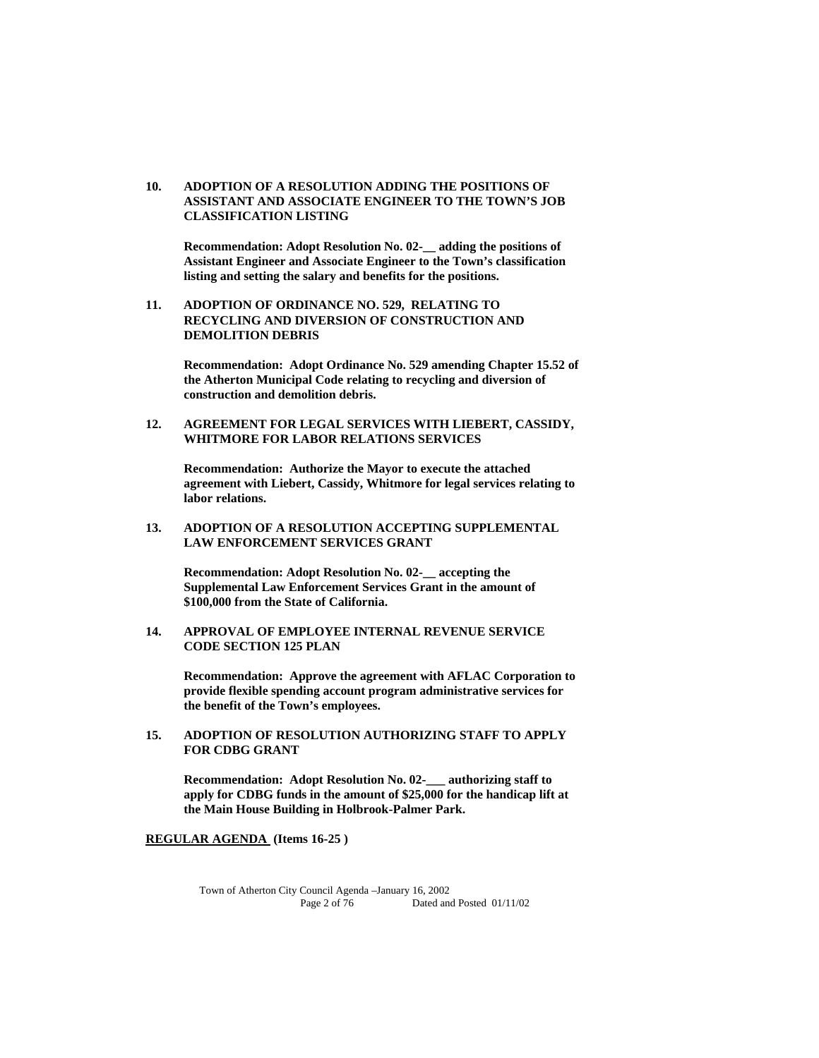### **10. ADOPTION OF A RESOLUTION ADDING THE POSITIONS OF ASSISTANT AND ASSOCIATE ENGINEER TO THE TOWN'S JOB CLASSIFICATION LISTING**

 **Recommendation: Adopt Resolution No. 02-\_\_ adding the positions of Assistant Engineer and Associate Engineer to the Town's classification listing and setting the salary and benefits for the positions.** 

 **11. ADOPTION OF ORDINANCE NO. 529, RELATING TO RECYCLING AND DIVERSION OF CONSTRUCTION AND DEMOLITION DEBRIS** 

 **Recommendation: Adopt Ordinance No. 529 amending Chapter 15.52 of the Atherton Municipal Code relating to recycling and diversion of construction and demolition debris.** 

 **12. AGREEMENT FOR LEGAL SERVICES WITH LIEBERT, CASSIDY, WHITMORE FOR LABOR RELATIONS SERVICES** 

 **Recommendation: Authorize the Mayor to execute the attached agreement with Liebert, Cassidy, Whitmore for legal services relating to labor relations.** 

 **13. ADOPTION OF A RESOLUTION ACCEPTING SUPPLEMENTAL LAW ENFORCEMENT SERVICES GRANT** 

 **Recommendation: Adopt Resolution No. 02-\_\_ accepting the Supplemental Law Enforcement Services Grant in the amount of \$100,000 from the State of California.** 

**14. APPROVAL OF EMPLOYEE INTERNAL REVENUE SERVICE CODE SECTION 125 PLAN** 

**Recommendation: Approve the agreement with AFLAC Corporation to provide flexible spending account program administrative services for the benefit of the Town's employees.** 

 **15. ADOPTION OF RESOLUTION AUTHORIZING STAFF TO APPLY FOR CDBG GRANT** 

 **Recommendation: Adopt Resolution No. 02-\_\_\_ authorizing staff to apply for CDBG funds in the amount of \$25,000 for the handicap lift at the Main House Building in Holbrook-Palmer Park.** 

 **REGULAR AGENDA (Items 16-25 )**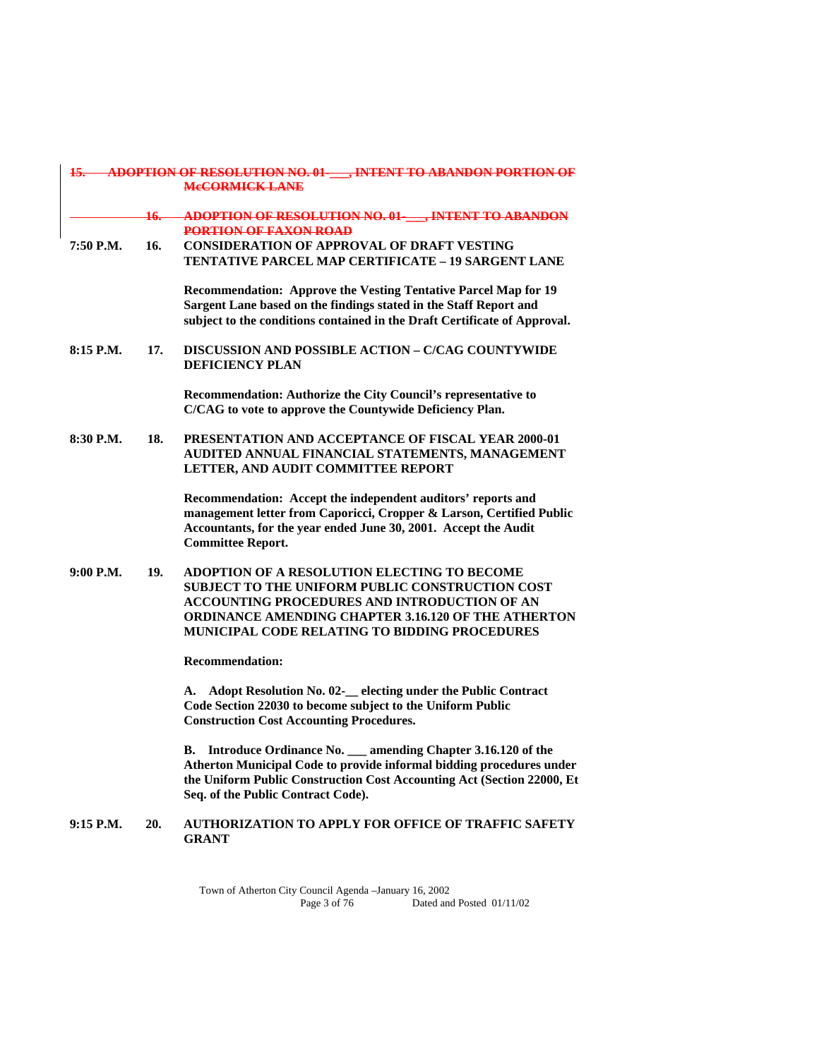| <u> 15. - </u> |                  | <b>ADOPTION OF RESOLUTION NO. 01 FINTENT TO ABANDON PORTION OF</b><br><b>MeCORMICK LANE</b>                                                                                                                                                                          |
|----------------|------------------|----------------------------------------------------------------------------------------------------------------------------------------------------------------------------------------------------------------------------------------------------------------------|
|                | <del>16. –</del> | <b>ADOPTION OF RESOLUTION NO. 01- FINTENT TO ABANDON</b><br><b>PORTION OF FAXON ROAD</b>                                                                                                                                                                             |
| 7:50 P.M.      | 16.              | <b>CONSIDERATION OF APPROVAL OF DRAFT VESTING</b><br><b>TENTATIVE PARCEL MAP CERTIFICATE - 19 SARGENT LANE</b>                                                                                                                                                       |
|                |                  | Recommendation: Approve the Vesting Tentative Parcel Map for 19<br>Sargent Lane based on the findings stated in the Staff Report and<br>subject to the conditions contained in the Draft Certificate of Approval.                                                    |
| 8:15 P.M.      | 17.              | DISCUSSION AND POSSIBLE ACTION - C/CAG COUNTYWIDE<br><b>DEFICIENCY PLAN</b>                                                                                                                                                                                          |
|                |                  | Recommendation: Authorize the City Council's representative to<br>C/CAG to vote to approve the Countywide Deficiency Plan.                                                                                                                                           |
| 8:30 P.M.      | 18.              | <b>PRESENTATION AND ACCEPTANCE OF FISCAL YEAR 2000-01</b><br>AUDITED ANNUAL FINANCIAL STATEMENTS, MANAGEMENT<br>LETTER, AND AUDIT COMMITTEE REPORT                                                                                                                   |
|                |                  | Recommendation: Accept the independent auditors' reports and<br>management letter from Caporicci, Cropper & Larson, Certified Public<br>Accountants, for the year ended June 30, 2001. Accept the Audit<br><b>Committee Report.</b>                                  |
| 9:00 P.M.      | 19.              | ADOPTION OF A RESOLUTION ELECTING TO BECOME<br>SUBJECT TO THE UNIFORM PUBLIC CONSTRUCTION COST<br>ACCOUNTING PROCEDURES AND INTRODUCTION OF AN<br><b>ORDINANCE AMENDING CHAPTER 3.16.120 OF THE ATHERTON</b><br><b>MUNICIPAL CODE RELATING TO BIDDING PROCEDURES</b> |
|                |                  | <b>Recommendation:</b>                                                                                                                                                                                                                                               |
|                |                  | A. Adopt Resolution No. 02-<br>__ electing under the Public Contract<br>Code Section 22030 to become subject to the Uniform Public<br><b>Construction Cost Accounting Procedures.</b>                                                                                |
|                |                  | Introduce Ordinance No. __ amending Chapter 3.16.120 of the<br>В.<br>Atherton Municipal Code to provide informal bidding procedures under<br>the Uniform Public Construction Cost Accounting Act (Section 22000, Et<br>Seq. of the Public Contract Code).            |
| $9:15$ P.M.    | 20.              | AUTHORIZATION TO APPLY FOR OFFICE OF TRAFFIC SAFETY<br><b>GRANT</b>                                                                                                                                                                                                  |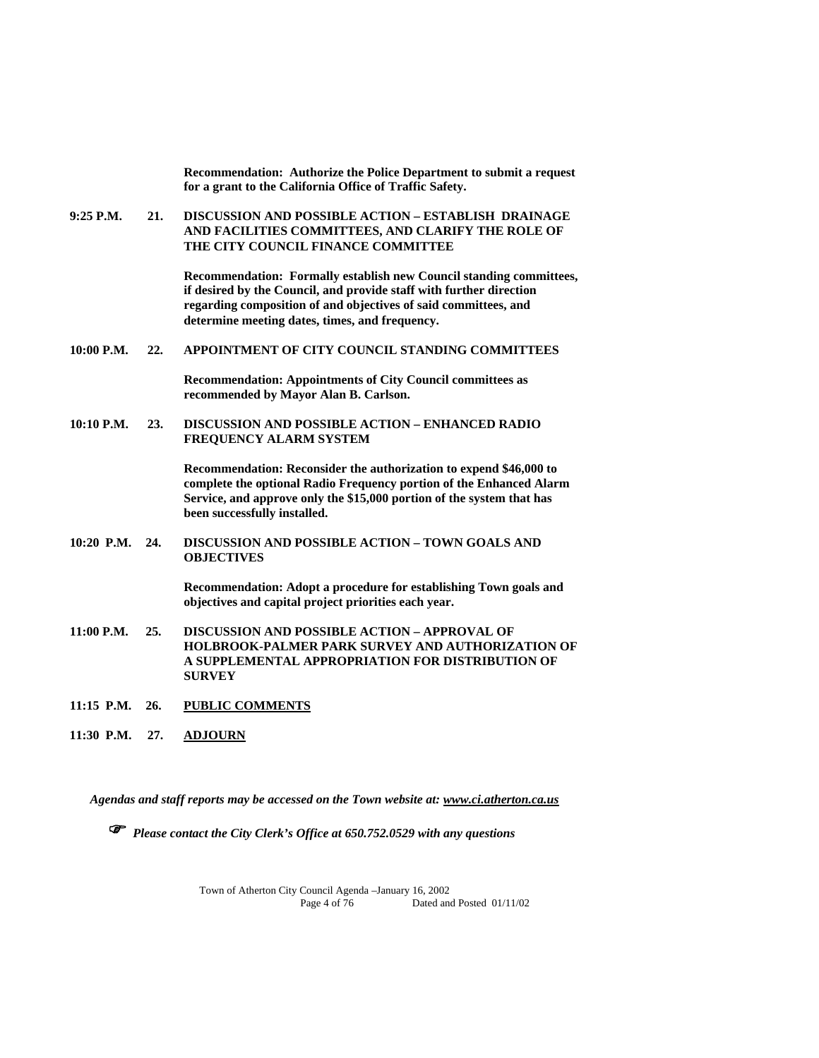**9:25 P.M. 21. DISCUSSION AND POSSIBLE ACTION – ESTABLISH DRAINAGE AND FACILITIES COMMITTEES, AND CLARIFY THE ROLE OF THE CITY COUNCIL FINANCE COMMITTEE Recommendation: Formally establish new Council standing committees, if desired by the Council, and provide staff with further direction regarding composition of and objectives of said committees, and determine meeting dates, times, and frequency. 10:00 P.M. 22. APPOINTMENT OF CITY COUNCIL STANDING COMMITTEES Recommendation: Appointments of City Council committees as recommended by Mayor Alan B. Carlson. 10:10 P.M. 23. DISCUSSION AND POSSIBLE ACTION – ENHANCED RADIO FREQUENCY ALARM SYSTEM Recommendation: Reconsider the authorization to expend \$46,000 to complete the optional Radio Frequency portion of the Enhanced Alarm Service, and approve only the \$15,000 portion of the system that has been successfully installed. 10:20 P.M. 24. DISCUSSION AND POSSIBLE ACTION – TOWN GOALS AND OBJECTIVES Recommendation: Adopt a procedure for establishing Town goals and objectives and capital project priorities each year. 11:00 P.M. 25. DISCUSSION AND POSSIBLE ACTION – APPROVAL OF HOLBROOK-PALMER PARK SURVEY AND AUTHORIZATION OF A SUPPLEMENTAL APPROPRIATION FOR DISTRIBUTION OF SURVEY 11:15 P.M. 26. PUBLIC COMMENTS 11:30 P.M. 27. ADJOURN**

 **Recommendation: Authorize the Police Department to submit a request** 

**for a grant to the California Office of Traffic Safety.** 

*Agendas and staff reports may be accessed on the Town website at: www.ci.atherton.ca.us*

*Please contact the City Clerk's Office at 650.752.0529 with any questions*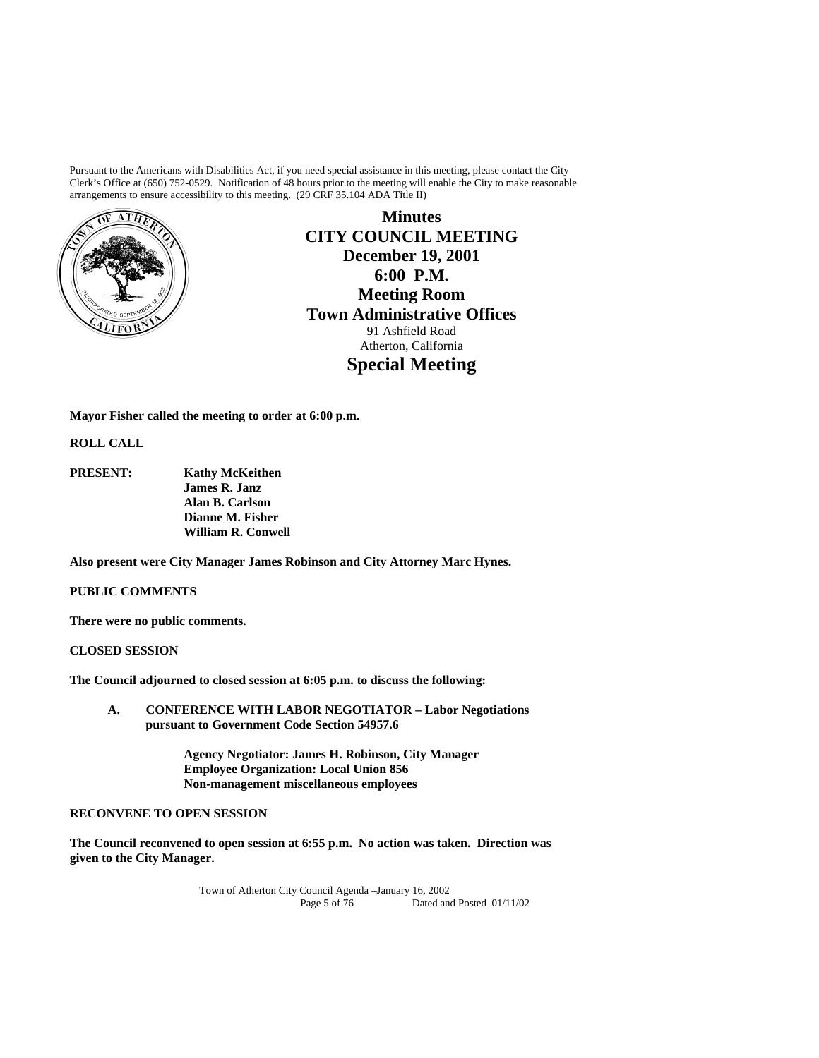Pursuant to the Americans with Disabilities Act, if you need special assistance in this meeting, please contact the City Clerk's Office at (650) 752-0529. Notification of 48 hours prior to the meeting will enable the City to make reasonable arrangements to ensure accessibility to this meeting. (29 CRF 35.104 ADA Title II)



**Minutes CITY COUNCIL MEETING December 19, 2001 6:00 P.M. Meeting Room Town Administrative Offices**  91 Ashfield Road Atherton, California **Special Meeting** 

**Mayor Fisher called the meeting to order at 6:00 p.m.** 

**ROLL CALL** 

**PRESENT: Kathy McKeithen James R. Janz Alan B. Carlson Dianne M. Fisher William R. Conwell** 

**Also present were City Manager James Robinson and City Attorney Marc Hynes.** 

## **PUBLIC COMMENTS**

**There were no public comments.** 

**CLOSED SESSION** 

**The Council adjourned to closed session at 6:05 p.m. to discuss the following:** 

**A. CONFERENCE WITH LABOR NEGOTIATOR – Labor Negotiations pursuant to Government Code Section 54957.6** 

> **Agency Negotiator: James H. Robinson, City Manager Employee Organization: Local Union 856 Non-management miscellaneous employees**

# **RECONVENE TO OPEN SESSION**

**The Council reconvened to open session at 6:55 p.m. No action was taken. Direction was given to the City Manager.**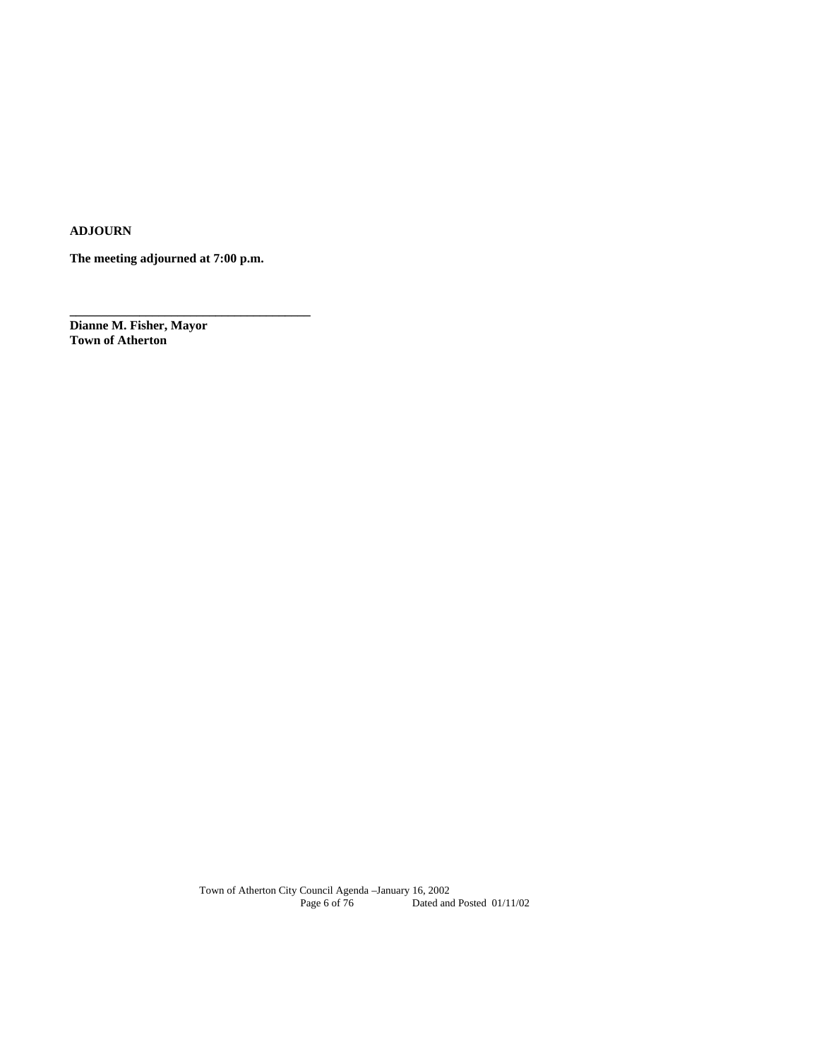**ADJOURN** 

**The meeting adjourned at 7:00 p.m.** 

**\_\_\_\_\_\_\_\_\_\_\_\_\_\_\_\_\_\_\_\_\_\_\_\_\_\_\_\_\_\_\_\_\_\_\_\_\_\_** 

**Dianne M. Fisher, Mayor Town of Atherton**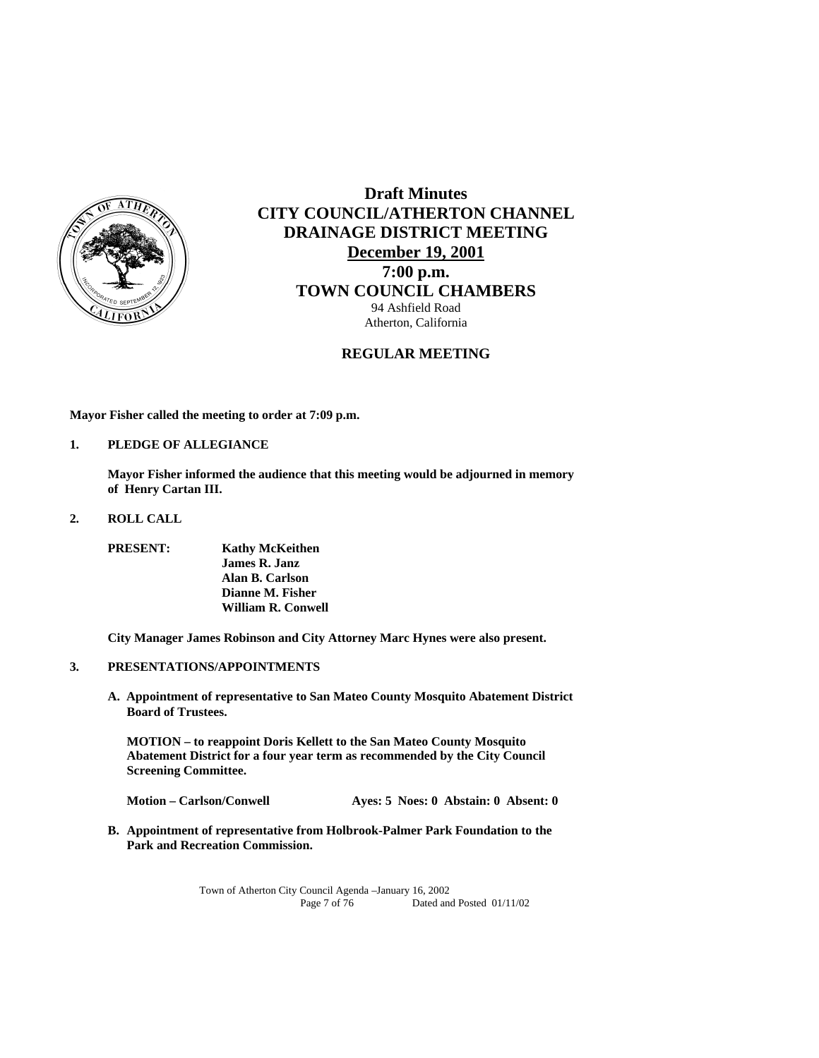

# **Draft Minutes CITY COUNCIL/ATHERTON CHANNEL DRAINAGE DISTRICT MEETING December 19, 2001 7:00 p.m. TOWN COUNCIL CHAMBERS** 94 Ashfield Road Atherton, California

# **REGULAR MEETING**

**Mayor Fisher called the meeting to order at 7:09 p.m.** 

**1. PLEDGE OF ALLEGIANCE** 

 **Mayor Fisher informed the audience that this meeting would be adjourned in memory of Henry Cartan III.** 

**2. ROLL CALL** 

 **PRESENT: Kathy McKeithen James R. Janz Alan B. Carlson Dianne M. Fisher William R. Conwell** 

 **City Manager James Robinson and City Attorney Marc Hynes were also present.** 

- **3. PRESENTATIONS/APPOINTMENTS**
	- **A. Appointment of representative to San Mateo County Mosquito Abatement District Board of Trustees.**

 **MOTION – to reappoint Doris Kellett to the San Mateo County Mosquito Abatement District for a four year term as recommended by the City Council Screening Committee.** 

**Motion – Carlson/Conwell Ayes: 5 Noes: 0 Abstain: 0 Absent: 0** 

**B. Appointment of representative from Holbrook-Palmer Park Foundation to the Park and Recreation Commission.**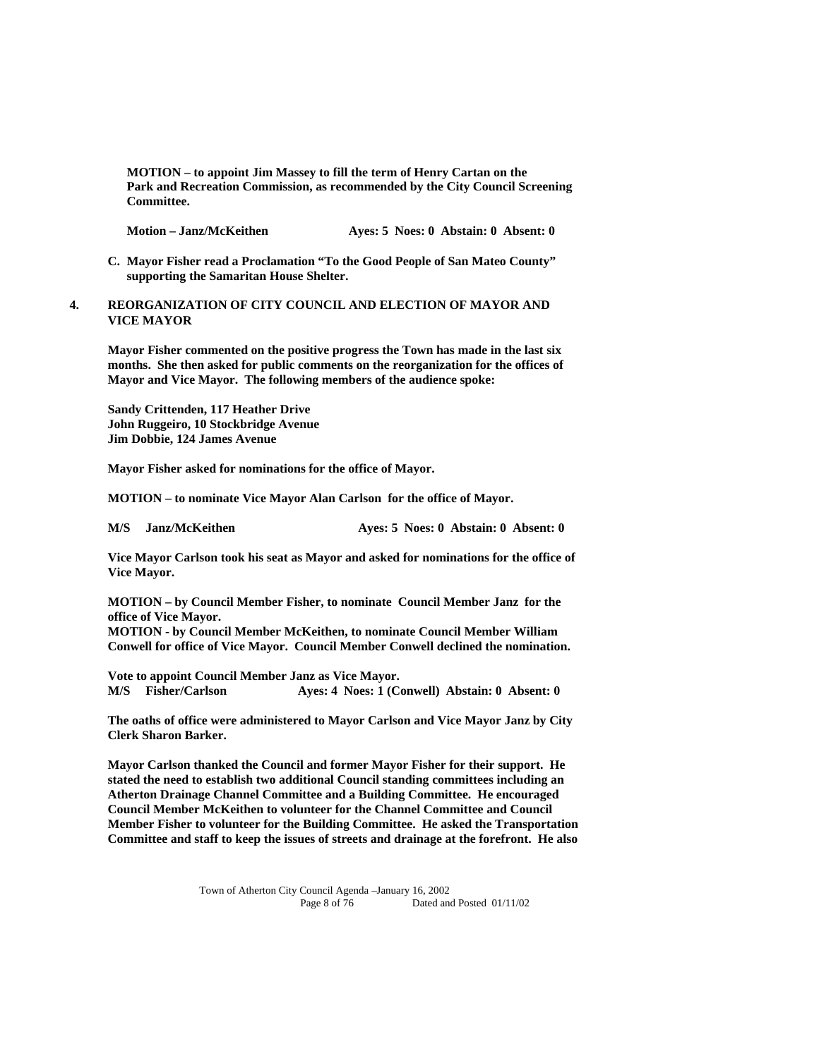**MOTION – to appoint Jim Massey to fill the term of Henry Cartan on the Park and Recreation Commission, as recommended by the City Council Screening Committee.** 

Motion – Janz/McKeithen **Ayes: 5 Noes: 0 Abstain: 0 Absent: 0** 

- **C. Mayor Fisher read a Proclamation "To the Good People of San Mateo County" supporting the Samaritan House Shelter.**
- **4. REORGANIZATION OF CITY COUNCIL AND ELECTION OF MAYOR AND VICE MAYOR**

 **Mayor Fisher commented on the positive progress the Town has made in the last six months. She then asked for public comments on the reorganization for the offices of Mayor and Vice Mayor. The following members of the audience spoke:** 

 **Sandy Crittenden, 117 Heather Drive John Ruggeiro, 10 Stockbridge Avenue Jim Dobbie, 124 James Avenue** 

 **Mayor Fisher asked for nominations for the office of Mayor.** 

 **MOTION – to nominate Vice Mayor Alan Carlson for the office of Mayor.** 

M/S Janz/McKeithen Ayes: 5 Noes: 0 Abstain: 0 Absent: 0

 **Vice Mayor Carlson took his seat as Mayor and asked for nominations for the office of Vice Mayor.** 

 **MOTION – by Council Member Fisher, to nominate Council Member Janz for the office of Vice Mayor.** 

 **MOTION - by Council Member McKeithen, to nominate Council Member William Conwell for office of Vice Mayor. Council Member Conwell declined the nomination.** 

 **Vote to appoint Council Member Janz as Vice Mayor. M/S Fisher/Carlson Ayes: 4 Noes: 1 (Conwell) Abstain: 0 Absent: 0** 

 **The oaths of office were administered to Mayor Carlson and Vice Mayor Janz by City Clerk Sharon Barker.** 

 **Mayor Carlson thanked the Council and former Mayor Fisher for their support. He stated the need to establish two additional Council standing committees including an Atherton Drainage Channel Committee and a Building Committee. He encouraged Council Member McKeithen to volunteer for the Channel Committee and Council Member Fisher to volunteer for the Building Committee. He asked the Transportation Committee and staff to keep the issues of streets and drainage at the forefront. He also**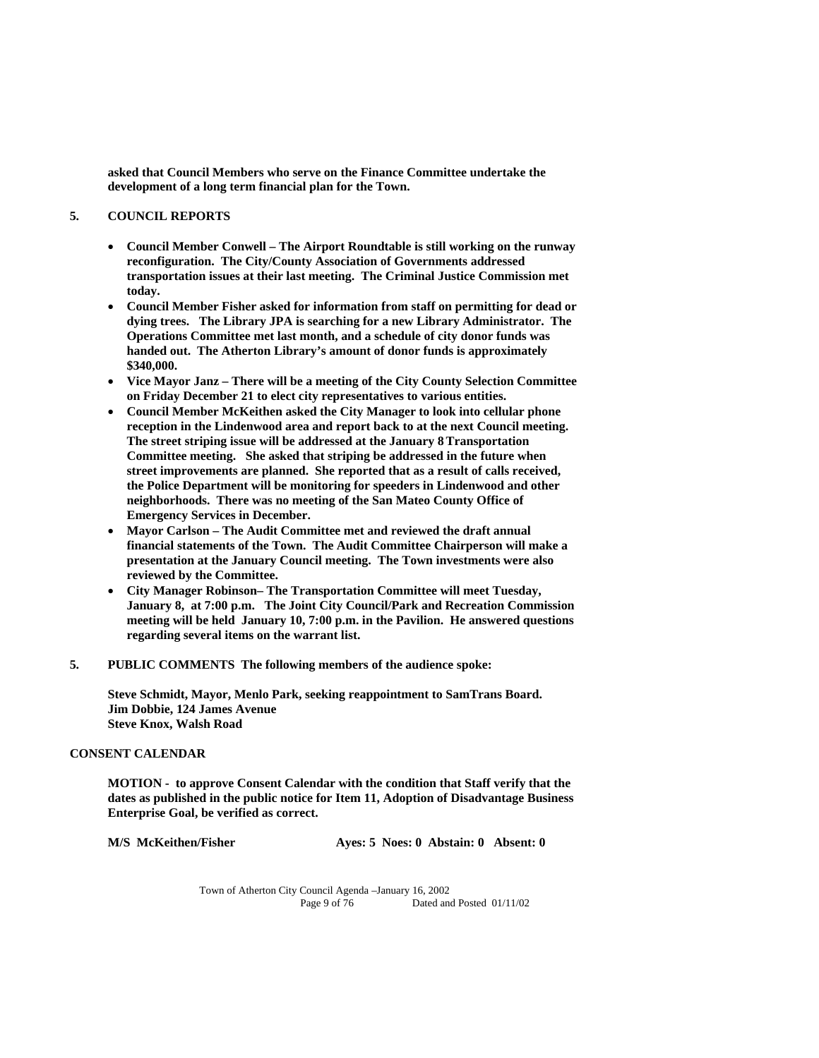**asked that Council Members who serve on the Finance Committee undertake the development of a long term financial plan for the Town.** 

## **5. COUNCIL REPORTS**

- **Council Member Conwell The Airport Roundtable is still working on the runway reconfiguration. The City/County Association of Governments addressed transportation issues at their last meeting. The Criminal Justice Commission met today.**
- **Council Member Fisher asked for information from staff on permitting for dead or dying trees. The Library JPA is searching for a new Library Administrator. The Operations Committee met last month, and a schedule of city donor funds was handed out. The Atherton Library's amount of donor funds is approximately \$340,000.**
- **Vice Mayor Janz There will be a meeting of the City County Selection Committee on Friday December 21 to elect city representatives to various entities.**
- **Council Member McKeithen asked the City Manager to look into cellular phone reception in the Lindenwood area and report back to at the next Council meeting. The street striping issue will be addressed at the January 8Transportation Committee meeting. She asked that striping be addressed in the future when street improvements are planned. She reported that as a result of calls received, the Police Department will be monitoring for speeders in Lindenwood and other neighborhoods. There was no meeting of the San Mateo County Office of Emergency Services in December.**
- **Mayor Carlson The Audit Committee met and reviewed the draft annual financial statements of the Town. The Audit Committee Chairperson will make a presentation at the January Council meeting. The Town investments were also reviewed by the Committee.**
- **City Manager Robinson– The Transportation Committee will meet Tuesday, January 8, at 7:00 p.m. The Joint City Council/Park and Recreation Commission meeting will be held January 10, 7:00 p.m. in the Pavilion. He answered questions regarding several items on the warrant list.**
- **5. PUBLIC COMMENTS The following members of the audience spoke:**

 **Steve Schmidt, Mayor, Menlo Park, seeking reappointment to SamTrans Board. Jim Dobbie, 124 James Avenue Steve Knox, Walsh Road** 

### **CONSENT CALENDAR**

 **MOTION - to approve Consent Calendar with the condition that Staff verify that the dates as published in the public notice for Item 11, Adoption of Disadvantage Business Enterprise Goal, be verified as correct.** 

 **M/S McKeithen/Fisher Ayes: 5 Noes: 0 Abstain: 0 Absent: 0**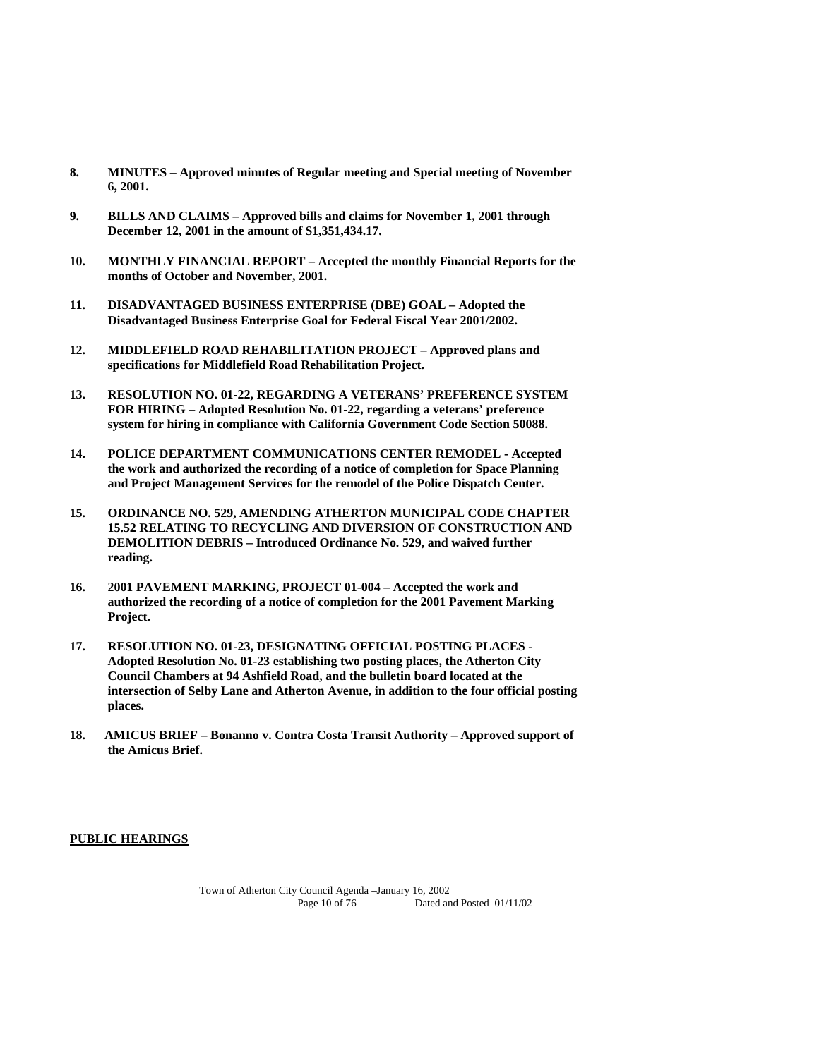- **8. MINUTES Approved minutes of Regular meeting and Special meeting of November 6, 2001.**
- **9. BILLS AND CLAIMS Approved bills and claims for November 1, 2001 through December 12, 2001 in the amount of \$1,351,434.17.**
- **10. MONTHLY FINANCIAL REPORT Accepted the monthly Financial Reports for the months of October and November, 2001.**
- **11. DISADVANTAGED BUSINESS ENTERPRISE (DBE) GOAL Adopted the Disadvantaged Business Enterprise Goal for Federal Fiscal Year 2001/2002.**
- **12. MIDDLEFIELD ROAD REHABILITATION PROJECT Approved plans and specifications for Middlefield Road Rehabilitation Project.**
- **13. RESOLUTION NO. 01-22, REGARDING A VETERANS' PREFERENCE SYSTEM FOR HIRING – Adopted Resolution No. 01-22, regarding a veterans' preference system for hiring in compliance with California Government Code Section 50088.**
- **14. POLICE DEPARTMENT COMMUNICATIONS CENTER REMODEL Accepted the work and authorized the recording of a notice of completion for Space Planning and Project Management Services for the remodel of the Police Dispatch Center.**
- **15. ORDINANCE NO. 529, AMENDING ATHERTON MUNICIPAL CODE CHAPTER 15.52 RELATING TO RECYCLING AND DIVERSION OF CONSTRUCTION AND DEMOLITION DEBRIS – Introduced Ordinance No. 529, and waived further reading.**
- **16. 2001 PAVEMENT MARKING, PROJECT 01-004 Accepted the work and authorized the recording of a notice of completion for the 2001 Pavement Marking Project.**
- **17. RESOLUTION NO. 01-23, DESIGNATING OFFICIAL POSTING PLACES Adopted Resolution No. 01-23 establishing two posting places, the Atherton City Council Chambers at 94 Ashfield Road, and the bulletin board located at the intersection of Selby Lane and Atherton Avenue, in addition to the four official posting places.**
- **18. AMICUS BRIEF Bonanno v. Contra Costa Transit Authority Approved support of the Amicus Brief.**

#### **PUBLIC HEARINGS**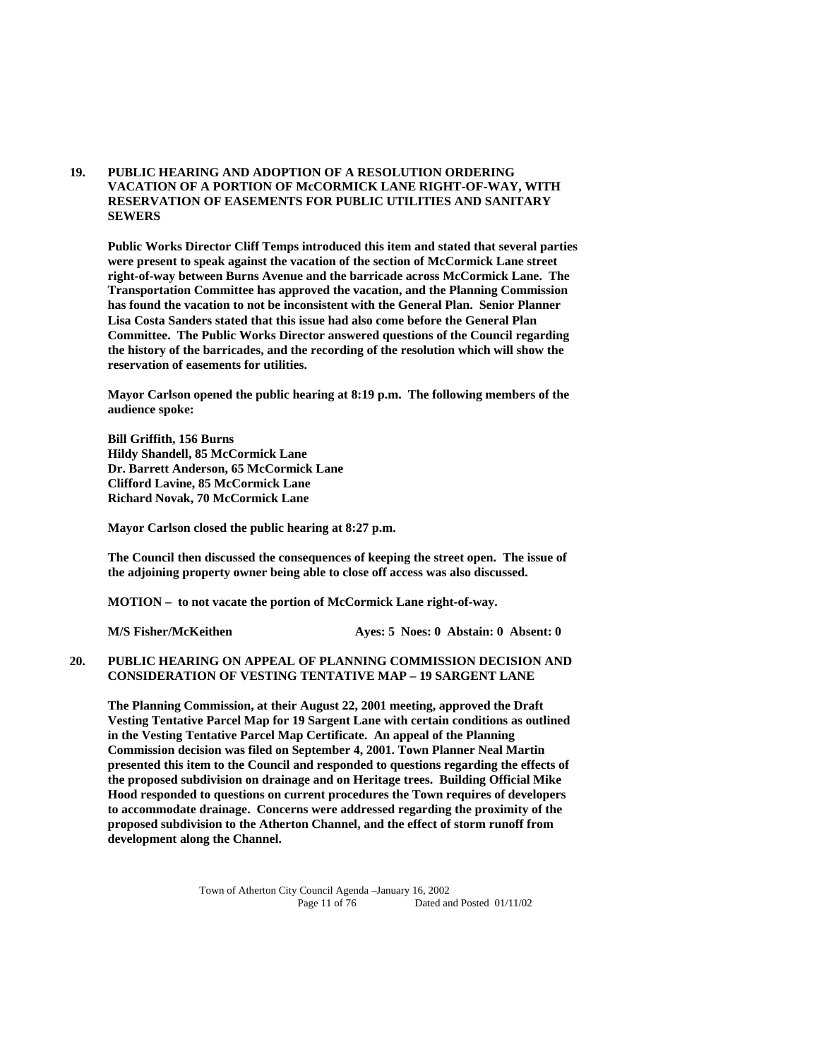**19. PUBLIC HEARING AND ADOPTION OF A RESOLUTION ORDERING VACATION OF A PORTION OF McCORMICK LANE RIGHT-OF-WAY, WITH RESERVATION OF EASEMENTS FOR PUBLIC UTILITIES AND SANITARY SEWERS** 

 **Public Works Director Cliff Temps introduced this item and stated that several parties were present to speak against the vacation of the section of McCormick Lane street right-of-way between Burns Avenue and the barricade across McCormick Lane. The Transportation Committee has approved the vacation, and the Planning Commission has found the vacation to not be inconsistent with the General Plan. Senior Planner Lisa Costa Sanders stated that this issue had also come before the General Plan Committee. The Public Works Director answered questions of the Council regarding the history of the barricades, and the recording of the resolution which will show the reservation of easements for utilities.** 

**Mayor Carlson opened the public hearing at 8:19 p.m. The following members of the audience spoke:** 

**Bill Griffith, 156 Burns Hildy Shandell, 85 McCormick Lane Dr. Barrett Anderson, 65 McCormick Lane Clifford Lavine, 85 McCormick Lane Richard Novak, 70 McCormick Lane** 

**Mayor Carlson closed the public hearing at 8:27 p.m.** 

**The Council then discussed the consequences of keeping the street open. The issue of the adjoining property owner being able to close off access was also discussed.** 

 **MOTION – to not vacate the portion of McCormick Lane right-of-way.** 

 **M/S Fisher/McKeithen Ayes: 5 Noes: 0 Abstain: 0 Absent: 0** 

# **20. PUBLIC HEARING ON APPEAL OF PLANNING COMMISSION DECISION AND CONSIDERATION OF VESTING TENTATIVE MAP – 19 SARGENT LANE**

**The Planning Commission, at their August 22, 2001 meeting, approved the Draft Vesting Tentative Parcel Map for 19 Sargent Lane with certain conditions as outlined in the Vesting Tentative Parcel Map Certificate. An appeal of the Planning Commission decision was filed on September 4, 2001. Town Planner Neal Martin presented this item to the Council and responded to questions regarding the effects of the proposed subdivision on drainage and on Heritage trees. Building Official Mike Hood responded to questions on current procedures the Town requires of developers to accommodate drainage. Concerns were addressed regarding the proximity of the proposed subdivision to the Atherton Channel, and the effect of storm runoff from development along the Channel.**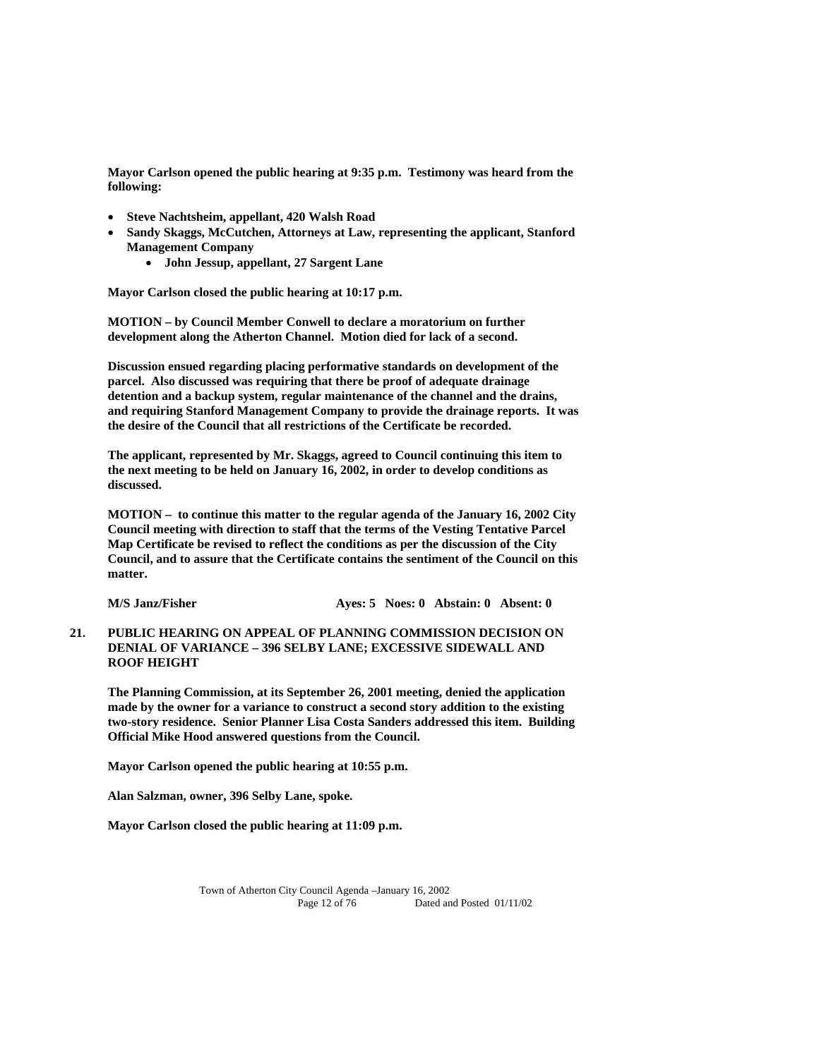**Mayor Carlson opened the public hearing at 9:35 p.m. Testimony was heard from the following:** 

- **Steve Nachtsheim, appellant, 420 Walsh Road**
- **Sandy Skaggs, McCutchen, Attorneys at Law, representing the applicant, Stanford Management Company** 
	- **John Jessup, appellant, 27 Sargent Lane**

**Mayor Carlson closed the public hearing at 10:17 p.m.** 

 **MOTION – by Council Member Conwell to declare a moratorium on further development along the Atherton Channel. Motion died for lack of a second.** 

 **Discussion ensued regarding placing performative standards on development of the parcel. Also discussed was requiring that there be proof of adequate drainage detention and a backup system, regular maintenance of the channel and the drains, and requiring Stanford Management Company to provide the drainage reports. It was the desire of the Council that all restrictions of the Certificate be recorded.** 

**The applicant, represented by Mr. Skaggs, agreed to Council continuing this item to the next meeting to be held on January 16, 2002, in order to develop conditions as discussed.** 

**MOTION – to continue this matter to the regular agenda of the January 16, 2002 City Council meeting with direction to staff that the terms of the Vesting Tentative Parcel Map Certificate be revised to reflect the conditions as per the discussion of the City Council, and to assure that the Certificate contains the sentiment of the Council on this matter.** 

**M/S Janz/Fisher Ayes: 5 Noes: 0 Abstain: 0 Absent: 0** 

**21. PUBLIC HEARING ON APPEAL OF PLANNING COMMISSION DECISION ON DENIAL OF VARIANCE – 396 SELBY LANE; EXCESSIVE SIDEWALL AND ROOF HEIGHT** 

 **The Planning Commission, at its September 26, 2001 meeting, denied the application made by the owner for a variance to construct a second story addition to the existing two-story residence. Senior Planner Lisa Costa Sanders addressed this item. Building Official Mike Hood answered questions from the Council.** 

 **Mayor Carlson opened the public hearing at 10:55 p.m.** 

 **Alan Salzman, owner, 396 Selby Lane, spoke.** 

 **Mayor Carlson closed the public hearing at 11:09 p.m.**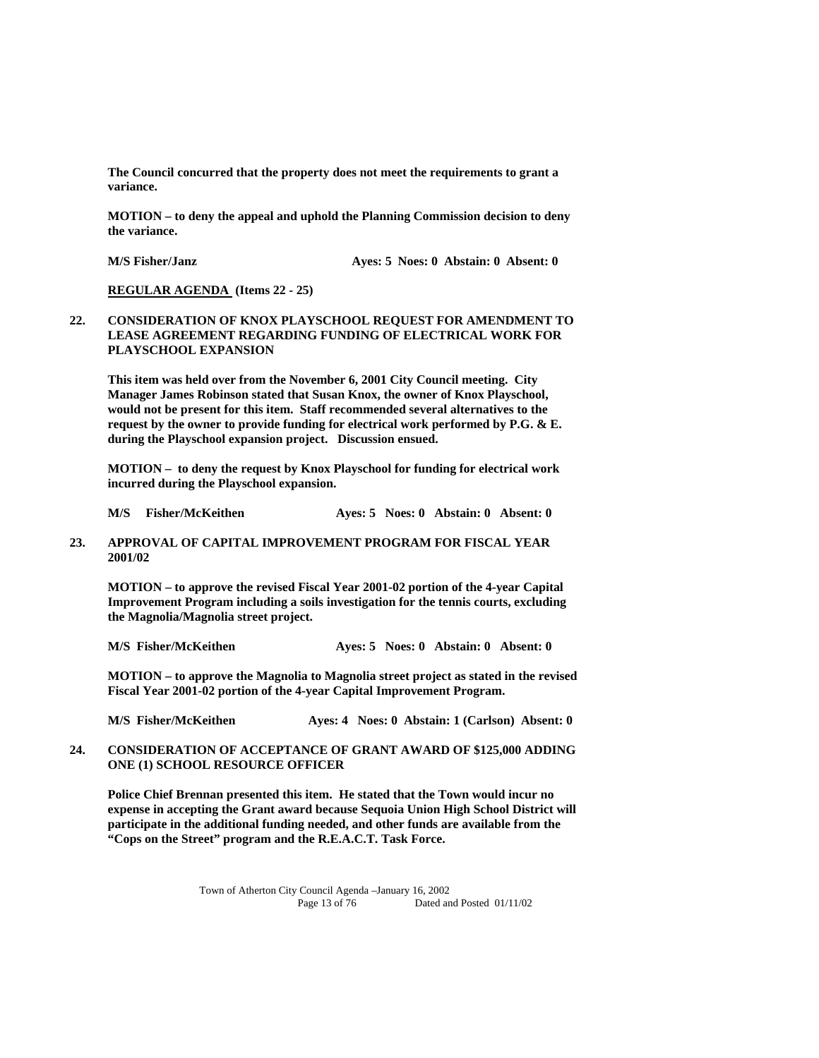**The Council concurred that the property does not meet the requirements to grant a variance.** 

 **MOTION – to deny the appeal and uphold the Planning Commission decision to deny the variance.** 

 **M/S Fisher/Janz <b>Ayes: 5 Noes: 0 Abstain: 0 Absent: 0** 

 **REGULAR AGENDA (Items 22 - 25)** 

### **22. CONSIDERATION OF KNOX PLAYSCHOOL REQUEST FOR AMENDMENT TO LEASE AGREEMENT REGARDING FUNDING OF ELECTRICAL WORK FOR PLAYSCHOOL EXPANSION**

 **This item was held over from the November 6, 2001 City Council meeting. City Manager James Robinson stated that Susan Knox, the owner of Knox Playschool, would not be present for this item. Staff recommended several alternatives to the request by the owner to provide funding for electrical work performed by P.G. & E. during the Playschool expansion project. Discussion ensued.** 

 **MOTION – to deny the request by Knox Playschool for funding for electrical work incurred during the Playschool expansion.** 

 **M/S Fisher/McKeithen Ayes: 5 Noes: 0 Abstain: 0 Absent: 0** 

### **23. APPROVAL OF CAPITAL IMPROVEMENT PROGRAM FOR FISCAL YEAR 2001/02**

 **MOTION – to approve the revised Fiscal Year 2001-02 portion of the 4-year Capital Improvement Program including a soils investigation for the tennis courts, excluding the Magnolia/Magnolia street project.** 

 **M/S Fisher/McKeithen Ayes: 5 Noes: 0 Abstain: 0 Absent: 0** 

 **MOTION – to approve the Magnolia to Magnolia street project as stated in the revised Fiscal Year 2001-02 portion of the 4-year Capital Improvement Program.** 

 **M/S Fisher/McKeithen Ayes: 4 Noes: 0 Abstain: 1 (Carlson) Absent: 0** 

# **24. CONSIDERATION OF ACCEPTANCE OF GRANT AWARD OF \$125,000 ADDING ONE (1) SCHOOL RESOURCE OFFICER**

 **Police Chief Brennan presented this item. He stated that the Town would incur no expense in accepting the Grant award because Sequoia Union High School District will participate in the additional funding needed, and other funds are available from the "Cops on the Street" program and the R.E.A.C.T. Task Force.**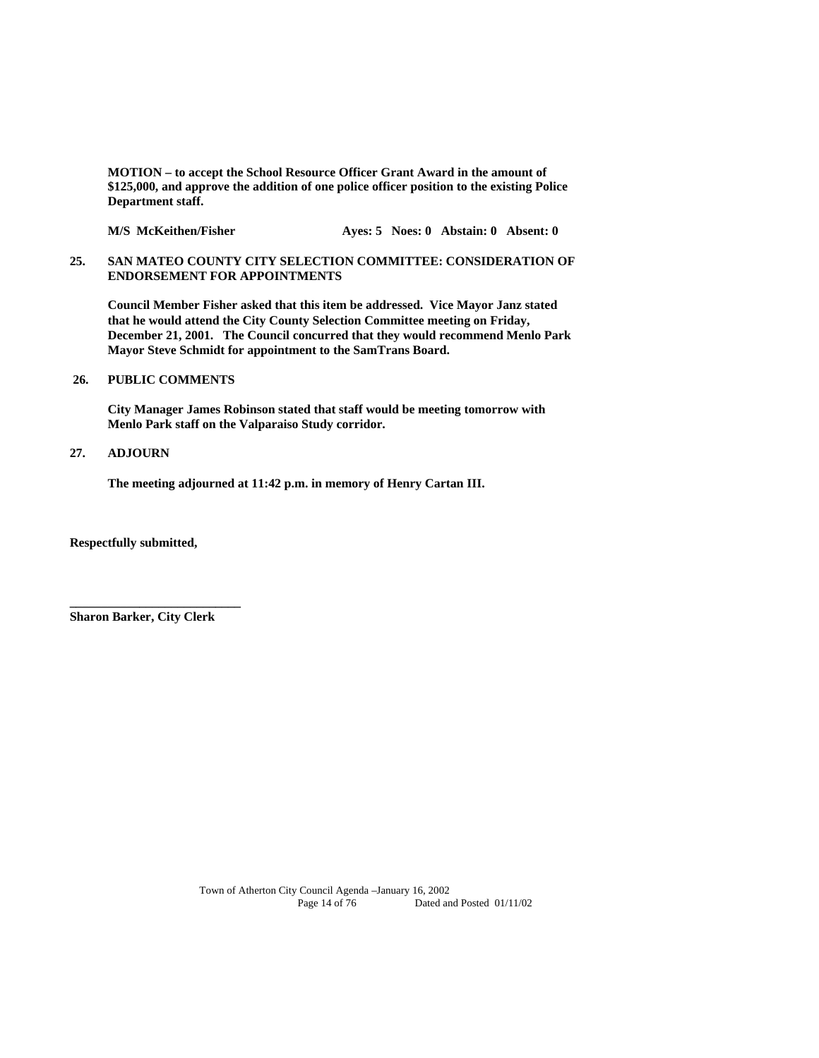**MOTION – to accept the School Resource Officer Grant Award in the amount of \$125,000, and approve the addition of one police officer position to the existing Police Department staff.** 

M/S McKeithen/Fisher **Ayes: 5 Noes: 0 Abstain: 0 Absent: 0** 

**25. SAN MATEO COUNTY CITY SELECTION COMMITTEE: CONSIDERATION OF ENDORSEMENT FOR APPOINTMENTS** 

 **Council Member Fisher asked that this item be addressed. Vice Mayor Janz stated that he would attend the City County Selection Committee meeting on Friday, December 21, 2001. The Council concurred that they would recommend Menlo Park Mayor Steve Schmidt for appointment to the SamTrans Board.** 

# **26. PUBLIC COMMENTS**

 **City Manager James Robinson stated that staff would be meeting tomorrow with Menlo Park staff on the Valparaiso Study corridor.** 

### **27. ADJOURN**

 **The meeting adjourned at 11:42 p.m. in memory of Henry Cartan III.** 

**Respectfully submitted,** 

**Sharon Barker, City Clerk** 

**\_\_\_\_\_\_\_\_\_\_\_\_\_\_\_\_\_\_\_\_\_\_\_\_\_\_\_**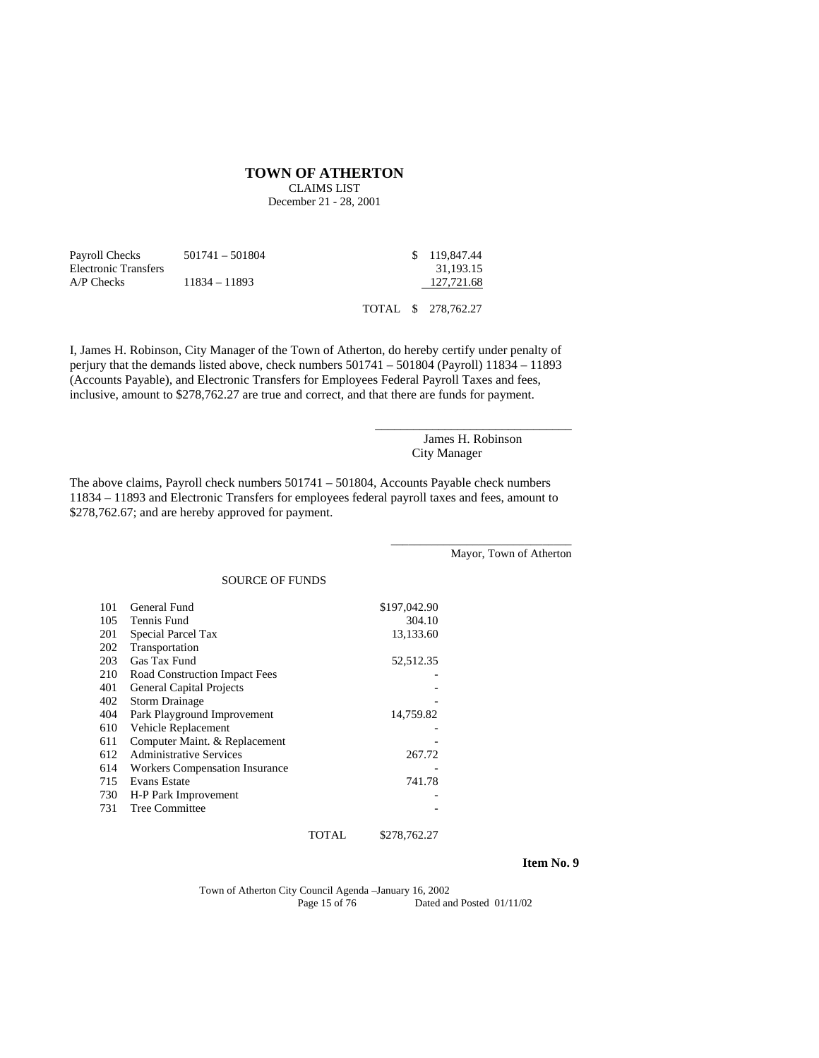#### **TOWN OF ATHERTON**

CLAIMS LIST December 21 - 28, 2001

| Payroll Checks       | $501741 - 501804$ | \$ 119,847.44 |
|----------------------|-------------------|---------------|
| Electronic Transfers |                   | 31.193.15     |
| $AP$ Checks          | $11834 - 11893$   | 127.721.68    |
|                      |                   |               |

TOTAL \$ 278,762.27

I, James H. Robinson, City Manager of the Town of Atherton, do hereby certify under penalty of perjury that the demands listed above, check numbers 501741 – 501804 (Payroll) 11834 – 11893 (Accounts Payable), and Electronic Transfers for Employees Federal Payroll Taxes and fees, inclusive, amount to \$278,762.27 are true and correct, and that there are funds for payment.

> James H. Robinson City Manager

\_\_\_\_\_\_\_\_\_\_\_\_\_\_\_\_\_\_\_\_\_\_\_\_\_\_\_\_\_\_\_

The above claims, Payroll check numbers 501741 – 501804, Accounts Payable check numbers 11834 – 11893 and Electronic Transfers for employees federal payroll taxes and fees, amount to \$278,762.67; and are hereby approved for payment.

Mayor, Town of Atherton

\_\_\_\_\_\_\_\_\_\_\_\_\_\_\_\_\_\_\_\_\_\_\_\_\_\_\_\_\_\_\_

### SOURCE OF FUNDS

| 101 | General Fund                          | \$197,042.90 |
|-----|---------------------------------------|--------------|
| 105 | Tennis Fund                           | 304.10       |
| 201 | Special Parcel Tax                    | 13,133.60    |
| 202 | Transportation                        |              |
| 203 | Gas Tax Fund                          | 52,512.35    |
| 210 | Road Construction Impact Fees         |              |
| 401 | <b>General Capital Projects</b>       |              |
| 402 | <b>Storm Drainage</b>                 |              |
| 404 | Park Playground Improvement           | 14,759.82    |
| 610 | Vehicle Replacement                   |              |
| 611 | Computer Maint. & Replacement         |              |
| 612 | <b>Administrative Services</b>        | 267.72       |
| 614 | <b>Workers Compensation Insurance</b> |              |
| 715 | <b>Evans Estate</b>                   | 741.78       |
| 730 | H-P Park Improvement                  |              |
| 731 | Tree Committee                        |              |
|     |                                       |              |

TOTAL \$278,762.27

### **Item No. 9**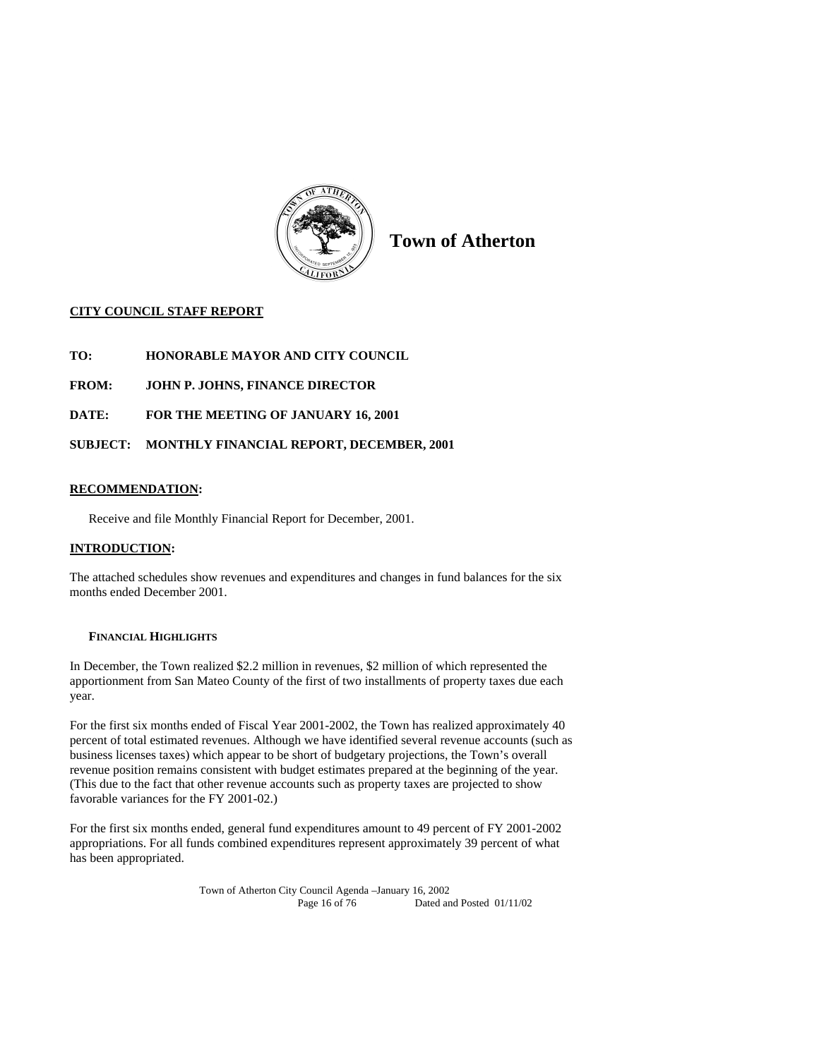

**Town of Atherton** 

# **CITY COUNCIL STAFF REPORT**

- **TO: HONORABLE MAYOR AND CITY COUNCIL**
- **FROM: JOHN P. JOHNS, FINANCE DIRECTOR**
- **DATE: FOR THE MEETING OF JANUARY 16, 2001**

# **SUBJECT: MONTHLY FINANCIAL REPORT, DECEMBER, 2001**

# **RECOMMENDATION:**

Receive and file Monthly Financial Report for December, 2001.

# **INTRODUCTION:**

The attached schedules show revenues and expenditures and changes in fund balances for the six months ended December 2001.

### **FINANCIAL HIGHLIGHTS**

In December, the Town realized \$2.2 million in revenues, \$2 million of which represented the apportionment from San Mateo County of the first of two installments of property taxes due each year.

For the first six months ended of Fiscal Year 2001-2002, the Town has realized approximately 40 percent of total estimated revenues. Although we have identified several revenue accounts (such as business licenses taxes) which appear to be short of budgetary projections, the Town's overall revenue position remains consistent with budget estimates prepared at the beginning of the year. (This due to the fact that other revenue accounts such as property taxes are projected to show favorable variances for the FY 2001-02.)

For the first six months ended, general fund expenditures amount to 49 percent of FY 2001-2002 appropriations. For all funds combined expenditures represent approximately 39 percent of what has been appropriated.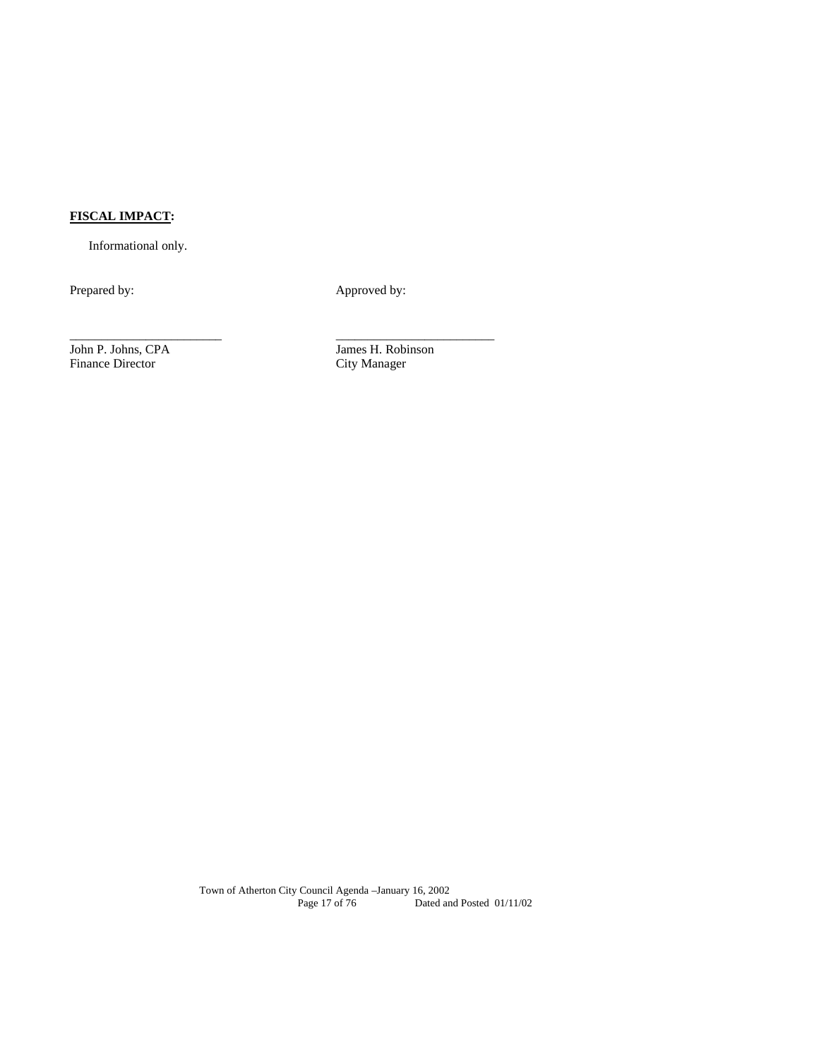# **FISCAL IMPACT:**

Informational only.

Prepared by: Approved by:

\_\_\_\_\_\_\_\_\_\_\_\_\_\_\_\_\_\_\_\_\_\_\_\_ \_\_\_\_\_\_\_\_\_\_\_\_\_\_\_\_\_\_\_\_\_\_\_\_\_

Finance Director

John P. Johns, CPA James H. Robinson<br>Finance Director City Manager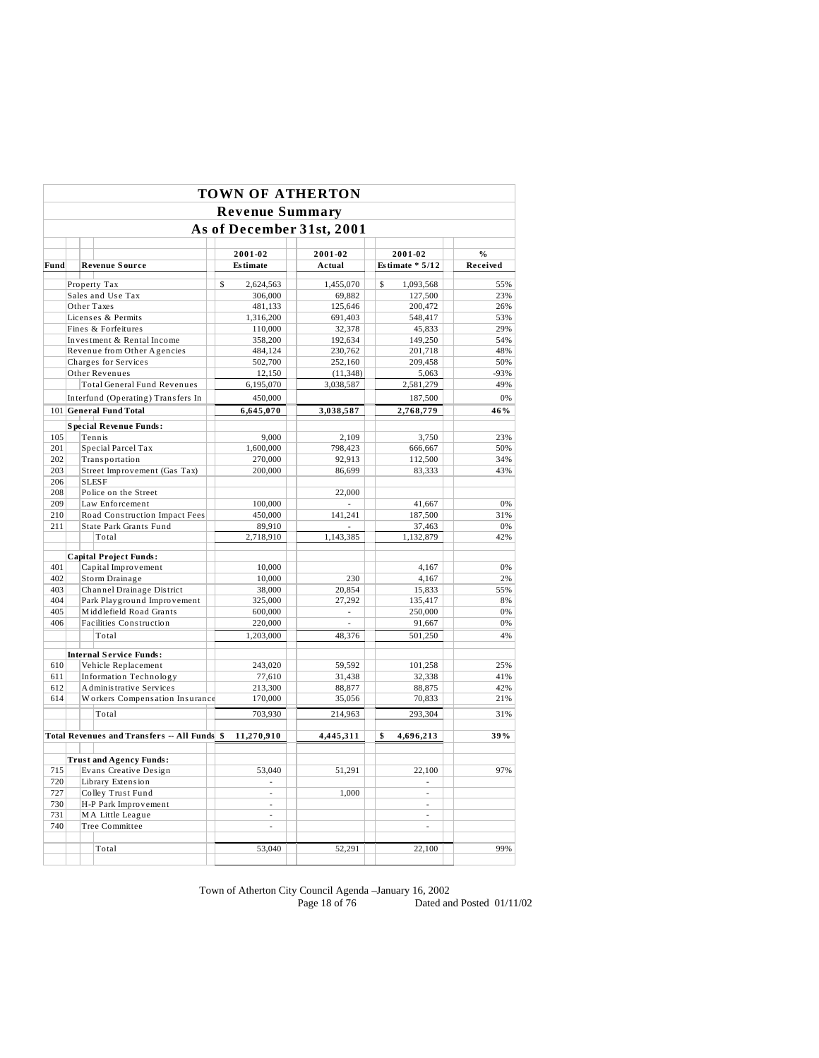|      |                   |  |                                              |             | <b>TOWN OF ATHERTON</b> |                           |                   |          |
|------|-------------------|--|----------------------------------------------|-------------|-------------------------|---------------------------|-------------------|----------|
|      |                   |  |                                              |             | <b>Revenue Summary</b>  |                           |                   |          |
|      |                   |  |                                              |             |                         | As of December 31st, 2001 |                   |          |
|      |                   |  |                                              |             | 2001-02                 | 2001-02                   | 2001-02           | $\%$     |
| Fund |                   |  | <b>Revenue Source</b>                        |             | <b>Estimate</b>         | Actual                    | Estimate $* 5/12$ | Received |
|      |                   |  | Property Tax                                 | $\mathbf S$ | 2,624,563               | 1.455.070                 | \$<br>1,093,568   | 55%      |
|      |                   |  | Sales and Use Tax                            |             | 306,000                 | 69,882                    | 127,500           | 23%      |
|      |                   |  | Other Taxes                                  |             | 481,133                 | 125,646                   | 200,472           | 26%      |
|      |                   |  | Licenses & Permits                           |             | 1,316,200               | 691,403                   | 548,417           | 53%      |
|      |                   |  | Fines & Forfeitures                          |             | 110,000                 | 32,378                    | 45,833            | 29%      |
|      |                   |  | Investment & Rental Income                   |             | 358,200                 | 192,634                   | 149,250           | 54%      |
|      |                   |  | Revenue from Other Agencies                  |             | 484,124                 | 230,762                   | 201,718           | 48%      |
|      |                   |  | Charges for Services                         |             | 502,700                 | 252,160                   | 209,458           | 50%      |
|      |                   |  | Other Revenues                               |             | 12,150                  | (11, 348)                 | 5,063             | $-93%$   |
|      |                   |  | <b>Total General Fund Revenues</b>           |             | 6,195,070               | 3,038,587                 | 2,581,279         | 49%      |
|      |                   |  | Interfund (Operating) Transfers In           |             | 450,000                 |                           | 187,500           | 0%       |
|      |                   |  | 101 General Fund Total                       |             | 6,645,070               | 3,038,587                 | 2,768,779         | 46%      |
|      |                   |  | <b>Special Revenue Funds:</b>                |             |                         |                           |                   |          |
| 105  |                   |  | Tennis                                       |             | 9.000                   | 2.109                     | 3.750             | 23%      |
| 201  |                   |  | Special Parcel Tax                           |             | 1,600,000               | 798,423                   | 666,667           | 50%      |
| 202  |                   |  | Transportation                               |             | 270,000                 | 92,913                    | 112,500           | 34%      |
| 203  |                   |  | Street Improvement (Gas Tax)                 |             | 200,000                 | 86,699                    | 83,333            | 43%      |
| 206  |                   |  | <b>SLESF</b>                                 |             |                         |                           |                   |          |
| 208  |                   |  | Police on the Street                         |             |                         | 22,000                    |                   |          |
| 209  |                   |  | Law Enforcement                              |             | 100,000                 |                           | 41,667            | 0%       |
| 210  |                   |  | Road Construction Impact Fees                |             | 450,000                 | 141.241                   | 187,500           | 31%      |
| 211  |                   |  | State Park Grants Fund                       |             | 89,910                  |                           | 37,463            | 0%       |
|      |                   |  | Total                                        |             | 2,718,910               | 1,143,385                 | 1,132,879         | 42%      |
|      |                   |  |                                              |             |                         |                           |                   |          |
| 401  |                   |  | <b>Capital Project Funds:</b>                |             |                         |                           |                   | 0%       |
| 402  |                   |  | Capital Improvement<br>Storm Drainage        |             | 10,000<br>10,000        | 230                       | 4,167<br>4,167    | 2%       |
| 403  |                   |  | Channel Drainage District                    |             | 38,000                  | 20,854                    | 15,833            | 55%      |
| 404  |                   |  | Park Playground Improvement                  |             | 325,000                 | 27,292                    | 135,417           | 8%       |
| 405  |                   |  | Middlefield Road Grants                      |             | 600,000                 | $\sim$                    | 250,000           | 0%       |
| 406  |                   |  | Facilities Construction                      |             | 220,000                 | $\overline{\phantom{a}}$  | 91,667            | 0%       |
|      |                   |  | Total                                        |             | 1.203.000               |                           | 501.250           | 4%       |
|      |                   |  |                                              |             |                         | 48,376                    |                   |          |
|      |                   |  | <b>Internal Service Funds:</b>               |             |                         |                           |                   |          |
| 610  |                   |  | Vehicle Replacement                          |             | 243.020                 | 59.592                    | 101.258           | 25%      |
| 611  |                   |  | <b>Information Technology</b>                |             | 77,610                  | 31,438                    | 32,338            | 41%      |
| 612  |                   |  | Administrative Services                      |             | 213,300                 | 88,877                    | 88,875            | 42%      |
| 614  |                   |  | Workers Compensation Insurance               |             | 170,000                 | 35,056                    | 70,833            | 21%      |
|      |                   |  | Total                                        |             | 703.930                 | 214,963                   | 293,304           | 31%      |
|      |                   |  |                                              |             |                         |                           |                   |          |
|      |                   |  | Total Revenues and Transfers -- All Funds \$ |             | 11,270,910              | 4,445,311                 | 4,696,213<br>\$   | 39%      |
|      |                   |  | <b>Trust and Agency Funds:</b>               |             |                         |                           |                   |          |
| 715  |                   |  | Evans Creative Design                        |             | 53,040                  | 51,291                    | 22,100            | 97%      |
| 720  |                   |  | Library Extension                            |             | L.                      |                           | L.                |          |
| 727  | Colley Trust Fund |  |                                              | L.          | 1.000                   | ÷.                        |                   |          |
| 730  |                   |  | H-P Park Improvement                         |             | ä,                      |                           | ÷.                |          |
| 731  |                   |  | MA Little League                             |             | à.                      |                           | L.                |          |
| 740  |                   |  | Tree Committee                               |             | L,                      |                           |                   |          |
|      |                   |  |                                              |             |                         |                           |                   |          |
|      |                   |  | Total                                        |             | 53,040                  | 52,291                    | 22,100            | 99%      |
|      |                   |  |                                              |             |                         |                           |                   |          |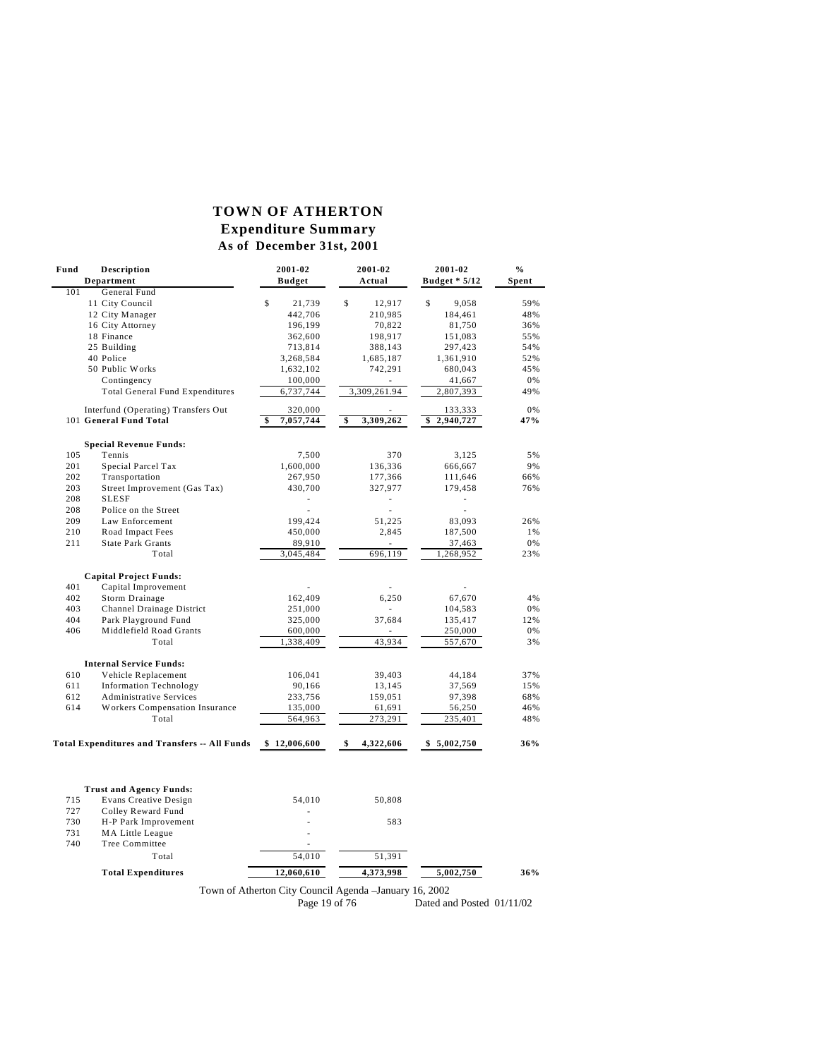# **TOWN OF ATHERTON Expenditure Summary**

# **As of December 31st, 2001**

| Fund<br>Description                                  | 2001-02               | 2001-02                                                 | 2001-02                   | $\%$  |
|------------------------------------------------------|-----------------------|---------------------------------------------------------|---------------------------|-------|
| Department                                           | <b>Budget</b>         | Actual                                                  | <b>Budget * 5/12</b>      | Spent |
| 101<br>General Fund                                  |                       |                                                         |                           |       |
| 11 City Council                                      | $\mathbb S$<br>21,739 | $\mathbb{S}$<br>12,917                                  | \$<br>9.058               | 59%   |
| 12 City Manager                                      | 442,706               | 210,985                                                 | 184,461                   | 48%   |
| 16 City Attorney                                     | 196,199               | 70,822                                                  | 81,750                    | 36%   |
| 18 Finance                                           | 362,600               | 198,917                                                 | 151,083                   | 55%   |
| 25 Building                                          | 713,814               | 388,143                                                 | 297,423                   | 54%   |
| 40 Police                                            | 3,268,584             | 1,685,187                                               | 1,361,910                 | 52%   |
| 50 Public Works                                      | 1,632,102             | 742,291                                                 | 680,043                   | 45%   |
| Contingency                                          | 100,000               |                                                         | 41,667                    | 0%    |
| <b>Total General Fund Expenditures</b>               | 6,737,744             | 3,309,261.94                                            | 2,807,393                 | 49%   |
| Interfund (Operating) Transfers Out                  | 320,000               |                                                         | 133,333                   | 0%    |
| 101 General Fund Total                               | 7,057,744<br>\$       | 3,309,262<br>\$                                         | 2,940,727<br>\$           | 47%   |
| <b>Special Revenue Funds:</b>                        |                       |                                                         |                           |       |
| 105<br>Tennis                                        | 7,500                 | 370                                                     | 3,125                     | 5%    |
| 201<br>Special Parcel Tax                            | 1,600,000             | 136,336                                                 | 666,667                   | 9%    |
| Transportation<br>202                                | 267,950               | 177,366                                                 | 111,646                   | 66%   |
| 203<br>Street Improvement (Gas Tax)                  | 430,700               | 327,977                                                 | 179,458                   | 76%   |
| 208<br>SLESF                                         |                       | ä,                                                      |                           |       |
| 208<br>Police on the Street                          |                       | ä,                                                      |                           |       |
| 209<br>Law Enforcement                               | 199,424               | 51,225                                                  | 83,093                    | 26%   |
| 210<br>Road Impact Fees                              | 450,000               | 2,845                                                   | 187,500                   | 1%    |
| 211<br><b>State Park Grants</b>                      | 89,910                | ä,                                                      | 37,463                    | 0%    |
| Total                                                | 3,045,484             | 696,119                                                 | 1,268,952                 | 23%   |
|                                                      |                       |                                                         |                           |       |
| <b>Capital Project Funds:</b>                        |                       |                                                         |                           |       |
| 401<br>Capital Improvement                           |                       |                                                         |                           |       |
| 402<br>Storm Drainage                                | 162,409               | 6,250                                                   | 67,670                    | 4%    |
| 403<br>Channel Drainage District                     | 251,000               |                                                         | 104,583                   | 0%    |
| Park Playground Fund<br>404                          | 325,000               | 37,684                                                  | 135,417                   | 12%   |
| 406<br>Middlefield Road Grants                       | 600,000               |                                                         | 250,000                   | 0%    |
| Total                                                | 1,338,409             | 43,934                                                  | 557,670                   | 3%    |
| <b>Internal Service Funds:</b>                       |                       |                                                         |                           |       |
| 610<br>Vehicle Replacement                           | 106,041               | 39,403                                                  | 44,184                    | 37%   |
| 611<br><b>Information Technology</b>                 | 90,166                | 13,145                                                  | 37,569                    | 15%   |
| 612<br><b>Administrative Services</b>                | 233,756               | 159,051                                                 | 97,398                    | 68%   |
| 614<br><b>Workers Compensation Insurance</b>         | 135,000               | 61,691                                                  | 56,250                    | 46%   |
| Total                                                | 564,963               | 273,291                                                 | 235,401                   | 48%   |
| <b>Total Expenditures and Transfers -- All Funds</b> | \$12,006,600          | 4,322,606<br>\$                                         | \$5,002,750               | 36%   |
|                                                      |                       |                                                         |                           |       |
|                                                      |                       |                                                         |                           |       |
| <b>Trust and Agency Funds:</b>                       |                       |                                                         |                           |       |
| <b>Evans Creative Design</b><br>715                  | 54,010                | 50,808                                                  |                           |       |
| 727<br>Colley Reward Fund                            |                       |                                                         |                           |       |
| H-P Park Improvement<br>730                          |                       | 583                                                     |                           |       |
| 731<br><b>MA Little League</b>                       |                       |                                                         |                           |       |
| 740<br>Tree Committee                                |                       |                                                         |                           |       |
| Total                                                | 54,010                | 51,391                                                  |                           |       |
| <b>Total Expenditures</b>                            | 12,060,610            | 4,373,998                                               | 5,002,750                 | 36%   |
|                                                      |                       | Town of Atherton City Council Agenda - January 16, 2002 |                           |       |
|                                                      | Page 19 of 76         |                                                         | Dated and Posted 01/11/02 |       |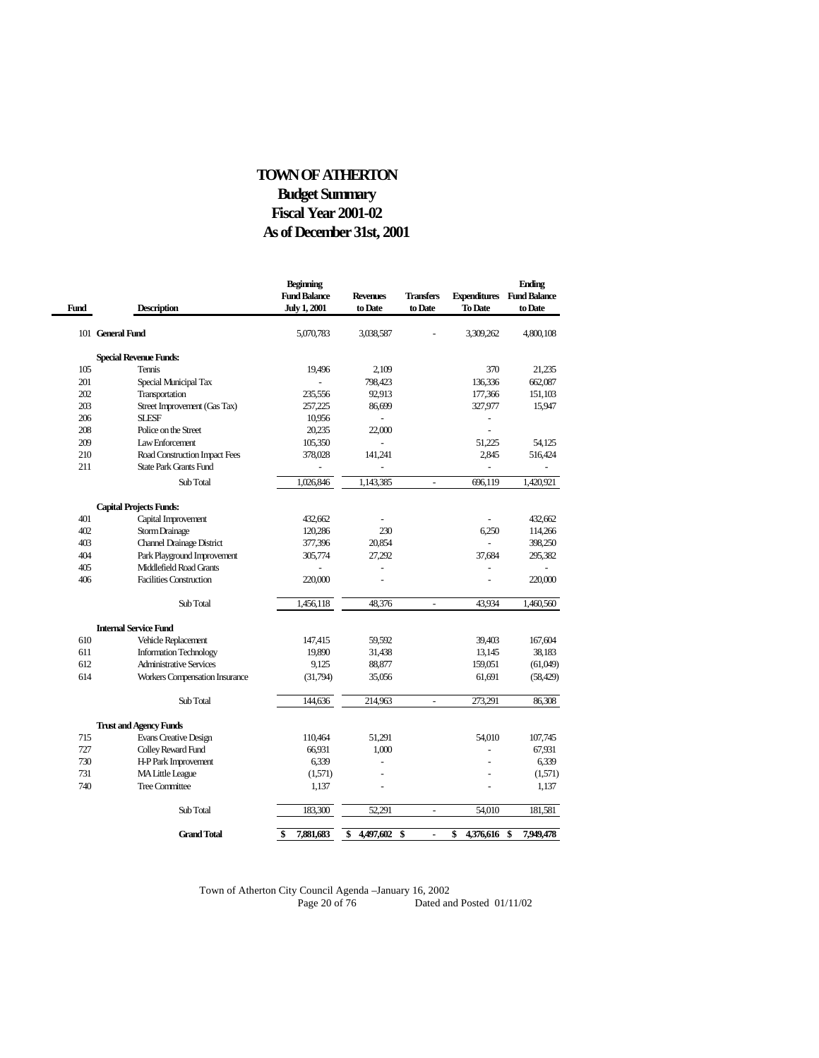# **As of December 31st, 2001 TOWN OF ATHERTON Budget Summary Fiscal Year 2001-02**

L

| Fund | <b>Description</b>               | <b>Beginning</b><br><b>Fund Balance</b><br><b>July 1, 2001</b> | <b>Revenues</b><br>to Date | <b>Transfers</b><br>to Date | To Date         | <b>Ending</b><br><b>Expenditures</b> Fund Balance<br>to Date |
|------|----------------------------------|----------------------------------------------------------------|----------------------------|-----------------------------|-----------------|--------------------------------------------------------------|
|      | 101 General Fund                 | 5,070,783                                                      | 3,038,587                  |                             | 3,309,262       | 4,800,108                                                    |
|      | <b>Special Revenue Funds:</b>    |                                                                |                            |                             |                 |                                                              |
| 105  | <b>Tennis</b>                    | 19,496                                                         | 2,109                      |                             | 370             | 21,235                                                       |
| 201  | Special Municipal Tax            |                                                                | 798,423                    |                             | 136,336         | 662,087                                                      |
| 202  | Transportation                   | 235,556                                                        | 92,913                     |                             | 177,366         | 151,103                                                      |
| 203  | Street Improvement (Gas Tax)     | 257,225                                                        | 86,699                     |                             | 327,977         | 15,947                                                       |
| 206  | <b>SLESF</b>                     | 10,956                                                         | ÷,                         |                             | $\overline{a}$  |                                                              |
| 208  | Police on the Street             | 20,235                                                         | 22,000                     |                             |                 |                                                              |
| 209  | Law Enforcement                  | 105,350                                                        |                            |                             | 51.225          | 54.125                                                       |
| 210  | Road Construction Impact Fees    | 378,028                                                        | 141,241                    |                             | 2,845           | 516,424                                                      |
| 211  | <b>State Park Grants Fund</b>    |                                                                |                            |                             | $\overline{a}$  |                                                              |
|      | Sub Total                        | 1,026,846                                                      | 1,143,385                  | $\overline{a}$              | 696.119         | 1,420,921                                                    |
|      | <b>Capital Projects Funds:</b>   |                                                                |                            |                             |                 |                                                              |
| 401  | Capital Improvement              | 432.662                                                        |                            |                             |                 | 432,662                                                      |
| 402  | Storm Drainage                   | 120,286                                                        | 230                        |                             | 6,250           | 114,266                                                      |
| 403  | <b>Channel Drainage District</b> | 377,396                                                        | 20,854                     |                             |                 | 398,250                                                      |
| 404  | Park Playground Improvement      | 305,774                                                        | 27,292                     |                             | 37,684          | 295,382                                                      |
| 405  | Middlefield Road Grants          | ÷,                                                             | L,                         |                             | $\ddot{ }$      |                                                              |
| 406  | <b>Facilities Construction</b>   | 220,000                                                        |                            |                             |                 | 220,000                                                      |
|      | Sub Total                        | 1,456,118                                                      | 48,376                     | $\bar{a}$                   | 43,934          | 1,460,560                                                    |
|      | <b>Internal Service Fund</b>     |                                                                |                            |                             |                 |                                                              |
| 610  | Vehicle Replacement              | 147,415                                                        | 59,592                     |                             | 39,403          | 167,604                                                      |
| 611  | <b>Information Technology</b>    | 19,890                                                         | 31,438                     |                             | 13,145          | 38,183                                                       |
| 612  | <b>Administrative Services</b>   | 9,125                                                          | 88,877                     |                             | 159,051         | (61,049)                                                     |
| 614  | Workers Compensation Insurance   | (31,794)                                                       | 35,056                     |                             | 61,691          | (58, 429)                                                    |
|      | Sub Total                        | 144,636                                                        | 214,963                    | L.                          | 273,291         | 86,308                                                       |
|      | <b>Trust and Agency Funds</b>    |                                                                |                            |                             |                 |                                                              |
| 715  | <b>Evans Creative Design</b>     | 110,464                                                        | 51,291                     |                             | 54,010          | 107,745                                                      |
| 727  | Colley Reward Fund               | 66,931                                                         | 1.000                      |                             |                 | 67,931                                                       |
| 730  | H-P Park Improvement             | 6,339                                                          | $\overline{a}$             |                             |                 | 6.339                                                        |
| 731  | <b>MA Little League</b>          | (1,571)                                                        |                            |                             |                 | (1,571)                                                      |
| 740  | <b>Tree Committee</b>            | 1,137                                                          | $\overline{a}$             |                             | $\ddot{ }$      | 1,137                                                        |
|      | Sub Total                        | 183,300                                                        | 52,291                     | L,                          | 54,010          | 181,581                                                      |
|      | <b>Grand Total</b>               | 7,881,683<br>\$                                                | 4,497,602<br>\$            | \$                          | 4,376,616<br>\$ | 7,949,478<br>\$                                              |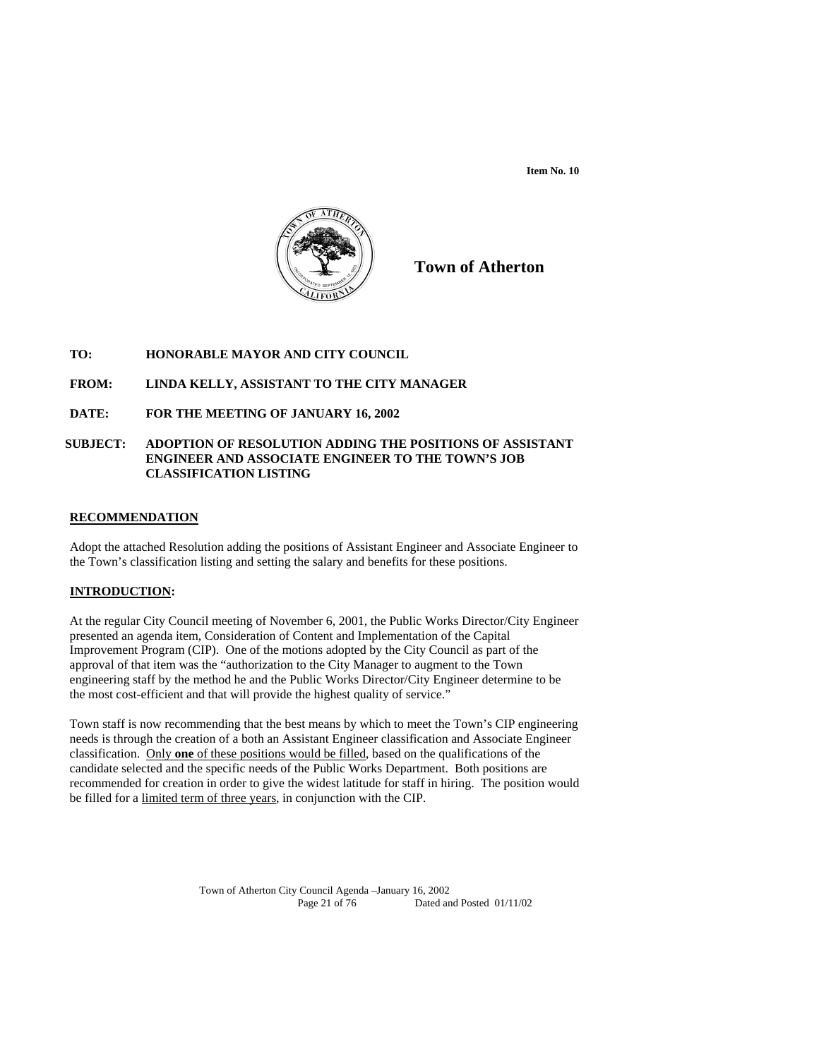**Item No. 10** 



**Town of Atherton**

# **TO: HONORABLE MAYOR AND CITY COUNCIL**

# **FROM: LINDA KELLY, ASSISTANT TO THE CITY MANAGER**

# **DATE: FOR THE MEETING OF JANUARY 16, 2002**

## **SUBJECT: ADOPTION OF RESOLUTION ADDING THE POSITIONS OF ASSISTANT ENGINEER AND ASSOCIATE ENGINEER TO THE TOWN'S JOB CLASSIFICATION LISTING**

## **RECOMMENDATION**

Adopt the attached Resolution adding the positions of Assistant Engineer and Associate Engineer to the Town's classification listing and setting the salary and benefits for these positions.

### **INTRODUCTION:**

At the regular City Council meeting of November 6, 2001, the Public Works Director/City Engineer presented an agenda item, Consideration of Content and Implementation of the Capital Improvement Program (CIP). One of the motions adopted by the City Council as part of the approval of that item was the "authorization to the City Manager to augment to the Town engineering staff by the method he and the Public Works Director/City Engineer determine to be the most cost-efficient and that will provide the highest quality of service."

Town staff is now recommending that the best means by which to meet the Town's CIP engineering needs is through the creation of a both an Assistant Engineer classification and Associate Engineer classification. Only **one** of these positions would be filled, based on the qualifications of the candidate selected and the specific needs of the Public Works Department. Both positions are recommended for creation in order to give the widest latitude for staff in hiring. The position would be filled for a limited term of three years, in conjunction with the CIP.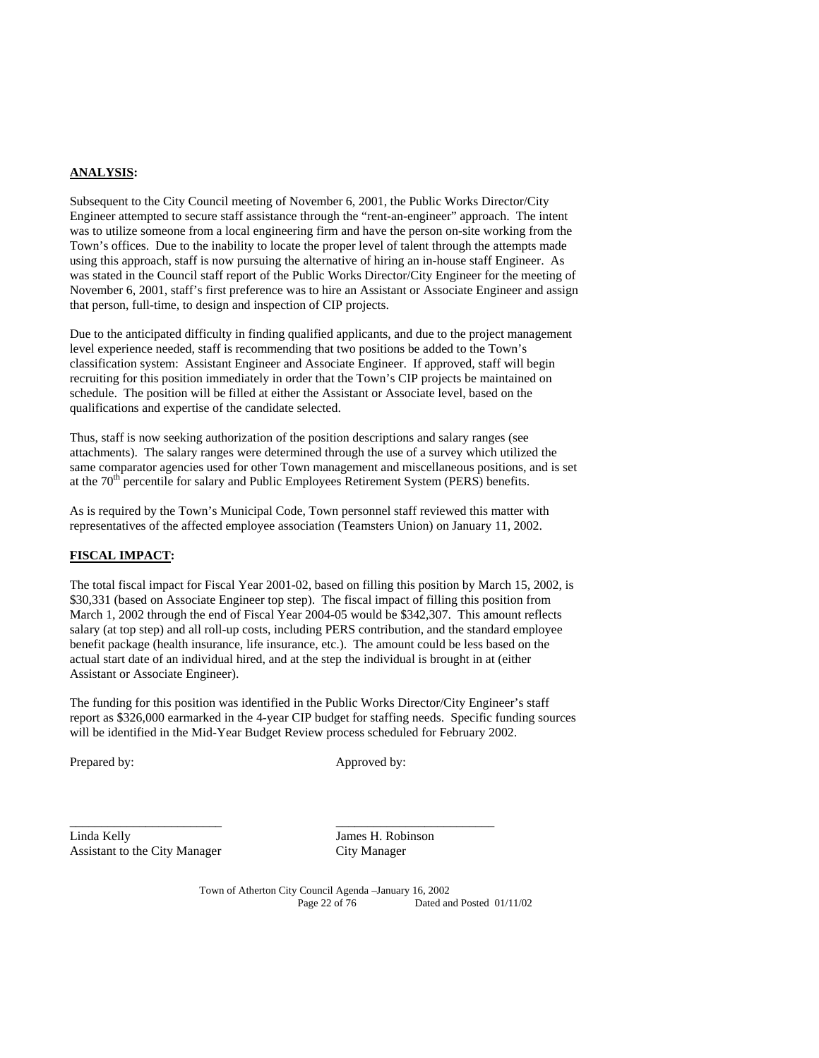# **ANALYSIS:**

Subsequent to the City Council meeting of November 6, 2001, the Public Works Director/City Engineer attempted to secure staff assistance through the "rent-an-engineer" approach. The intent was to utilize someone from a local engineering firm and have the person on-site working from the Town's offices. Due to the inability to locate the proper level of talent through the attempts made using this approach, staff is now pursuing the alternative of hiring an in-house staff Engineer. As was stated in the Council staff report of the Public Works Director/City Engineer for the meeting of November 6, 2001, staff's first preference was to hire an Assistant or Associate Engineer and assign that person, full-time, to design and inspection of CIP projects.

Due to the anticipated difficulty in finding qualified applicants, and due to the project management level experience needed, staff is recommending that two positions be added to the Town's classification system: Assistant Engineer and Associate Engineer. If approved, staff will begin recruiting for this position immediately in order that the Town's CIP projects be maintained on schedule. The position will be filled at either the Assistant or Associate level, based on the qualifications and expertise of the candidate selected.

Thus, staff is now seeking authorization of the position descriptions and salary ranges (see attachments). The salary ranges were determined through the use of a survey which utilized the same comparator agencies used for other Town management and miscellaneous positions, and is set at the 70<sup>th</sup> percentile for salary and Public Employees Retirement System (PERS) benefits.

As is required by the Town's Municipal Code, Town personnel staff reviewed this matter with representatives of the affected employee association (Teamsters Union) on January 11, 2002.

## **FISCAL IMPACT:**

The total fiscal impact for Fiscal Year 2001-02, based on filling this position by March 15, 2002, is \$30,331 (based on Associate Engineer top step). The fiscal impact of filling this position from March 1, 2002 through the end of Fiscal Year 2004-05 would be \$342,307. This amount reflects salary (at top step) and all roll-up costs, including PERS contribution, and the standard employee benefit package (health insurance, life insurance, etc.). The amount could be less based on the actual start date of an individual hired, and at the step the individual is brought in at (either Assistant or Associate Engineer).

The funding for this position was identified in the Public Works Director/City Engineer's staff report as \$326,000 earmarked in the 4-year CIP budget for staffing needs. Specific funding sources will be identified in the Mid-Year Budget Review process scheduled for February 2002.

\_\_\_\_\_\_\_\_\_\_\_\_\_\_\_\_\_\_\_\_\_\_\_\_ \_\_\_\_\_\_\_\_\_\_\_\_\_\_\_\_\_\_\_\_\_\_\_\_\_

Prepared by: Approved by: Approved by:

Linda Kelly James H. Robinson Assistant to the City Manager City Manager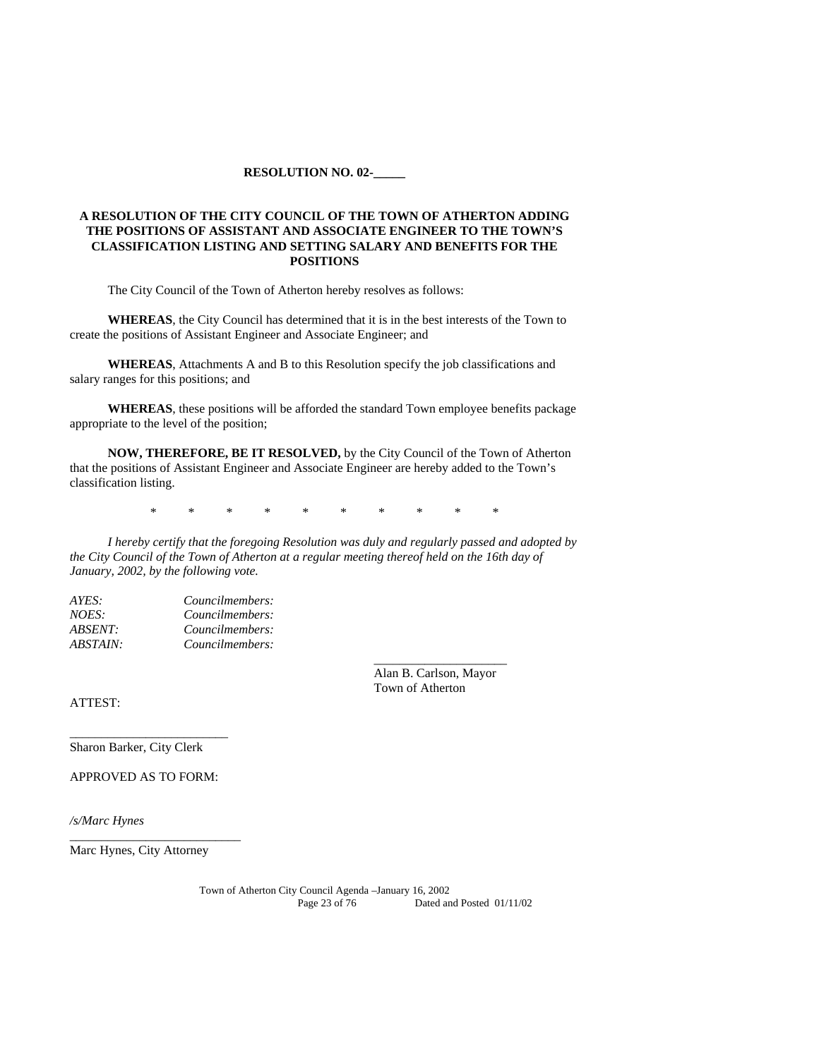#### **RESOLUTION NO. 02-\_\_\_\_\_**

# **A RESOLUTION OF THE CITY COUNCIL OF THE TOWN OF ATHERTON ADDING THE POSITIONS OF ASSISTANT AND ASSOCIATE ENGINEER TO THE TOWN'S CLASSIFICATION LISTING AND SETTING SALARY AND BENEFITS FOR THE POSITIONS**

The City Council of the Town of Atherton hereby resolves as follows:

**WHEREAS**, the City Council has determined that it is in the best interests of the Town to create the positions of Assistant Engineer and Associate Engineer; and

**WHEREAS**, Attachments A and B to this Resolution specify the job classifications and salary ranges for this positions; and

**WHEREAS**, these positions will be afforded the standard Town employee benefits package appropriate to the level of the position;

**NOW, THEREFORE, BE IT RESOLVED,** by the City Council of the Town of Atherton that the positions of Assistant Engineer and Associate Engineer are hereby added to the Town's classification listing.

\* \* \* \* \* \* \* \* \* \*

*I hereby certify that the foregoing Resolution was duly and regularly passed and adopted by the City Council of the Town of Atherton at a regular meeting thereof held on the 16th day of January, 2002, by the following vote.* 

*\_\_\_\_\_\_\_\_\_\_\_\_\_\_\_\_\_\_\_\_\_* 

| AYES:                 | Councilmembers: |
|-----------------------|-----------------|
| NOES:                 | Councilmembers: |
| <i><b>ABSENT:</b></i> | Councilmembers: |
| ABSTAIN:              | Councilmembers: |

 Alan B. Carlson, Mayor Town of Atherton

ATTEST:

Sharon Barker, City Clerk

APPROVED AS TO FORM:

*\_\_\_\_\_\_\_\_\_\_\_\_\_\_\_\_\_\_\_\_\_\_\_\_\_* 

*/s/Marc Hynes* 

Marc Hynes, City Attorney

\_\_\_\_\_\_\_\_\_\_\_\_\_\_\_\_\_\_\_\_\_\_\_\_\_\_\_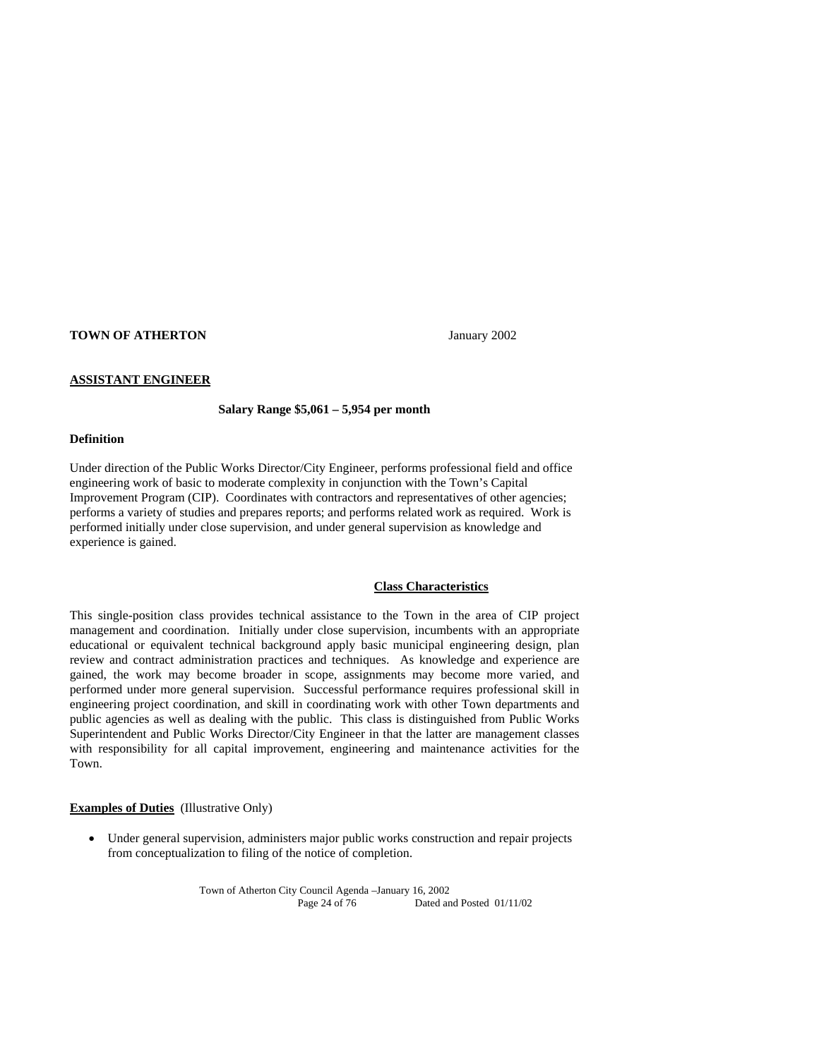### **TOWN OF ATHERTON** January 2002

#### **ASSISTANT ENGINEER**

#### **Salary Range \$5,061 – 5,954 per month**

#### **Definition**

Under direction of the Public Works Director/City Engineer, performs professional field and office engineering work of basic to moderate complexity in conjunction with the Town's Capital Improvement Program (CIP). Coordinates with contractors and representatives of other agencies; performs a variety of studies and prepares reports; and performs related work as required. Work is performed initially under close supervision, and under general supervision as knowledge and experience is gained.

#### **Class Characteristics**

This single-position class provides technical assistance to the Town in the area of CIP project management and coordination. Initially under close supervision, incumbents with an appropriate educational or equivalent technical background apply basic municipal engineering design, plan review and contract administration practices and techniques. As knowledge and experience are gained, the work may become broader in scope, assignments may become more varied, and performed under more general supervision. Successful performance requires professional skill in engineering project coordination, and skill in coordinating work with other Town departments and public agencies as well as dealing with the public. This class is distinguished from Public Works Superintendent and Public Works Director/City Engineer in that the latter are management classes with responsibility for all capital improvement, engineering and maintenance activities for the Town.

# **Examples of Duties** (Illustrative Only)

 Under general supervision, administers major public works construction and repair projects from conceptualization to filing of the notice of completion.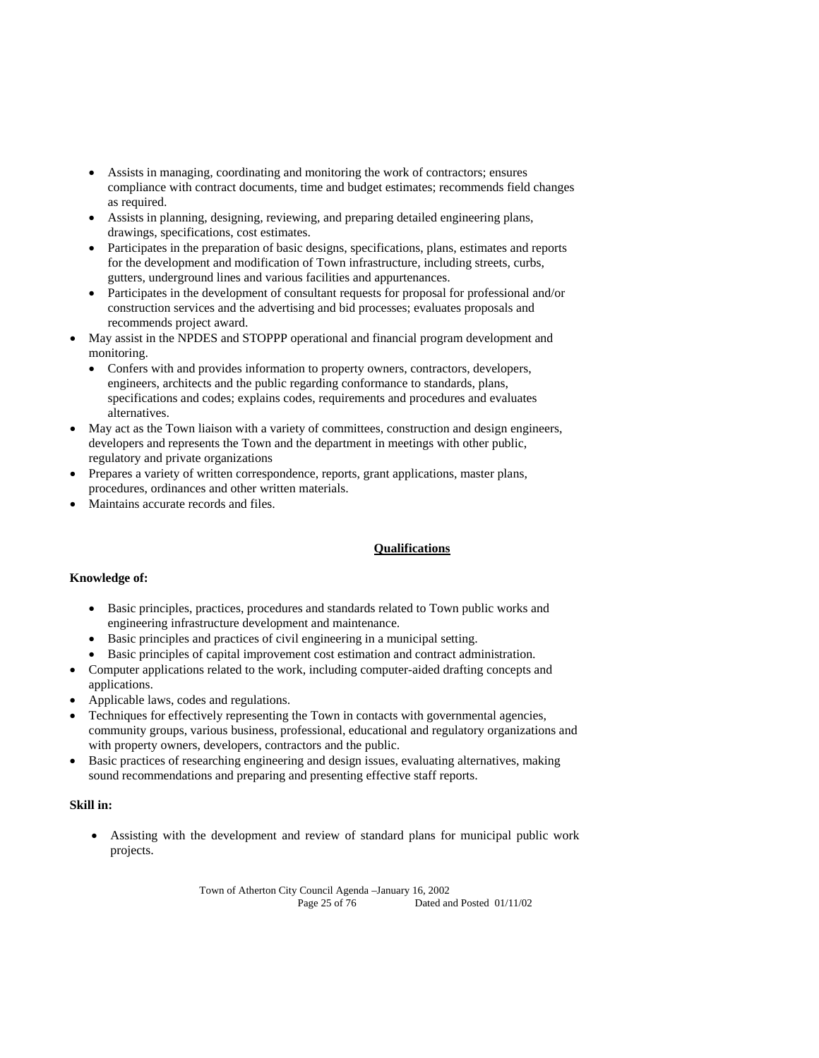- Assists in managing, coordinating and monitoring the work of contractors; ensures compliance with contract documents, time and budget estimates; recommends field changes as required.
- Assists in planning, designing, reviewing, and preparing detailed engineering plans, drawings, specifications, cost estimates.
- Participates in the preparation of basic designs, specifications, plans, estimates and reports for the development and modification of Town infrastructure, including streets, curbs, gutters, underground lines and various facilities and appurtenances.
- Participates in the development of consultant requests for proposal for professional and/or construction services and the advertising and bid processes; evaluates proposals and recommends project award.
- May assist in the NPDES and STOPPP operational and financial program development and monitoring.
	- Confers with and provides information to property owners, contractors, developers, engineers, architects and the public regarding conformance to standards, plans, specifications and codes; explains codes, requirements and procedures and evaluates alternatives.
- May act as the Town liaison with a variety of committees, construction and design engineers, developers and represents the Town and the department in meetings with other public, regulatory and private organizations
- Prepares a variety of written correspondence, reports, grant applications, master plans, procedures, ordinances and other written materials.
- Maintains accurate records and files.

# **Qualifications**

# **Knowledge of:**

- Basic principles, practices, procedures and standards related to Town public works and engineering infrastructure development and maintenance.
- Basic principles and practices of civil engineering in a municipal setting.
- Basic principles of capital improvement cost estimation and contract administration.
- Computer applications related to the work, including computer-aided drafting concepts and applications.
- Applicable laws, codes and regulations.
- Techniques for effectively representing the Town in contacts with governmental agencies, community groups, various business, professional, educational and regulatory organizations and with property owners, developers, contractors and the public.
- Basic practices of researching engineering and design issues, evaluating alternatives, making sound recommendations and preparing and presenting effective staff reports.

# **Skill in:**

 Assisting with the development and review of standard plans for municipal public work projects.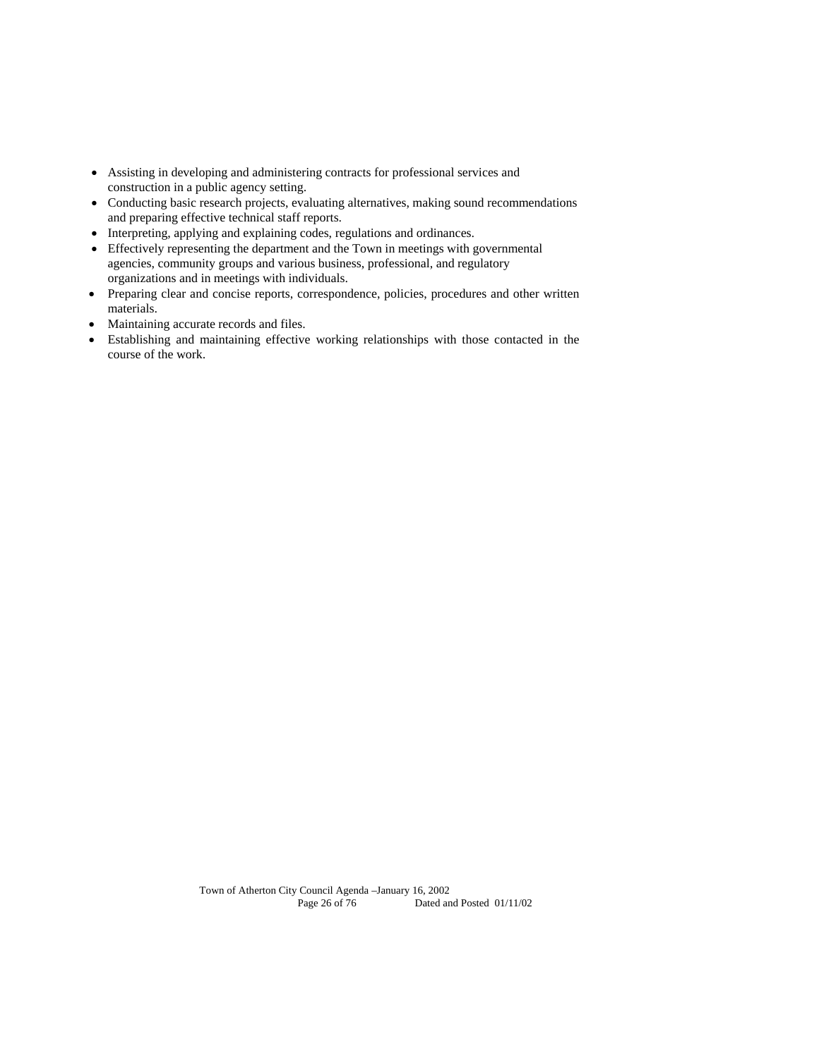- Assisting in developing and administering contracts for professional services and construction in a public agency setting.
- Conducting basic research projects, evaluating alternatives, making sound recommendations and preparing effective technical staff reports.
- Interpreting, applying and explaining codes, regulations and ordinances.
- Effectively representing the department and the Town in meetings with governmental agencies, community groups and various business, professional, and regulatory organizations and in meetings with individuals.
- Preparing clear and concise reports, correspondence, policies, procedures and other written materials.
- Maintaining accurate records and files.
- Establishing and maintaining effective working relationships with those contacted in the course of the work.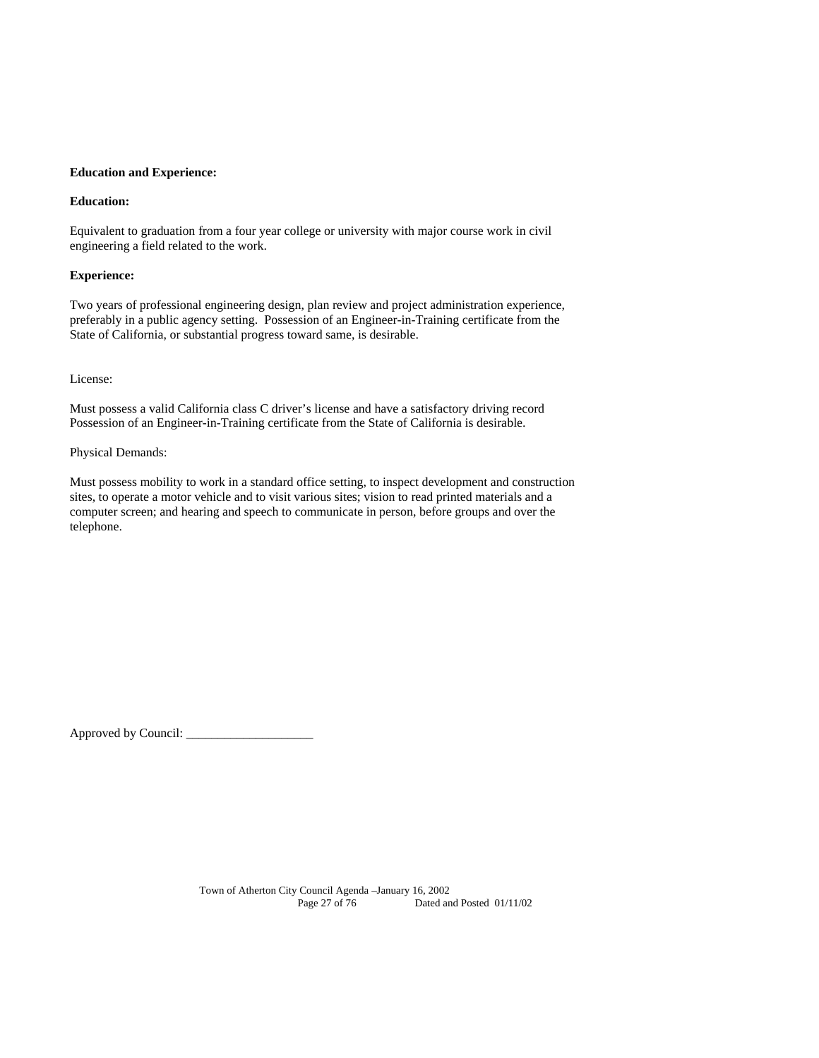### **Education and Experience:**

### **Education:**

Equivalent to graduation from a four year college or university with major course work in civil engineering a field related to the work.

### **Experience:**

Two years of professional engineering design, plan review and project administration experience, preferably in a public agency setting. Possession of an Engineer-in-Training certificate from the State of California, or substantial progress toward same, is desirable.

License:

Must possess a valid California class C driver's license and have a satisfactory driving record Possession of an Engineer-in-Training certificate from the State of California is desirable.

## Physical Demands:

Must possess mobility to work in a standard office setting, to inspect development and construction sites, to operate a motor vehicle and to visit various sites; vision to read printed materials and a computer screen; and hearing and speech to communicate in person, before groups and over the telephone.

Approved by Council: \_\_\_\_\_\_\_\_\_\_\_\_\_\_\_\_\_\_\_\_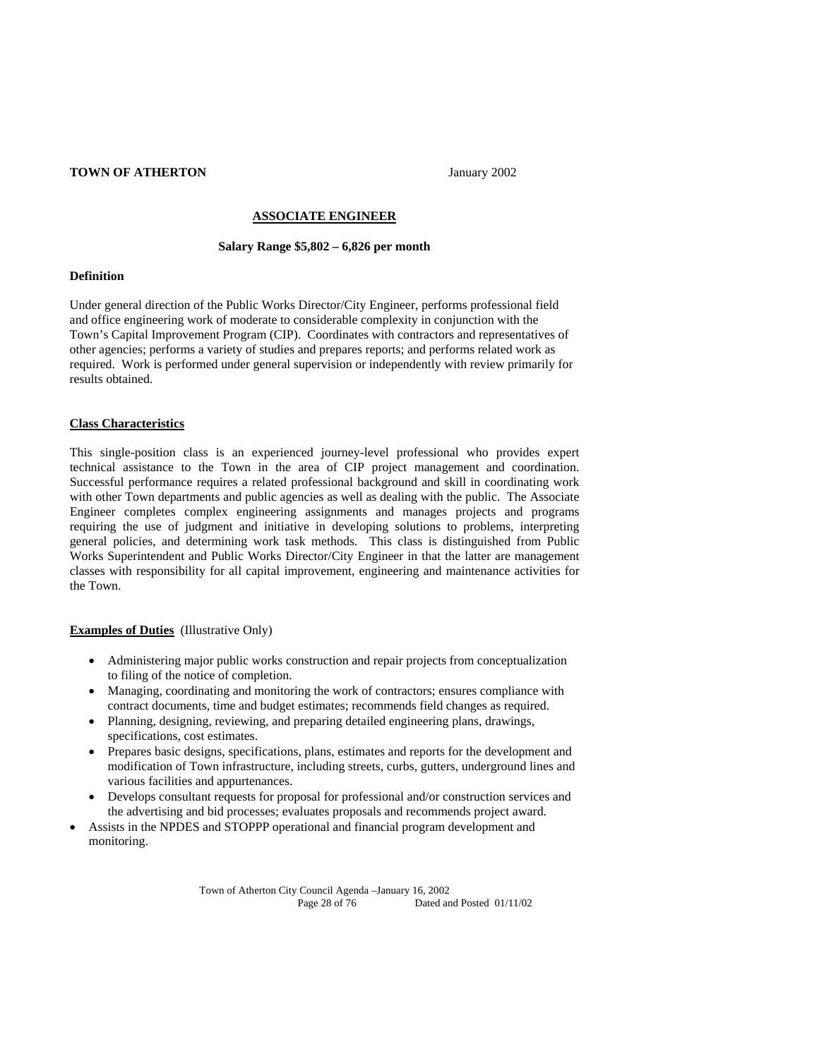## **TOWN OF ATHERTON** January 2002

### **ASSOCIATE ENGINEER**

#### **Salary Range \$5,802 – 6,826 per month**

#### **Definition**

Under general direction of the Public Works Director/City Engineer, performs professional field and office engineering work of moderate to considerable complexity in conjunction with the Town's Capital Improvement Program (CIP). Coordinates with contractors and representatives of other agencies; performs a variety of studies and prepares reports; and performs related work as required. Work is performed under general supervision or independently with review primarily for results obtained.

### **Class Characteristics**

This single-position class is an experienced journey-level professional who provides expert technical assistance to the Town in the area of CIP project management and coordination. Successful performance requires a related professional background and skill in coordinating work with other Town departments and public agencies as well as dealing with the public. The Associate Engineer completes complex engineering assignments and manages projects and programs requiring the use of judgment and initiative in developing solutions to problems, interpreting general policies, and determining work task methods. This class is distinguished from Public Works Superintendent and Public Works Director/City Engineer in that the latter are management classes with responsibility for all capital improvement, engineering and maintenance activities for the Town.

### **Examples of Duties** (Illustrative Only)

- Administering major public works construction and repair projects from conceptualization to filing of the notice of completion.
- Managing, coordinating and monitoring the work of contractors; ensures compliance with contract documents, time and budget estimates; recommends field changes as required.
- Planning, designing, reviewing, and preparing detailed engineering plans, drawings, specifications, cost estimates.
- Prepares basic designs, specifications, plans, estimates and reports for the development and modification of Town infrastructure, including streets, curbs, gutters, underground lines and various facilities and appurtenances.
- Develops consultant requests for proposal for professional and/or construction services and the advertising and bid processes; evaluates proposals and recommends project award.
- Assists in the NPDES and STOPPP operational and financial program development and monitoring.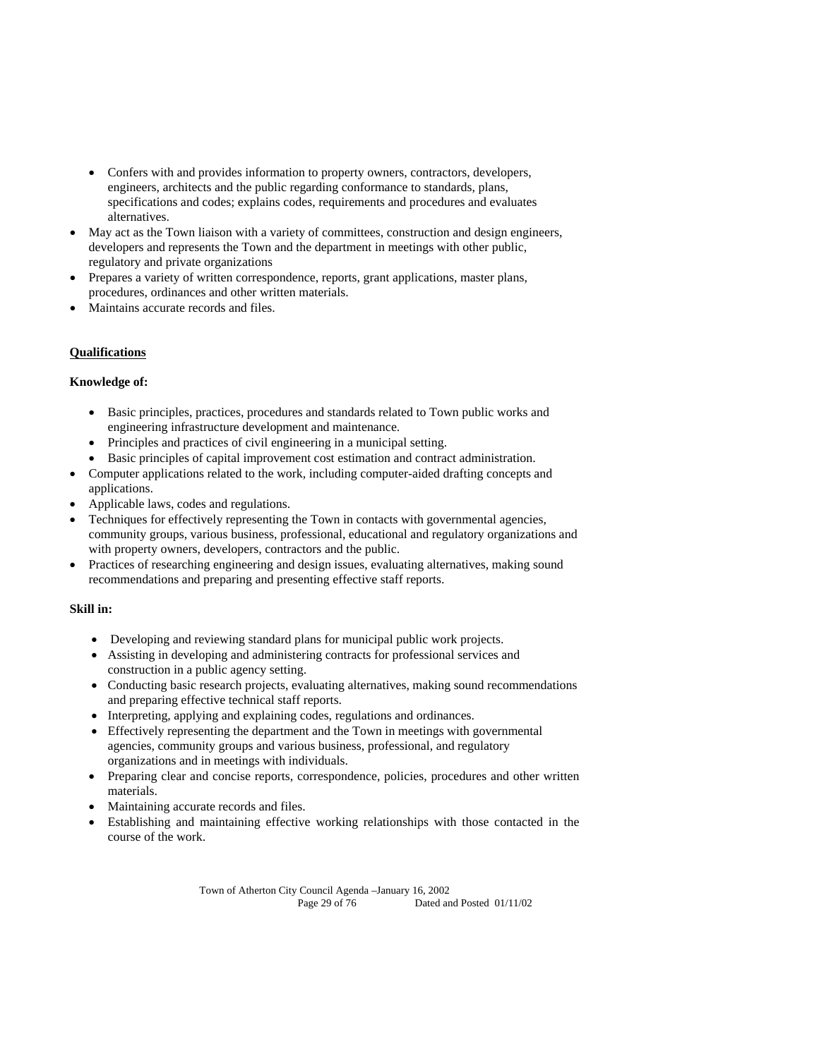- Confers with and provides information to property owners, contractors, developers, engineers, architects and the public regarding conformance to standards, plans, specifications and codes; explains codes, requirements and procedures and evaluates alternatives.
- May act as the Town liaison with a variety of committees, construction and design engineers, developers and represents the Town and the department in meetings with other public, regulatory and private organizations
- Prepares a variety of written correspondence, reports, grant applications, master plans, procedures, ordinances and other written materials.
- Maintains accurate records and files.

# **Qualifications**

# **Knowledge of:**

- Basic principles, practices, procedures and standards related to Town public works and engineering infrastructure development and maintenance.
- Principles and practices of civil engineering in a municipal setting.
- Basic principles of capital improvement cost estimation and contract administration.
- Computer applications related to the work, including computer-aided drafting concepts and applications.
- Applicable laws, codes and regulations.
- Techniques for effectively representing the Town in contacts with governmental agencies, community groups, various business, professional, educational and regulatory organizations and with property owners, developers, contractors and the public.
- Practices of researching engineering and design issues, evaluating alternatives, making sound recommendations and preparing and presenting effective staff reports.

## **Skill in:**

- Developing and reviewing standard plans for municipal public work projects.
- Assisting in developing and administering contracts for professional services and construction in a public agency setting.
- Conducting basic research projects, evaluating alternatives, making sound recommendations and preparing effective technical staff reports.
- Interpreting, applying and explaining codes, regulations and ordinances.
- Effectively representing the department and the Town in meetings with governmental agencies, community groups and various business, professional, and regulatory organizations and in meetings with individuals.
- Preparing clear and concise reports, correspondence, policies, procedures and other written materials.
- Maintaining accurate records and files.
- Establishing and maintaining effective working relationships with those contacted in the course of the work.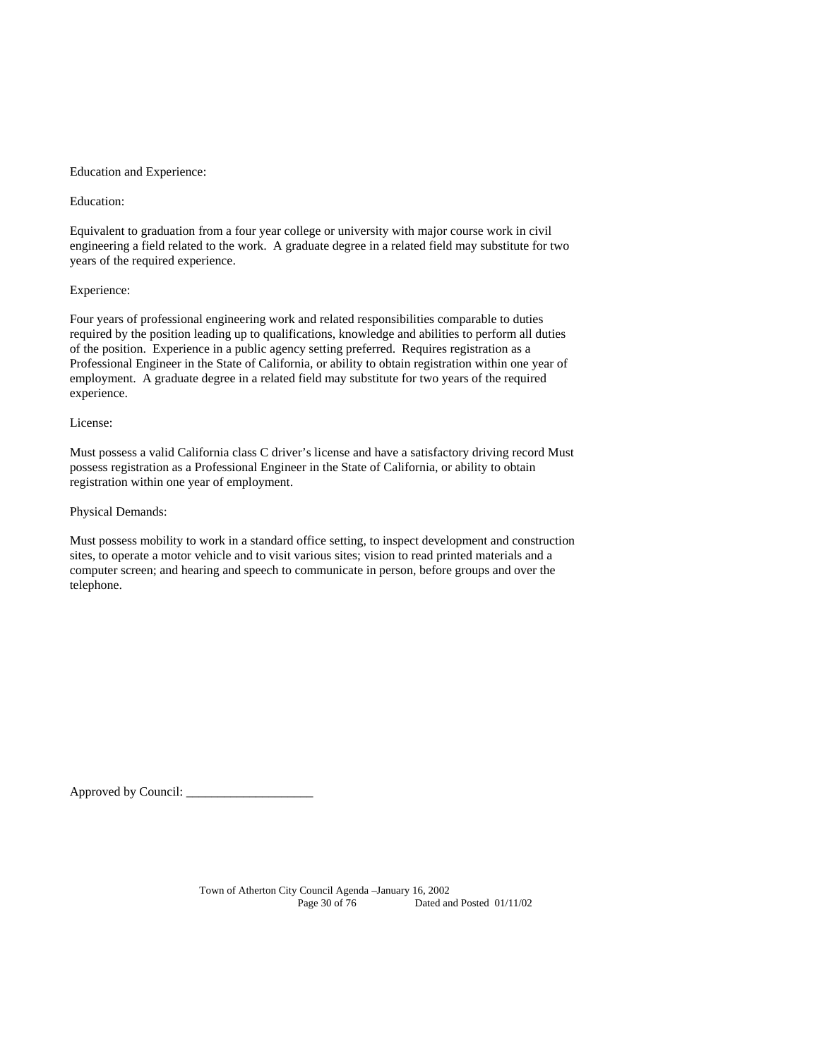#### Education and Experience:

Education:

Equivalent to graduation from a four year college or university with major course work in civil engineering a field related to the work. A graduate degree in a related field may substitute for two years of the required experience.

### Experience:

Four years of professional engineering work and related responsibilities comparable to duties required by the position leading up to qualifications, knowledge and abilities to perform all duties of the position. Experience in a public agency setting preferred. Requires registration as a Professional Engineer in the State of California, or ability to obtain registration within one year of employment. A graduate degree in a related field may substitute for two years of the required experience.

#### License:

Must possess a valid California class C driver's license and have a satisfactory driving record Must possess registration as a Professional Engineer in the State of California, or ability to obtain registration within one year of employment.

### Physical Demands:

Must possess mobility to work in a standard office setting, to inspect development and construction sites, to operate a motor vehicle and to visit various sites; vision to read printed materials and a computer screen; and hearing and speech to communicate in person, before groups and over the telephone.

Approved by Council: \_\_\_\_\_\_\_\_\_\_\_\_\_\_\_\_\_\_\_\_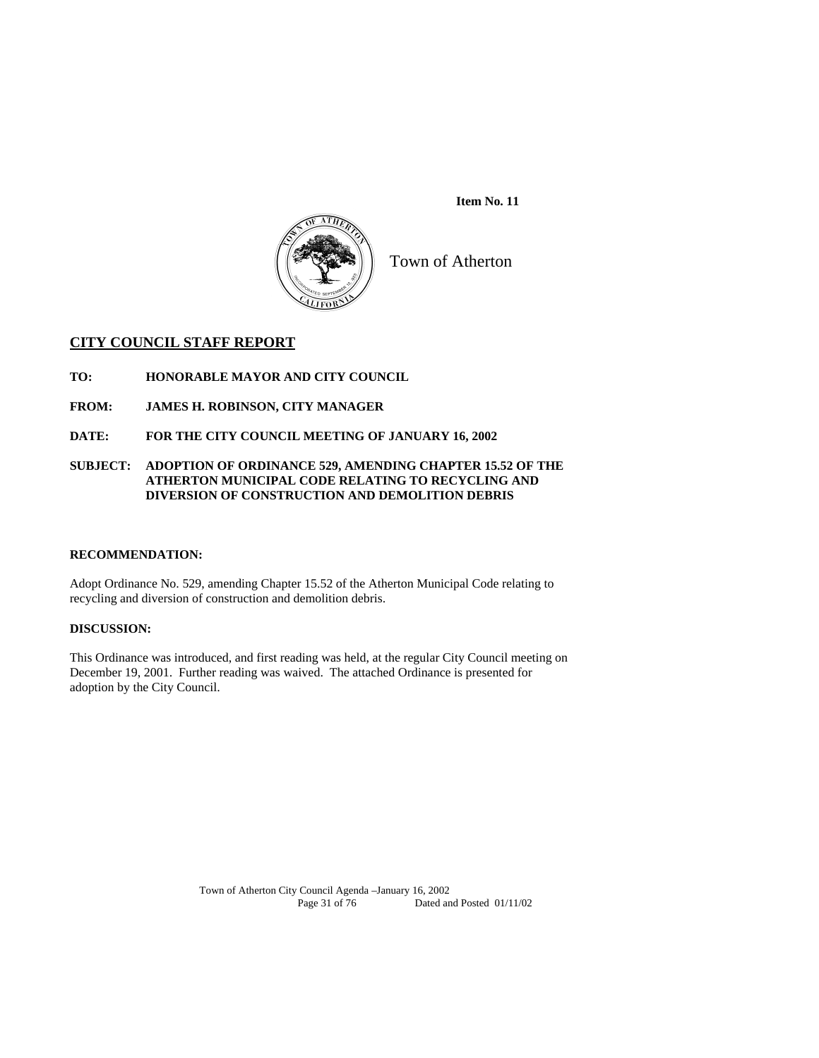

 **Item No. 11** 

Town of Atherton

# **CITY COUNCIL STAFF REPORT**

**TO: HONORABLE MAYOR AND CITY COUNCIL** 

- **FROM: JAMES H. ROBINSON, CITY MANAGER**
- **DATE: FOR THE CITY COUNCIL MEETING OF JANUARY 16, 2002**

# **SUBJECT: ADOPTION OF ORDINANCE 529, AMENDING CHAPTER 15.52 OF THE ATHERTON MUNICIPAL CODE RELATING TO RECYCLING AND DIVERSION OF CONSTRUCTION AND DEMOLITION DEBRIS**

## **RECOMMENDATION:**

Adopt Ordinance No. 529, amending Chapter 15.52 of the Atherton Municipal Code relating to recycling and diversion of construction and demolition debris.

# **DISCUSSION:**

This Ordinance was introduced, and first reading was held, at the regular City Council meeting on December 19, 2001. Further reading was waived. The attached Ordinance is presented for adoption by the City Council.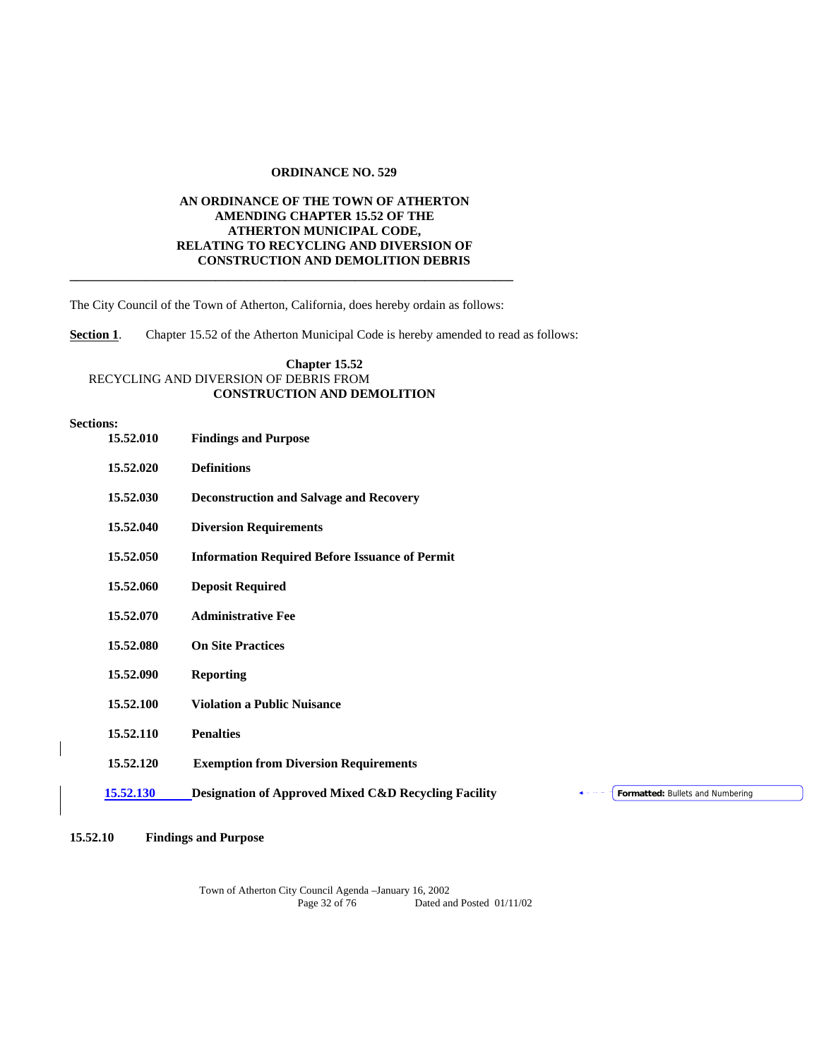### **ORDINANCE NO. 529**

# **AN ORDINANCE OF THE TOWN OF ATHERTON AMENDING CHAPTER 15.52 OF THE ATHERTON MUNICIPAL CODE, RELATING TO RECYCLING AND DIVERSION OF CONSTRUCTION AND DEMOLITION DEBRIS \_\_\_\_\_\_\_\_\_\_\_\_\_\_\_\_\_\_\_\_\_\_\_\_\_\_\_\_\_\_\_\_\_\_\_\_\_\_\_\_\_\_\_\_\_\_\_\_\_\_\_\_\_\_\_\_\_\_\_\_\_\_\_\_\_\_\_\_\_\_**

The City Council of the Town of Atherton, California, does hereby ordain as follows:

**Section 1.** Chapter 15.52 of the Atherton Municipal Code is hereby amended to read as follows:

## **Chapter 15.52** RECYCLING AND DIVERSION OF DEBRIS FROM **CONSTRUCTION AND DEMOLITION**

#### **Sections:**

 $\overline{\phantom{a}}$ 

| 15.52.010 | <b>Findings and Purpose</b>                                                                         |
|-----------|-----------------------------------------------------------------------------------------------------|
| 15.52.020 | <b>Definitions</b>                                                                                  |
| 15.52.030 | <b>Deconstruction and Salvage and Recovery</b>                                                      |
| 15.52.040 | <b>Diversion Requirements</b>                                                                       |
| 15.52.050 | <b>Information Required Before Issuance of Permit</b>                                               |
| 15.52.060 | <b>Deposit Required</b>                                                                             |
| 15.52.070 | <b>Administrative Fee</b>                                                                           |
| 15.52.080 | <b>On Site Practices</b>                                                                            |
| 15.52.090 | <b>Reporting</b>                                                                                    |
| 15.52.100 | <b>Violation a Public Nuisance</b>                                                                  |
| 15.52.110 | <b>Penalties</b>                                                                                    |
| 15.52.120 | <b>Exemption from Diversion Requirements</b>                                                        |
| 15.52.130 | <b>Designation of Approved Mixed C&amp;D Recycling Facility</b><br>Formatted: Bullets and Numbering |
|           |                                                                                                     |

# **15.52.10 Findings and Purpose**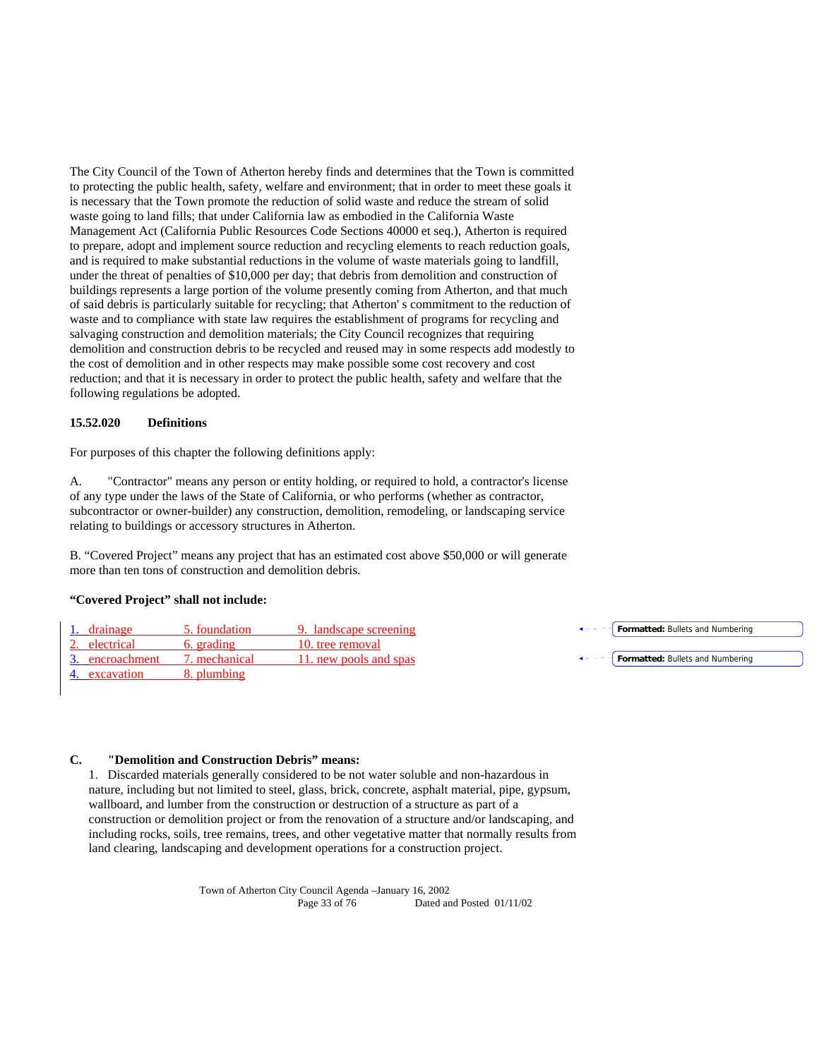The City Council of the Town of Atherton hereby finds and determines that the Town is committed to protecting the public health, safety, welfare and environment; that in order to meet these goals it is necessary that the Town promote the reduction of solid waste and reduce the stream of solid waste going to land fills; that under California law as embodied in the California Waste Management Act (California Public Resources Code Sections 40000 et seq.), Atherton is required to prepare, adopt and implement source reduction and recycling elements to reach reduction goals, and is required to make substantial reductions in the volume of waste materials going to landfill, under the threat of penalties of \$10,000 per day; that debris from demolition and construction of buildings represents a large portion of the volume presently coming from Atherton, and that much of said debris is particularly suitable for recycling; that Atherton' s commitment to the reduction of waste and to compliance with state law requires the establishment of programs for recycling and salvaging construction and demolition materials; the City Council recognizes that requiring demolition and construction debris to be recycled and reused may in some respects add modestly to the cost of demolition and in other respects may make possible some cost recovery and cost reduction; and that it is necessary in order to protect the public health, safety and welfare that the following regulations be adopted.

### **15.52.020 Definitions**

For purposes of this chapter the following definitions apply:

A. "Contractor" means any person or entity holding, or required to hold, a contractor's license of any type under the laws of the State of California, or who performs (whether as contractor, subcontractor or owner-builder) any construction, demolition, remodeling, or landscaping service relating to buildings or accessory structures in Atherton.

B. "Covered Project" means any project that has an estimated cost above \$50,000 or will generate more than ten tons of construction and demolition debris.

### **"Covered Project" shall not include:**

| 1. drainage     | 5. foundation | 9. landscape screening | Formatted: Bullets and Numbering                           |
|-----------------|---------------|------------------------|------------------------------------------------------------|
| 2. electrical   | 6. grading    | 10, tree removal       |                                                            |
| 3. encroachment | 7. mechanical | 11, new pools and spas | $\leftarrow - - -$ <b>Formatted:</b> Bullets and Numbering |
| 4. excavation   | 8. plumbing   |                        |                                                            |

# **C. "Demolition and Construction Debris" means:**

1. Discarded materials generally considered to be not water soluble and non-hazardous in nature, including but not limited to steel, glass, brick, concrete, asphalt material, pipe, gypsum, wallboard, and lumber from the construction or destruction of a structure as part of a construction or demolition project or from the renovation of a structure and/or landscaping, and including rocks, soils, tree remains, trees, and other vegetative matter that normally results from land clearing, landscaping and development operations for a construction project.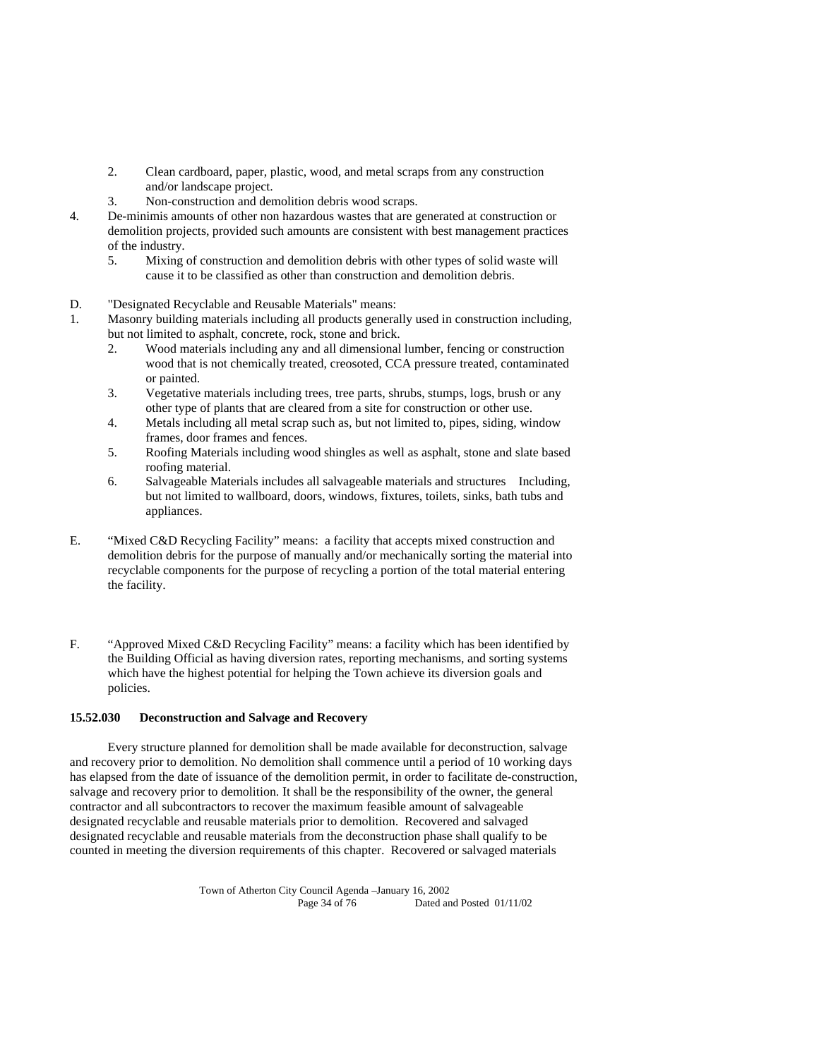- 2. Clean cardboard, paper, plastic, wood, and metal scraps from any construction and/or landscape project.
- 3. Non-construction and demolition debris wood scraps.
- 4. De-minimis amounts of other non hazardous wastes that are generated at construction or demolition projects, provided such amounts are consistent with best management practices of the industry.
	- 5. Mixing of construction and demolition debris with other types of solid waste will cause it to be classified as other than construction and demolition debris.
- D. "Designated Recyclable and Reusable Materials" means:
- 1. Masonry building materials including all products generally used in construction including, but not limited to asphalt, concrete, rock, stone and brick.
	- 2. Wood materials including any and all dimensional lumber, fencing or construction wood that is not chemically treated, creosoted, CCA pressure treated, contaminated or painted.
	- 3. Vegetative materials including trees, tree parts, shrubs, stumps, logs, brush or any other type of plants that are cleared from a site for construction or other use.
	- 4. Metals including all metal scrap such as, but not limited to, pipes, siding, window frames, door frames and fences.
	- 5. Roofing Materials including wood shingles as well as asphalt, stone and slate based roofing material.
	- 6. Salvageable Materials includes all salvageable materials and structures Including, but not limited to wallboard, doors, windows, fixtures, toilets, sinks, bath tubs and appliances.
- E. "Mixed C&D Recycling Facility" means: a facility that accepts mixed construction and demolition debris for the purpose of manually and/or mechanically sorting the material into recyclable components for the purpose of recycling a portion of the total material entering the facility.
- F. "Approved Mixed C&D Recycling Facility" means: a facility which has been identified by the Building Official as having diversion rates, reporting mechanisms, and sorting systems which have the highest potential for helping the Town achieve its diversion goals and policies.

### **15.52.030 Deconstruction and Salvage and Recovery**

 Every structure planned for demolition shall be made available for deconstruction, salvage and recovery prior to demolition. No demolition shall commence until a period of 10 working days has elapsed from the date of issuance of the demolition permit, in order to facilitate de-construction, salvage and recovery prior to demolition. It shall be the responsibility of the owner, the general contractor and all subcontractors to recover the maximum feasible amount of salvageable designated recyclable and reusable materials prior to demolition. Recovered and salvaged designated recyclable and reusable materials from the deconstruction phase shall qualify to be counted in meeting the diversion requirements of this chapter. Recovered or salvaged materials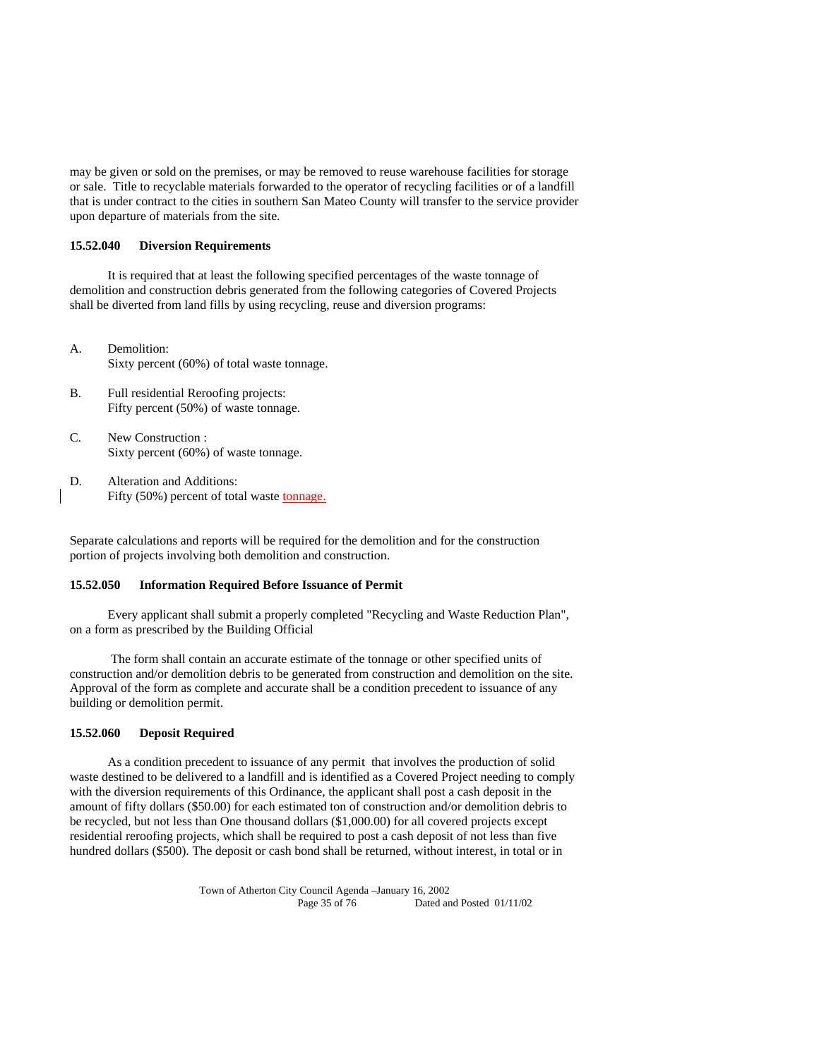may be given or sold on the premises, or may be removed to reuse warehouse facilities for storage or sale. Title to recyclable materials forwarded to the operator of recycling facilities or of a landfill that is under contract to the cities in southern San Mateo County will transfer to the service provider upon departure of materials from the site.

### **15.52.040 Diversion Requirements**

 It is required that at least the following specified percentages of the waste tonnage of demolition and construction debris generated from the following categories of Covered Projects shall be diverted from land fills by using recycling, reuse and diversion programs:

- A. Demolition: Sixty percent (60%) of total waste tonnage.
- B. Full residential Reroofing projects: Fifty percent (50%) of waste tonnage.
- C. New Construction : Sixty percent (60%) of waste tonnage.
- D. Alteration and Additions: Fifty (50%) percent of total waste tonnage.

Separate calculations and reports will be required for the demolition and for the construction portion of projects involving both demolition and construction.

### **15.52.050 Information Required Before Issuance of Permit**

 Every applicant shall submit a properly completed "Recycling and Waste Reduction Plan", on a form as prescribed by the Building Official

 The form shall contain an accurate estimate of the tonnage or other specified units of construction and/or demolition debris to be generated from construction and demolition on the site. Approval of the form as complete and accurate shall be a condition precedent to issuance of any building or demolition permit.

### **15.52.060 Deposit Required**

 As a condition precedent to issuance of any permit that involves the production of solid waste destined to be delivered to a landfill and is identified as a Covered Project needing to comply with the diversion requirements of this Ordinance, the applicant shall post a cash deposit in the amount of fifty dollars (\$50.00) for each estimated ton of construction and/or demolition debris to be recycled, but not less than One thousand dollars (\$1,000.00) for all covered projects except residential reroofing projects, which shall be required to post a cash deposit of not less than five hundred dollars (\$500). The deposit or cash bond shall be returned, without interest, in total or in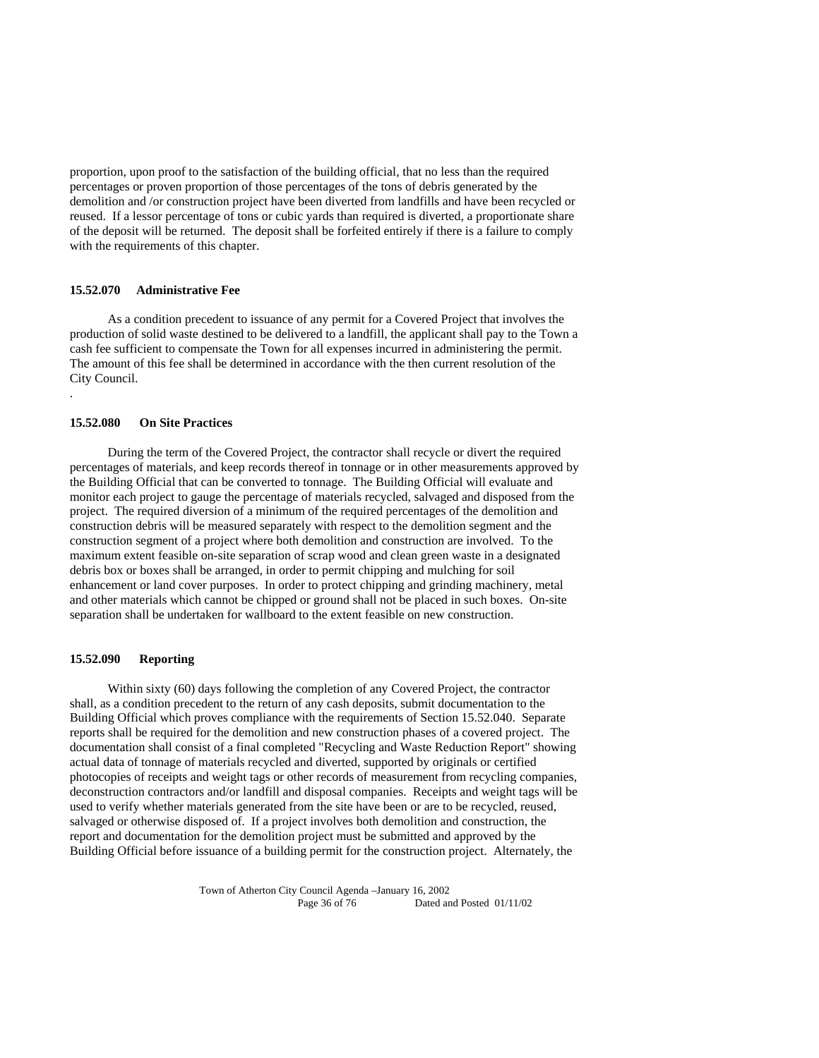proportion, upon proof to the satisfaction of the building official, that no less than the required percentages or proven proportion of those percentages of the tons of debris generated by the demolition and /or construction project have been diverted from landfills and have been recycled or reused. If a lessor percentage of tons or cubic yards than required is diverted, a proportionate share of the deposit will be returned. The deposit shall be forfeited entirely if there is a failure to comply with the requirements of this chapter.

# **15.52.070 Administrative Fee**

 As a condition precedent to issuance of any permit for a Covered Project that involves the production of solid waste destined to be delivered to a landfill, the applicant shall pay to the Town a cash fee sufficient to compensate the Town for all expenses incurred in administering the permit. The amount of this fee shall be determined in accordance with the then current resolution of the City Council.

### **15.52.080 On Site Practices**

.

 During the term of the Covered Project, the contractor shall recycle or divert the required percentages of materials, and keep records thereof in tonnage or in other measurements approved by the Building Official that can be converted to tonnage. The Building Official will evaluate and monitor each project to gauge the percentage of materials recycled, salvaged and disposed from the project. The required diversion of a minimum of the required percentages of the demolition and construction debris will be measured separately with respect to the demolition segment and the construction segment of a project where both demolition and construction are involved. To the maximum extent feasible on-site separation of scrap wood and clean green waste in a designated debris box or boxes shall be arranged, in order to permit chipping and mulching for soil enhancement or land cover purposes. In order to protect chipping and grinding machinery, metal and other materials which cannot be chipped or ground shall not be placed in such boxes. On-site separation shall be undertaken for wallboard to the extent feasible on new construction.

#### **15.52.090 Reporting**

 Within sixty (60) days following the completion of any Covered Project, the contractor shall, as a condition precedent to the return of any cash deposits, submit documentation to the Building Official which proves compliance with the requirements of Section 15.52.040. Separate reports shall be required for the demolition and new construction phases of a covered project. The documentation shall consist of a final completed "Recycling and Waste Reduction Report" showing actual data of tonnage of materials recycled and diverted, supported by originals or certified photocopies of receipts and weight tags or other records of measurement from recycling companies, deconstruction contractors and/or landfill and disposal companies. Receipts and weight tags will be used to verify whether materials generated from the site have been or are to be recycled, reused, salvaged or otherwise disposed of. If a project involves both demolition and construction, the report and documentation for the demolition project must be submitted and approved by the Building Official before issuance of a building permit for the construction project. Alternately, the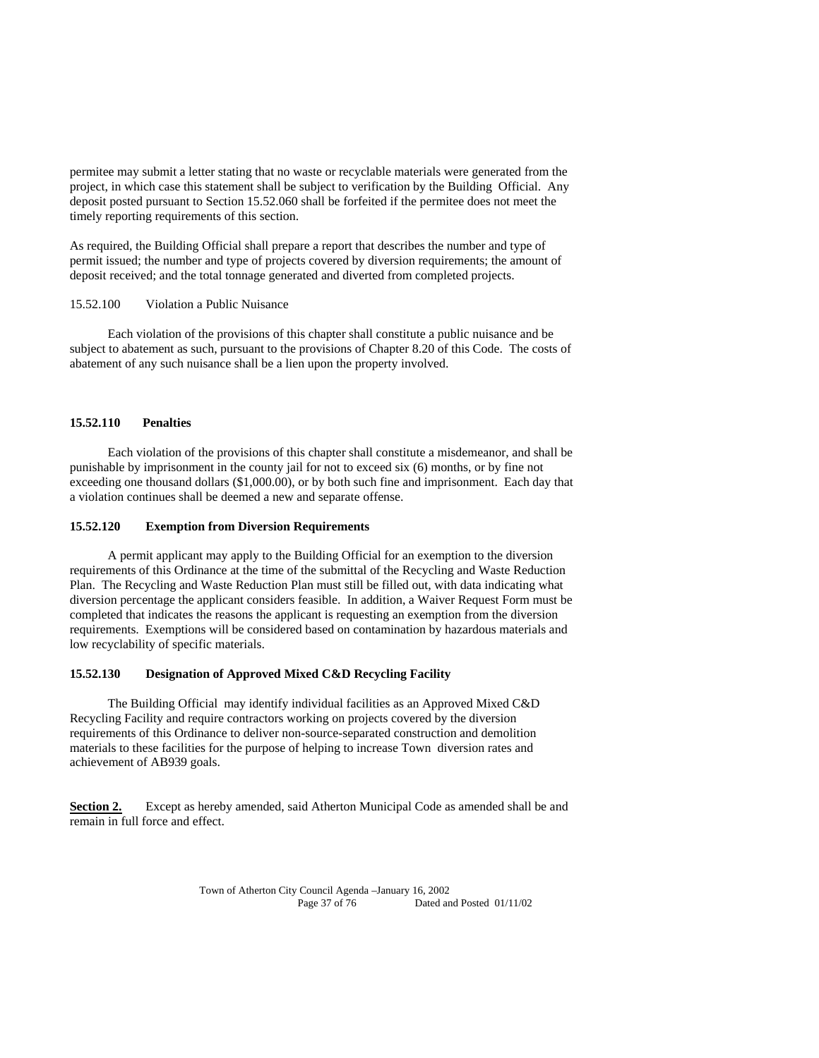permitee may submit a letter stating that no waste or recyclable materials were generated from the project, in which case this statement shall be subject to verification by the Building Official. Any deposit posted pursuant to Section 15.52.060 shall be forfeited if the permitee does not meet the timely reporting requirements of this section.

As required, the Building Official shall prepare a report that describes the number and type of permit issued; the number and type of projects covered by diversion requirements; the amount of deposit received; and the total tonnage generated and diverted from completed projects.

#### 15.52.100 Violation a Public Nuisance

 Each violation of the provisions of this chapter shall constitute a public nuisance and be subject to abatement as such, pursuant to the provisions of Chapter 8.20 of this Code. The costs of abatement of any such nuisance shall be a lien upon the property involved.

#### **15.52.110 Penalties**

 Each violation of the provisions of this chapter shall constitute a misdemeanor, and shall be punishable by imprisonment in the county jail for not to exceed six (6) months, or by fine not exceeding one thousand dollars (\$1,000.00), or by both such fine and imprisonment. Each day that a violation continues shall be deemed a new and separate offense.

#### **15.52.120 Exemption from Diversion Requirements**

 A permit applicant may apply to the Building Official for an exemption to the diversion requirements of this Ordinance at the time of the submittal of the Recycling and Waste Reduction Plan. The Recycling and Waste Reduction Plan must still be filled out, with data indicating what diversion percentage the applicant considers feasible. In addition, a Waiver Request Form must be completed that indicates the reasons the applicant is requesting an exemption from the diversion requirements. Exemptions will be considered based on contamination by hazardous materials and low recyclability of specific materials.

#### **15.52.130 Designation of Approved Mixed C&D Recycling Facility**

 The Building Official may identify individual facilities as an Approved Mixed C&D Recycling Facility and require contractors working on projects covered by the diversion requirements of this Ordinance to deliver non-source-separated construction and demolition materials to these facilities for the purpose of helping to increase Town diversion rates and achievement of AB939 goals.

**Section 2.** Except as hereby amended, said Atherton Municipal Code as amended shall be and remain in full force and effect.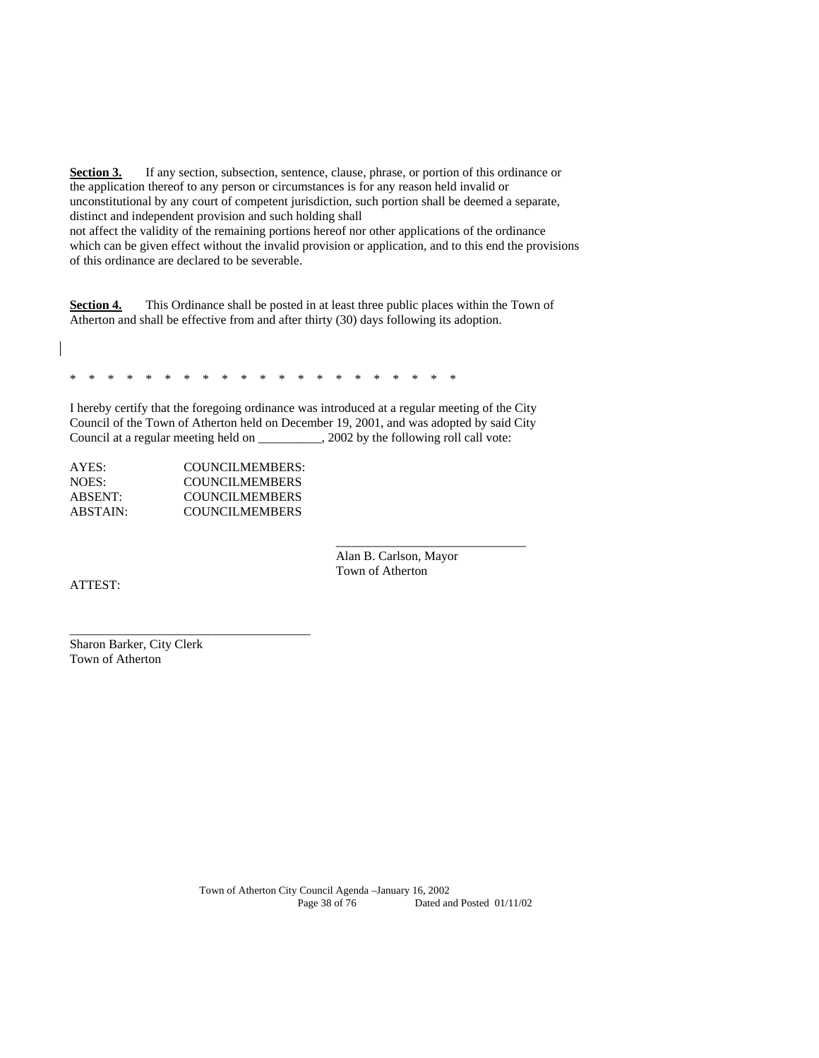**Section 3.** If any section, subsection, sentence, clause, phrase, or portion of this ordinance or the application thereof to any person or circumstances is for any reason held invalid or unconstitutional by any court of competent jurisdiction, such portion shall be deemed a separate, distinct and independent provision and such holding shall

not affect the validity of the remaining portions hereof nor other applications of the ordinance which can be given effect without the invalid provision or application, and to this end the provisions of this ordinance are declared to be severable.

**Section 4.** This Ordinance shall be posted in at least three public places within the Town of Atherton and shall be effective from and after thirty (30) days following its adoption.

\* \* \* \* \* \* \* \* \* \* \* \* \* \* \* \* \* \* \* \* \*

I hereby certify that the foregoing ordinance was introduced at a regular meeting of the City Council of the Town of Atherton held on December 19, 2001, and was adopted by said City Council at a regular meeting held on \_\_\_\_\_\_\_\_\_\_, 2002 by the following roll call vote:

 $\_$ 

| COUNCILMEMBERS:       |
|-----------------------|
| COUNCILMEMBERS        |
| <b>COUNCILMEMBERS</b> |
| COUNCILMEMBERS        |
|                       |

\_\_\_\_\_\_\_\_\_\_\_\_\_\_\_\_\_\_\_\_\_\_\_\_\_\_\_\_\_\_\_\_\_\_\_\_\_\_

 Alan B. Carlson, Mayor Town of Atherton

ATTEST:

Sharon Barker, City Clerk Town of Atherton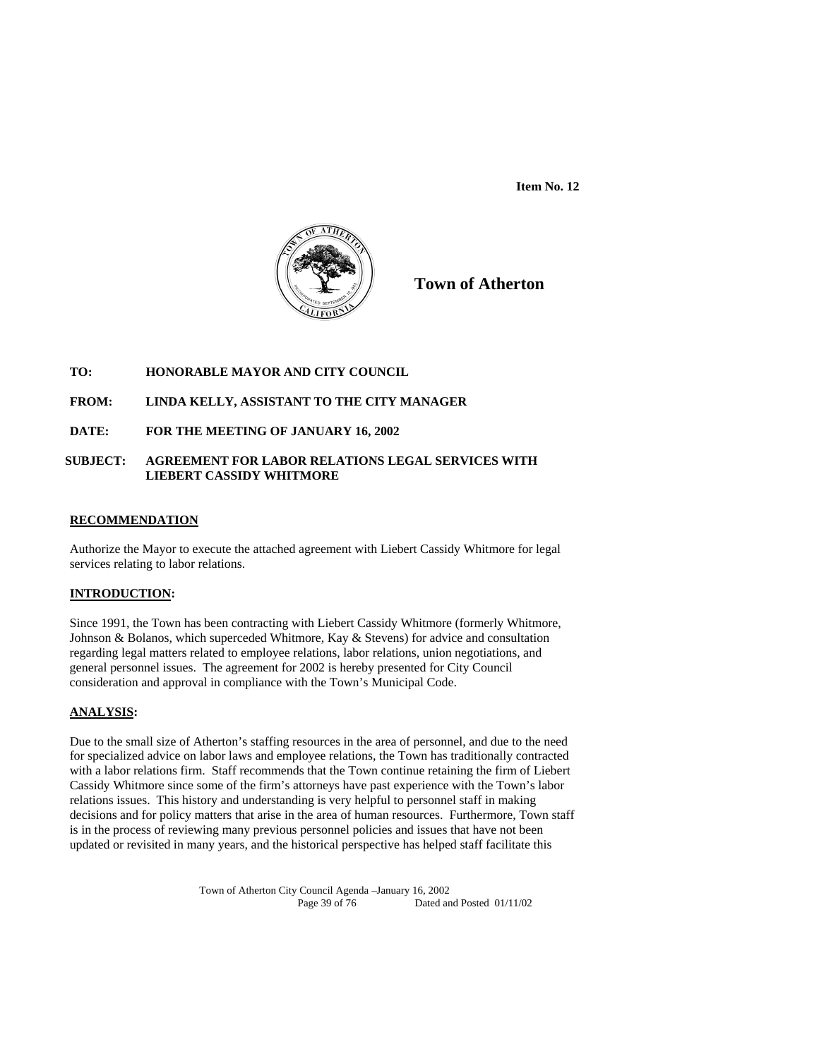

**Town of Atherton**

## **TO: HONORABLE MAYOR AND CITY COUNCIL**

#### **FROM: LINDA KELLY, ASSISTANT TO THE CITY MANAGER**

#### **DATE: FOR THE MEETING OF JANUARY 16, 2002**

## **SUBJECT: AGREEMENT FOR LABOR RELATIONS LEGAL SERVICES WITH LIEBERT CASSIDY WHITMORE**

#### **RECOMMENDATION**

Authorize the Mayor to execute the attached agreement with Liebert Cassidy Whitmore for legal services relating to labor relations.

#### **INTRODUCTION:**

Since 1991, the Town has been contracting with Liebert Cassidy Whitmore (formerly Whitmore, Johnson & Bolanos, which superceded Whitmore, Kay & Stevens) for advice and consultation regarding legal matters related to employee relations, labor relations, union negotiations, and general personnel issues. The agreement for 2002 is hereby presented for City Council consideration and approval in compliance with the Town's Municipal Code.

#### **ANALYSIS:**

Due to the small size of Atherton's staffing resources in the area of personnel, and due to the need for specialized advice on labor laws and employee relations, the Town has traditionally contracted with a labor relations firm. Staff recommends that the Town continue retaining the firm of Liebert Cassidy Whitmore since some of the firm's attorneys have past experience with the Town's labor relations issues. This history and understanding is very helpful to personnel staff in making decisions and for policy matters that arise in the area of human resources. Furthermore, Town staff is in the process of reviewing many previous personnel policies and issues that have not been updated or revisited in many years, and the historical perspective has helped staff facilitate this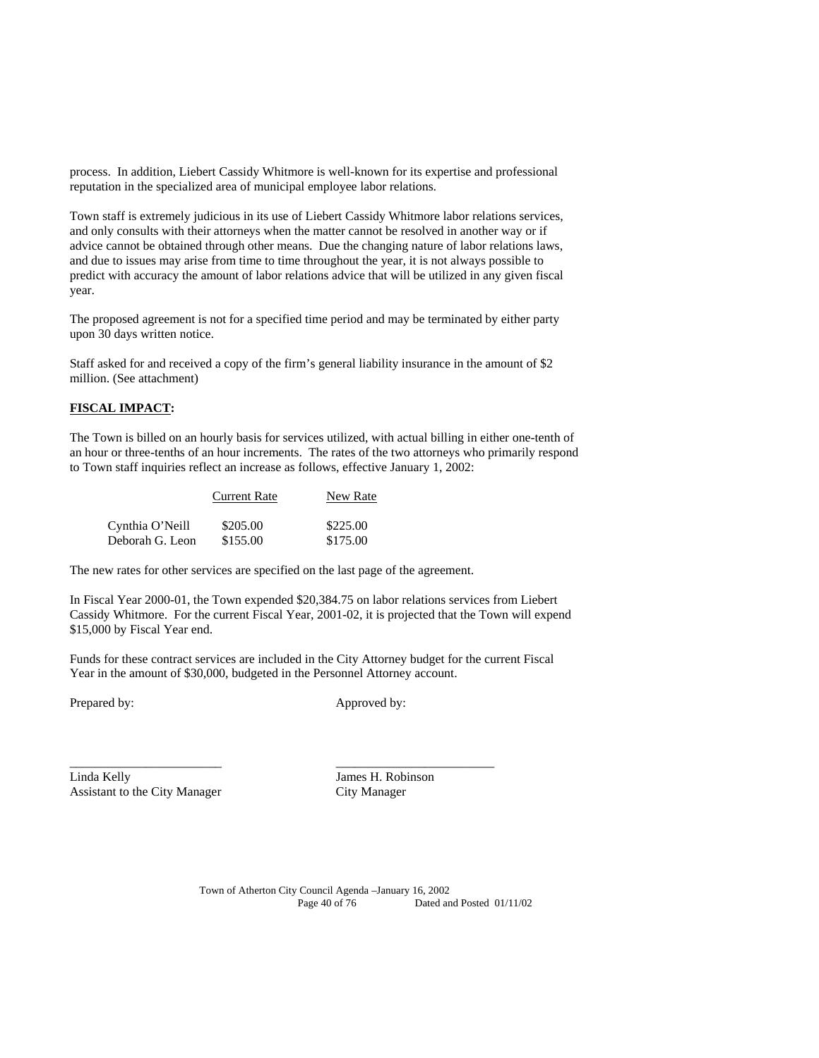process. In addition, Liebert Cassidy Whitmore is well-known for its expertise and professional reputation in the specialized area of municipal employee labor relations.

Town staff is extremely judicious in its use of Liebert Cassidy Whitmore labor relations services, and only consults with their attorneys when the matter cannot be resolved in another way or if advice cannot be obtained through other means. Due the changing nature of labor relations laws, and due to issues may arise from time to time throughout the year, it is not always possible to predict with accuracy the amount of labor relations advice that will be utilized in any given fiscal year.

The proposed agreement is not for a specified time period and may be terminated by either party upon 30 days written notice.

Staff asked for and received a copy of the firm's general liability insurance in the amount of \$2 million. (See attachment)

## **FISCAL IMPACT:**

The Town is billed on an hourly basis for services utilized, with actual billing in either one-tenth of an hour or three-tenths of an hour increments. The rates of the two attorneys who primarily respond to Town staff inquiries reflect an increase as follows, effective January 1, 2002:

|                 | <b>Current Rate</b> | New Rate |
|-----------------|---------------------|----------|
| Cynthia O'Neill | \$205.00            | \$225.00 |
| Deborah G. Leon | \$155.00            | \$175.00 |

The new rates for other services are specified on the last page of the agreement.

In Fiscal Year 2000-01, the Town expended \$20,384.75 on labor relations services from Liebert Cassidy Whitmore. For the current Fiscal Year, 2001-02, it is projected that the Town will expend \$15,000 by Fiscal Year end.

Funds for these contract services are included in the City Attorney budget for the current Fiscal Year in the amount of \$30,000, budgeted in the Personnel Attorney account.

\_\_\_\_\_\_\_\_\_\_\_\_\_\_\_\_\_\_\_\_\_\_\_\_ \_\_\_\_\_\_\_\_\_\_\_\_\_\_\_\_\_\_\_\_\_\_\_\_\_

Prepared by: Approved by: Approved by:

Linda Kelly James H. Robinson Assistant to the City Manager City Manager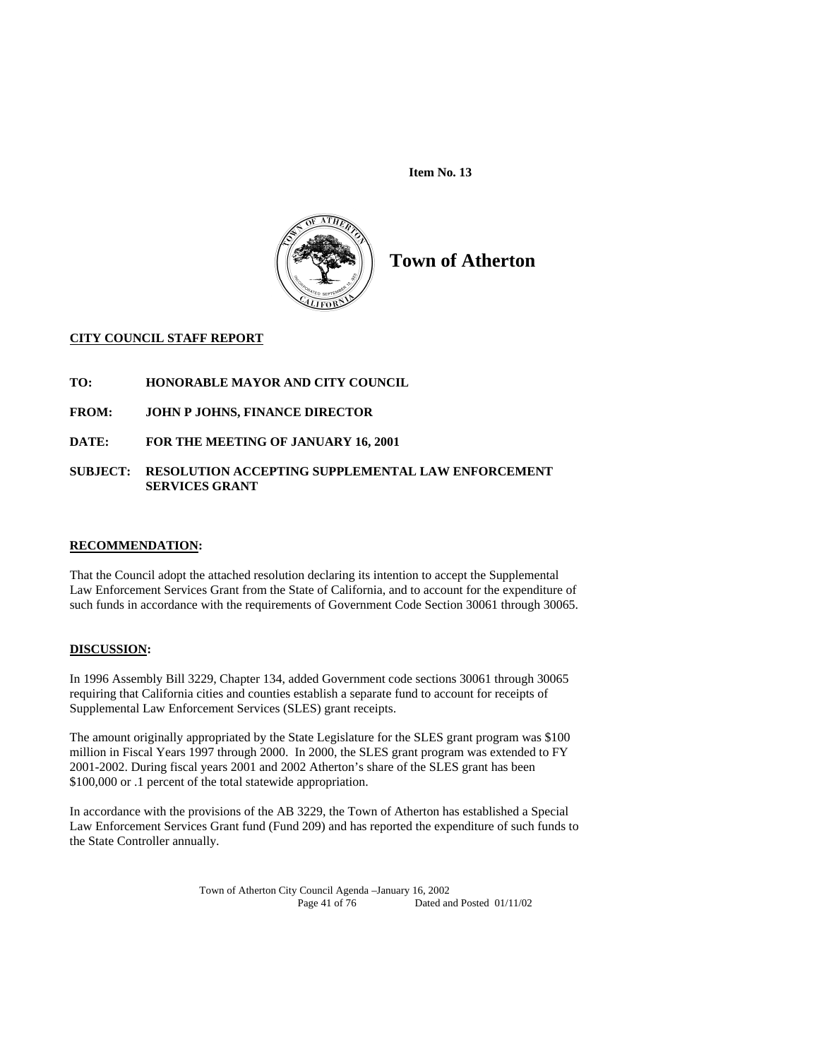

**Town of Atherton** 

## **CITY COUNCIL STAFF REPORT**

- **TO: HONORABLE MAYOR AND CITY COUNCIL**
- **FROM: JOHN P JOHNS, FINANCE DIRECTOR**
- **DATE: FOR THE MEETING OF JANUARY 16, 2001**

## **SUBJECT: RESOLUTION ACCEPTING SUPPLEMENTAL LAW ENFORCEMENT SERVICES GRANT**

#### **RECOMMENDATION:**

That the Council adopt the attached resolution declaring its intention to accept the Supplemental Law Enforcement Services Grant from the State of California, and to account for the expenditure of such funds in accordance with the requirements of Government Code Section 30061 through 30065.

## **DISCUSSION:**

In 1996 Assembly Bill 3229, Chapter 134, added Government code sections 30061 through 30065 requiring that California cities and counties establish a separate fund to account for receipts of Supplemental Law Enforcement Services (SLES) grant receipts.

The amount originally appropriated by the State Legislature for the SLES grant program was \$100 million in Fiscal Years 1997 through 2000. In 2000, the SLES grant program was extended to FY 2001-2002. During fiscal years 2001 and 2002 Atherton's share of the SLES grant has been \$100,000 or .1 percent of the total statewide appropriation.

In accordance with the provisions of the AB 3229, the Town of Atherton has established a Special Law Enforcement Services Grant fund (Fund 209) and has reported the expenditure of such funds to the State Controller annually.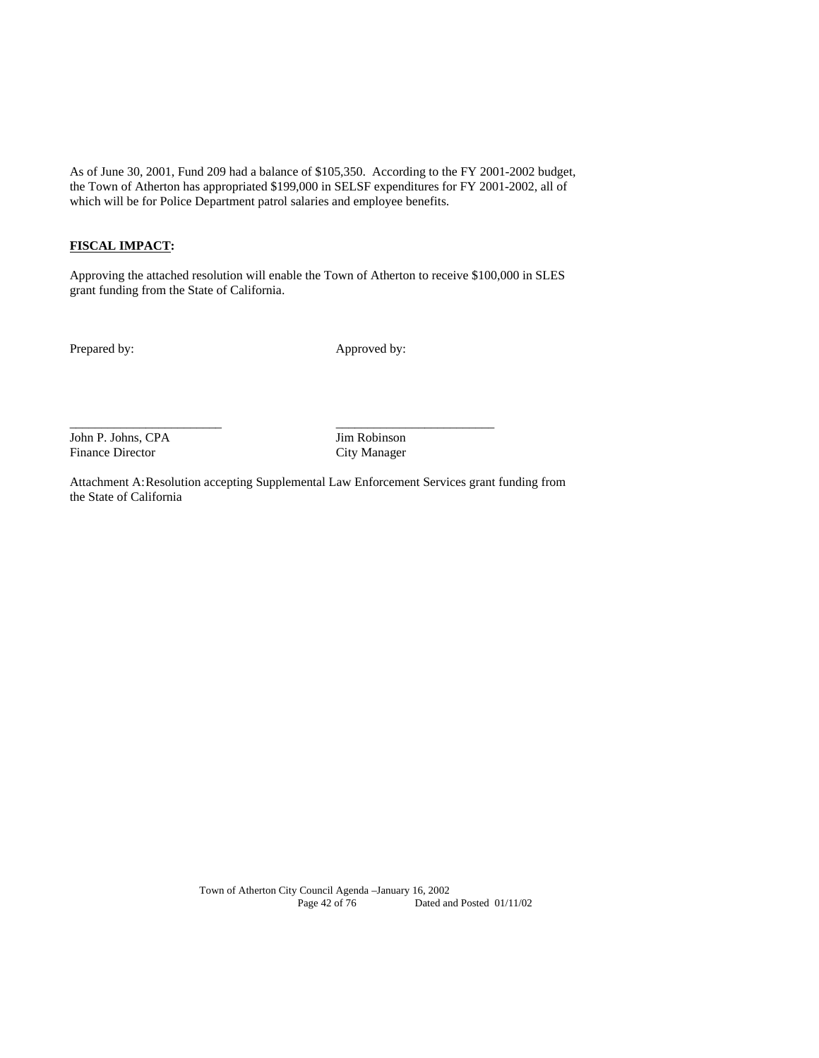As of June 30, 2001, Fund 209 had a balance of \$105,350. According to the FY 2001-2002 budget, the Town of Atherton has appropriated \$199,000 in SELSF expenditures for FY 2001-2002, all of which will be for Police Department patrol salaries and employee benefits.

# **FISCAL IMPACT:**

Approving the attached resolution will enable the Town of Atherton to receive \$100,000 in SLES grant funding from the State of California.

Prepared by: Approved by:

John P. Johns, CPA Jim Robinson Finance Director City Manager

Attachment A: Resolution accepting Supplemental Law Enforcement Services grant funding from the State of California

\_\_\_\_\_\_\_\_\_\_\_\_\_\_\_\_\_\_\_\_\_\_\_\_ \_\_\_\_\_\_\_\_\_\_\_\_\_\_\_\_\_\_\_\_\_\_\_\_\_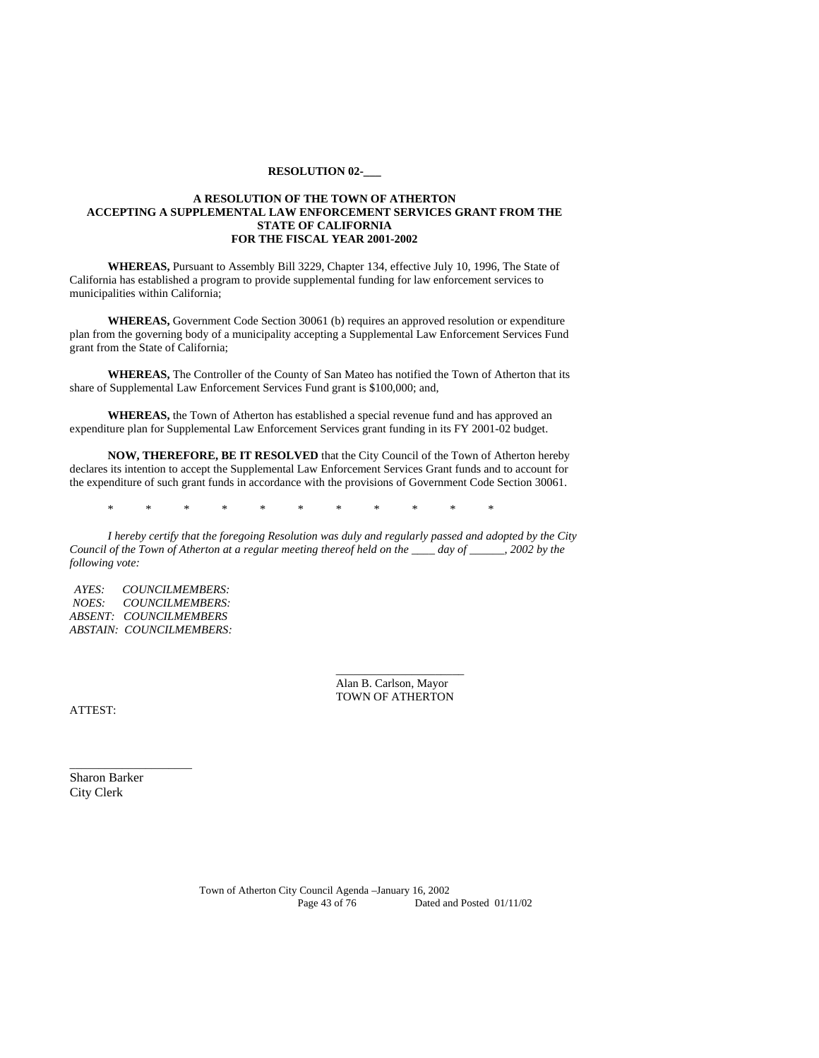#### **RESOLUTION 02-\_\_\_**

#### **A RESOLUTION OF THE TOWN OF ATHERTON ACCEPTING A SUPPLEMENTAL LAW ENFORCEMENT SERVICES GRANT FROM THE STATE OF CALIFORNIA FOR THE FISCAL YEAR 2001-2002**

 **WHEREAS,** Pursuant to Assembly Bill 3229, Chapter 134, effective July 10, 1996, The State of California has established a program to provide supplemental funding for law enforcement services to municipalities within California;

**WHEREAS,** Government Code Section 30061 (b) requires an approved resolution or expenditure plan from the governing body of a municipality accepting a Supplemental Law Enforcement Services Fund grant from the State of California;

**WHEREAS,** The Controller of the County of San Mateo has notified the Town of Atherton that its share of Supplemental Law Enforcement Services Fund grant is \$100,000; and,

**WHEREAS,** the Town of Atherton has established a special revenue fund and has approved an expenditure plan for Supplemental Law Enforcement Services grant funding in its FY 2001-02 budget.

**NOW, THEREFORE, BE IT RESOLVED** that the City Council of the Town of Atherton hereby declares its intention to accept the Supplemental Law Enforcement Services Grant funds and to account for the expenditure of such grant funds in accordance with the provisions of Government Code Section 30061.

\* \* \* \* \* \* \* \* \* \* \*

 *\_\_\_\_\_\_\_\_\_\_\_\_\_\_\_\_\_\_\_\_\_\_*

*I hereby certify that the foregoing Resolution was duly and regularly passed and adopted by the City Council of the Town of Atherton at a regular meeting thereof held on the \_\_\_\_ day of \_\_\_\_\_\_, 2002 by the following vote:* 

*AYES: COUNCILMEMBERS: NOES: COUNCILMEMBERS: ABSENT: COUNCILMEMBERS ABSTAIN: COUNCILMEMBERS:* 

> Alan B. Carlson, Mayor TOWN OF ATHERTON

ATTEST:

Sharon Barker City Clerk

 $\overline{\phantom{a}}$  , and the set of the set of the set of the set of the set of the set of the set of the set of the set of the set of the set of the set of the set of the set of the set of the set of the set of the set of the s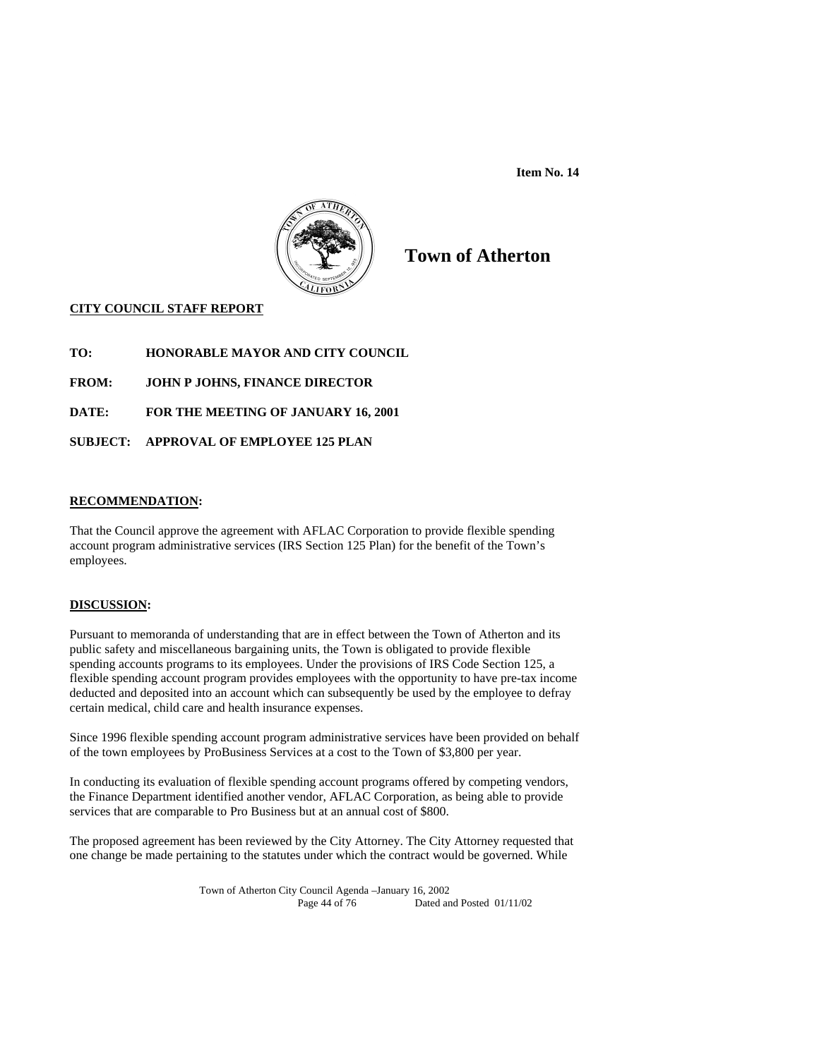

# **Town of Atherton**

# **CITY COUNCIL STAFF REPORT**

- **TO: HONORABLE MAYOR AND CITY COUNCIL**
- **FROM: JOHN P JOHNS, FINANCE DIRECTOR**
- **DATE: FOR THE MEETING OF JANUARY 16, 2001**
- **SUBJECT: APPROVAL OF EMPLOYEE 125 PLAN**

#### **RECOMMENDATION:**

That the Council approve the agreement with AFLAC Corporation to provide flexible spending account program administrative services (IRS Section 125 Plan) for the benefit of the Town's employees.

#### **DISCUSSION:**

Pursuant to memoranda of understanding that are in effect between the Town of Atherton and its public safety and miscellaneous bargaining units, the Town is obligated to provide flexible spending accounts programs to its employees. Under the provisions of IRS Code Section 125, a flexible spending account program provides employees with the opportunity to have pre-tax income deducted and deposited into an account which can subsequently be used by the employee to defray certain medical, child care and health insurance expenses.

Since 1996 flexible spending account program administrative services have been provided on behalf of the town employees by ProBusiness Services at a cost to the Town of \$3,800 per year.

In conducting its evaluation of flexible spending account programs offered by competing vendors, the Finance Department identified another vendor, AFLAC Corporation, as being able to provide services that are comparable to Pro Business but at an annual cost of \$800.

The proposed agreement has been reviewed by the City Attorney. The City Attorney requested that one change be made pertaining to the statutes under which the contract would be governed. While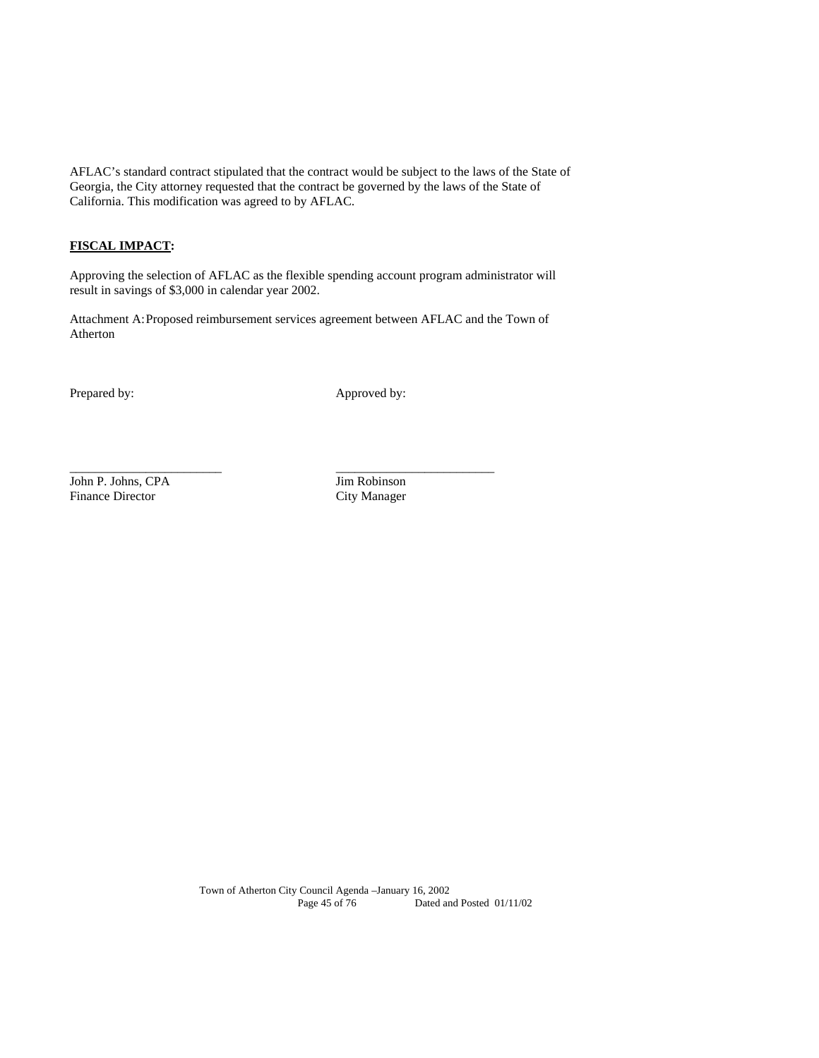AFLAC's standard contract stipulated that the contract would be subject to the laws of the State of Georgia, the City attorney requested that the contract be governed by the laws of the State of California. This modification was agreed to by AFLAC.

## **FISCAL IMPACT:**

Approving the selection of AFLAC as the flexible spending account program administrator will result in savings of \$3,000 in calendar year 2002.

Attachment A: Proposed reimbursement services agreement between AFLAC and the Town of Atherton

\_\_\_\_\_\_\_\_\_\_\_\_\_\_\_\_\_\_\_\_\_\_\_\_ \_\_\_\_\_\_\_\_\_\_\_\_\_\_\_\_\_\_\_\_\_\_\_\_\_

Prepared by: Approved by:

John P. Johns, CPA Jim Robinson Finance Director City Manager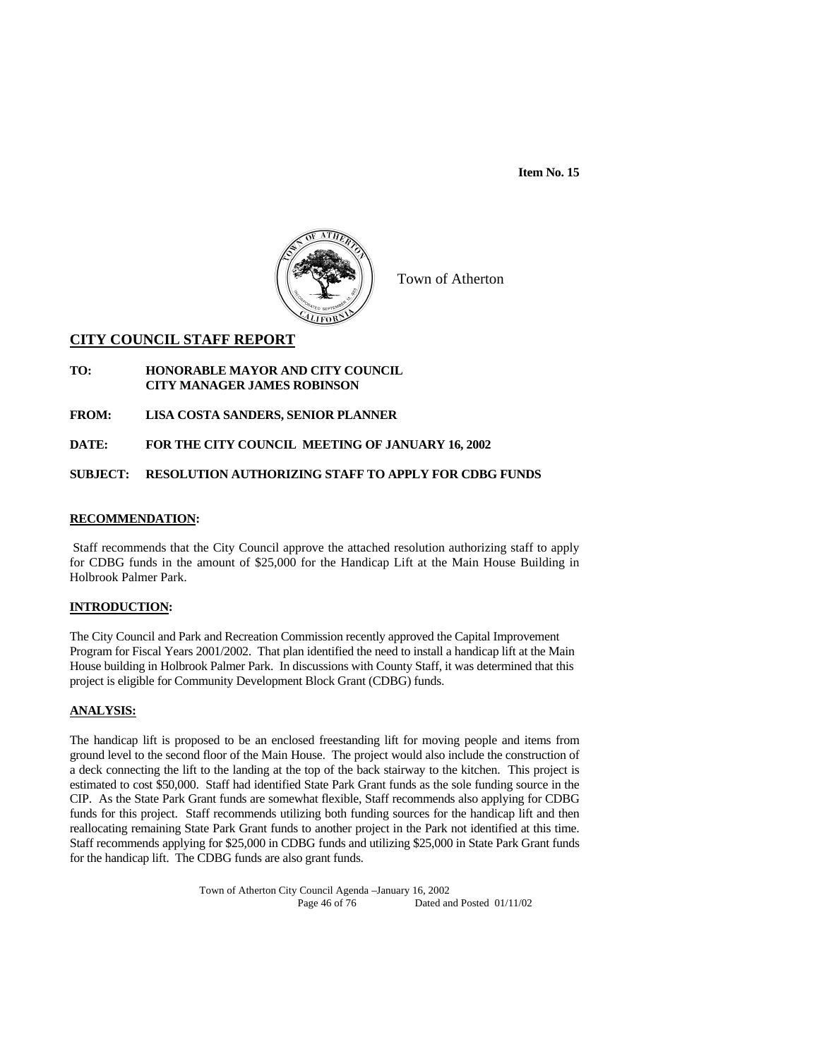

Town of Atherton

# **CITY COUNCIL STAFF REPORT**

- **TO: HONORABLE MAYOR AND CITY COUNCIL CITY MANAGER JAMES ROBINSON**
- **FROM: LISA COSTA SANDERS, SENIOR PLANNER**

**DATE: FOR THE CITY COUNCIL MEETING OF JANUARY 16, 2002** 

## **SUBJECT: RESOLUTION AUTHORIZING STAFF TO APPLY FOR CDBG FUNDS**

#### **RECOMMENDATION:**

 Staff recommends that the City Council approve the attached resolution authorizing staff to apply for CDBG funds in the amount of \$25,000 for the Handicap Lift at the Main House Building in Holbrook Palmer Park.

#### **INTRODUCTION:**

The City Council and Park and Recreation Commission recently approved the Capital Improvement Program for Fiscal Years 2001/2002. That plan identified the need to install a handicap lift at the Main House building in Holbrook Palmer Park. In discussions with County Staff, it was determined that this project is eligible for Community Development Block Grant (CDBG) funds.

#### **ANALYSIS:**

The handicap lift is proposed to be an enclosed freestanding lift for moving people and items from ground level to the second floor of the Main House. The project would also include the construction of a deck connecting the lift to the landing at the top of the back stairway to the kitchen. This project is estimated to cost \$50,000. Staff had identified State Park Grant funds as the sole funding source in the CIP. As the State Park Grant funds are somewhat flexible, Staff recommends also applying for CDBG funds for this project. Staff recommends utilizing both funding sources for the handicap lift and then reallocating remaining State Park Grant funds to another project in the Park not identified at this time. Staff recommends applying for \$25,000 in CDBG funds and utilizing \$25,000 in State Park Grant funds for the handicap lift. The CDBG funds are also grant funds.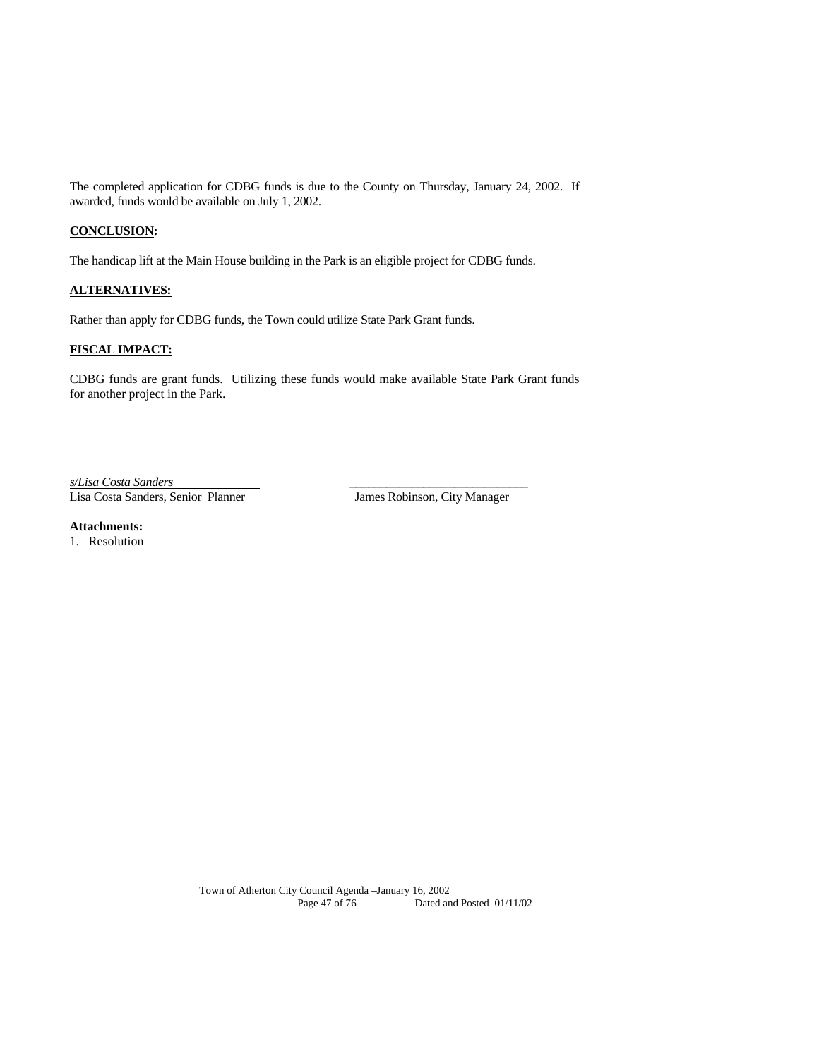The completed application for CDBG funds is due to the County on Thursday, January 24, 2002. If awarded, funds would be available on July 1, 2002.

## **CONCLUSION:**

The handicap lift at the Main House building in the Park is an eligible project for CDBG funds.

## **ALTERNATIVES:**

Rather than apply for CDBG funds, the Town could utilize State Park Grant funds.

# **FISCAL IMPACT:**

CDBG funds are grant funds. Utilizing these funds would make available State Park Grant funds for another project in the Park.

*s/Lisa Costa Sanders* \_\_\_\_\_\_\_\_\_\_\_\_\_\_\_\_\_\_\_\_\_\_\_\_\_\_\_\_\_ Lisa Costa Sanders, Senior Planner James Robinson, City Manager

**Attachments:** 

1. Resolution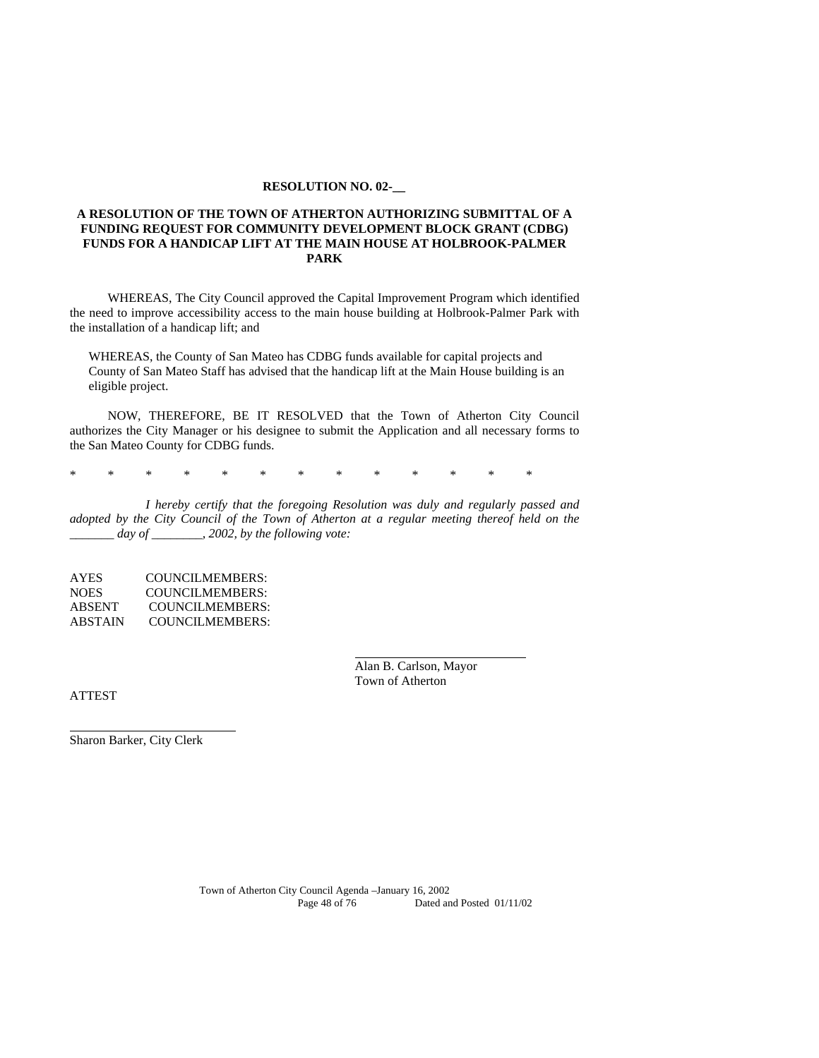#### **RESOLUTION NO. 02-\_\_**

#### **A RESOLUTION OF THE TOWN OF ATHERTON AUTHORIZING SUBMITTAL OF A FUNDING REQUEST FOR COMMUNITY DEVELOPMENT BLOCK GRANT (CDBG) FUNDS FOR A HANDICAP LIFT AT THE MAIN HOUSE AT HOLBROOK-PALMER PARK**

WHEREAS, The City Council approved the Capital Improvement Program which identified the need to improve accessibility access to the main house building at Holbrook-Palmer Park with the installation of a handicap lift; and

WHEREAS, the County of San Mateo has CDBG funds available for capital projects and County of San Mateo Staff has advised that the handicap lift at the Main House building is an eligible project.

NOW, THEREFORE, BE IT RESOLVED that the Town of Atherton City Council authorizes the City Manager or his designee to submit the Application and all necessary forms to the San Mateo County for CDBG funds.

\* \* \* \* \* \* \* \* \* \* \* \* \*

 *I hereby certify that the foregoing Resolution was duly and regularly passed and adopted by the City Council of the Town of Atherton at a regular meeting thereof held on the \_\_\_\_\_\_\_ day of \_\_\_\_\_\_\_\_, 2002, by the following vote:* 

AYES COUNCILMEMBERS: NOES COUNCILMEMBERS: ABSENT COUNCILMEMBERS: ABSTAIN COUNCILMEMBERS:

> Alan B. Carlson, Mayor Town of Atherton

ATTEST

Sharon Barker, City Clerk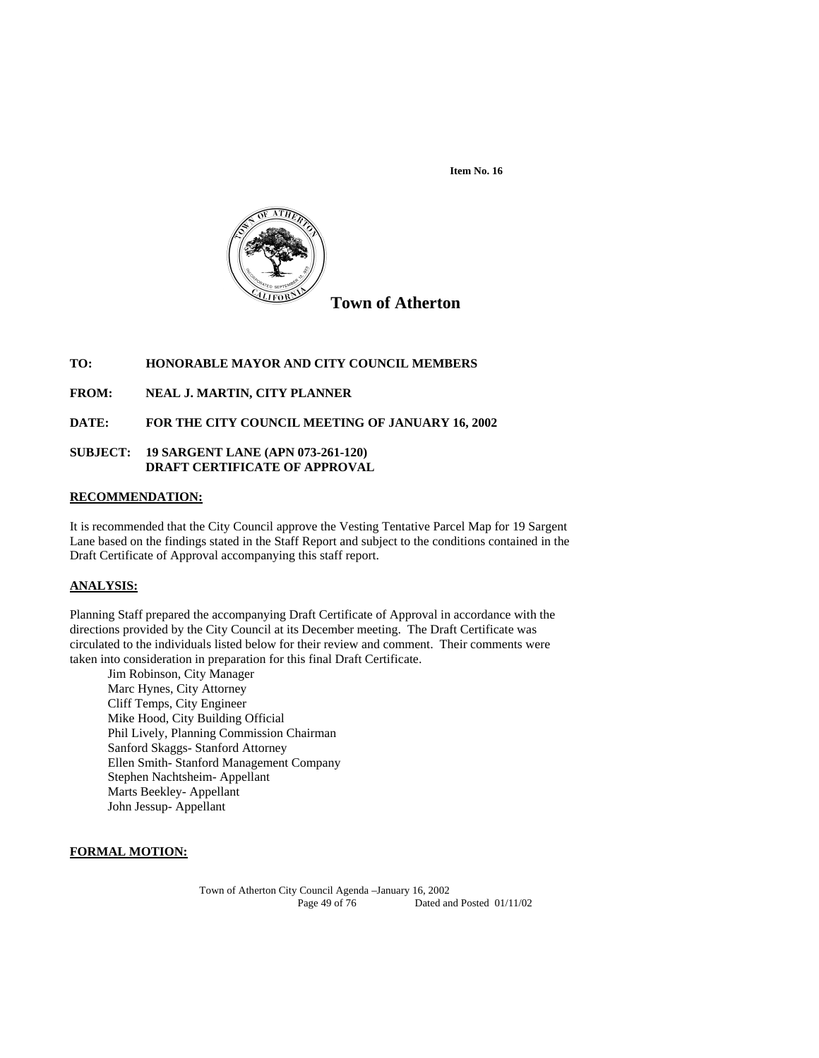

## **TO: HONORABLE MAYOR AND CITY COUNCIL MEMBERS**

**FROM: NEAL J. MARTIN, CITY PLANNER** 

**DATE: FOR THE CITY COUNCIL MEETING OF JANUARY 16, 2002** 

## **SUBJECT: 19 SARGENT LANE (APN 073-261-120) DRAFT CERTIFICATE OF APPROVAL**

#### **RECOMMENDATION:**

It is recommended that the City Council approve the Vesting Tentative Parcel Map for 19 Sargent Lane based on the findings stated in the Staff Report and subject to the conditions contained in the Draft Certificate of Approval accompanying this staff report.

#### **ANALYSIS:**

Planning Staff prepared the accompanying Draft Certificate of Approval in accordance with the directions provided by the City Council at its December meeting. The Draft Certificate was circulated to the individuals listed below for their review and comment. Their comments were taken into consideration in preparation for this final Draft Certificate.

 Jim Robinson, City Manager Marc Hynes, City Attorney Cliff Temps, City Engineer Mike Hood, City Building Official Phil Lively, Planning Commission Chairman Sanford Skaggs- Stanford Attorney Ellen Smith- Stanford Management Company Stephen Nachtsheim- Appellant Marts Beekley- Appellant John Jessup- Appellant

# **FORMAL MOTION:**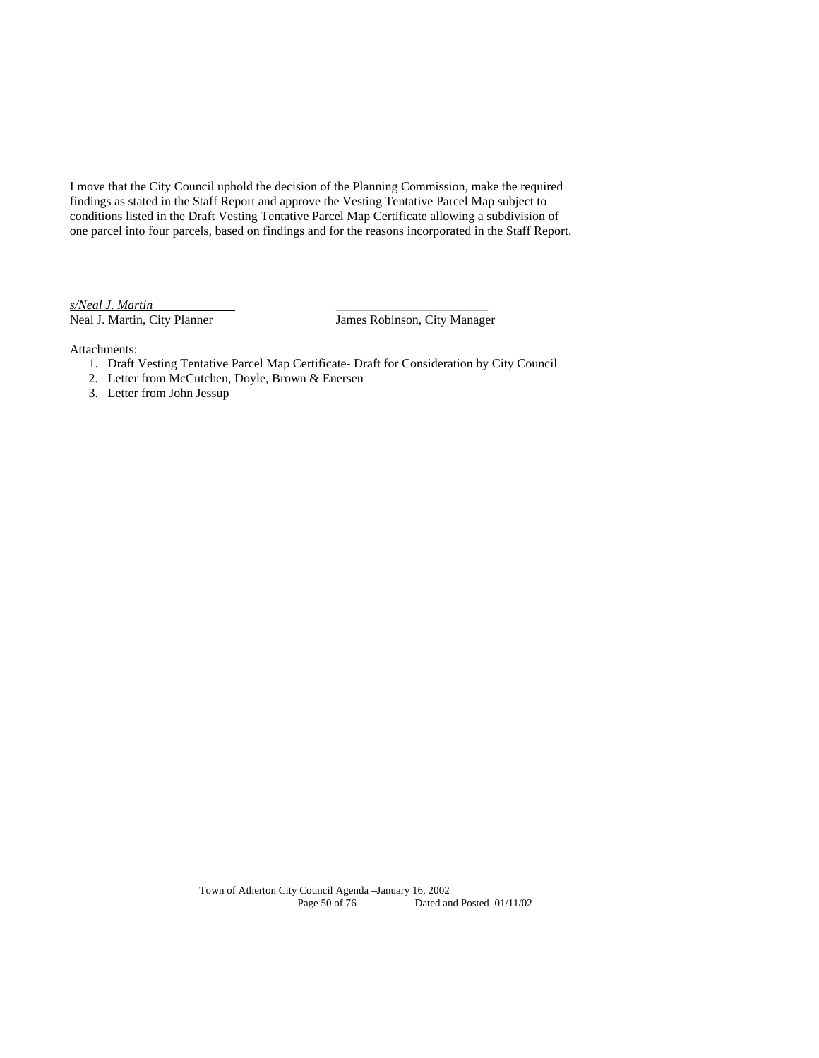I move that the City Council uphold the decision of the Planning Commission, make the required findings as stated in the Staff Report and approve the Vesting Tentative Parcel Map subject to conditions listed in the Draft Vesting Tentative Parcel Map Certificate allowing a subdivision of one parcel into four parcels, based on findings and for the reasons incorporated in the Staff Report.

*s/Neal J. Martin*\_\_\_\_\_\_\_\_\_\_\_\_\_ \_\_\_\_\_\_\_\_\_\_\_\_\_\_\_\_\_\_\_\_\_\_\_\_

James Robinson, City Manager

Attachments:

- 1. Draft Vesting Tentative Parcel Map Certificate- Draft for Consideration by City Council
- 2. Letter from McCutchen, Doyle, Brown & Enersen
- 3. Letter from John Jessup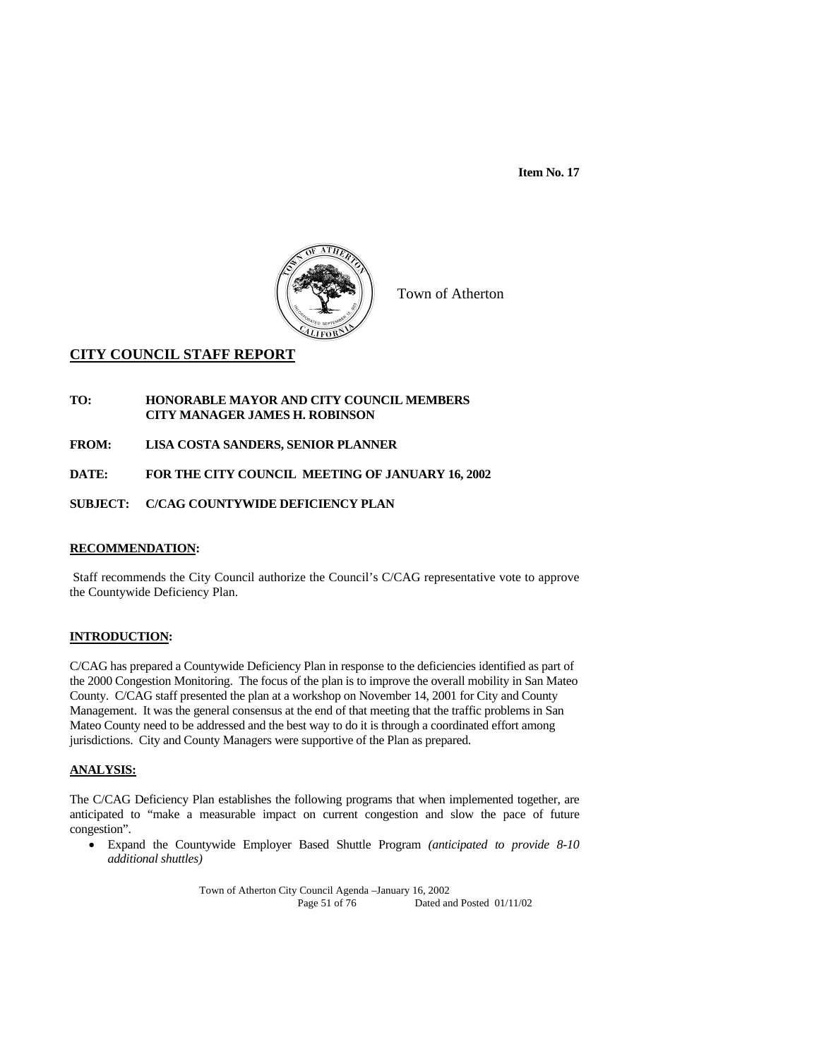

Town of Atherton

# **CITY COUNCIL STAFF REPORT**

#### **TO: HONORABLE MAYOR AND CITY COUNCIL MEMBERS CITY MANAGER JAMES H. ROBINSON**

**FROM: LISA COSTA SANDERS, SENIOR PLANNER** 

**DATE: FOR THE CITY COUNCIL MEETING OF JANUARY 16, 2002** 

**SUBJECT: C/CAG COUNTYWIDE DEFICIENCY PLAN** 

# **RECOMMENDATION:**

 Staff recommends the City Council authorize the Council's C/CAG representative vote to approve the Countywide Deficiency Plan.

#### **INTRODUCTION:**

C/CAG has prepared a Countywide Deficiency Plan in response to the deficiencies identified as part of the 2000 Congestion Monitoring. The focus of the plan is to improve the overall mobility in San Mateo County. C/CAG staff presented the plan at a workshop on November 14, 2001 for City and County Management. It was the general consensus at the end of that meeting that the traffic problems in San Mateo County need to be addressed and the best way to do it is through a coordinated effort among jurisdictions. City and County Managers were supportive of the Plan as prepared.

#### **ANALYSIS:**

The C/CAG Deficiency Plan establishes the following programs that when implemented together, are anticipated to "make a measurable impact on current congestion and slow the pace of future congestion".

 Expand the Countywide Employer Based Shuttle Program *(anticipated to provide 8-10 additional shuttles)*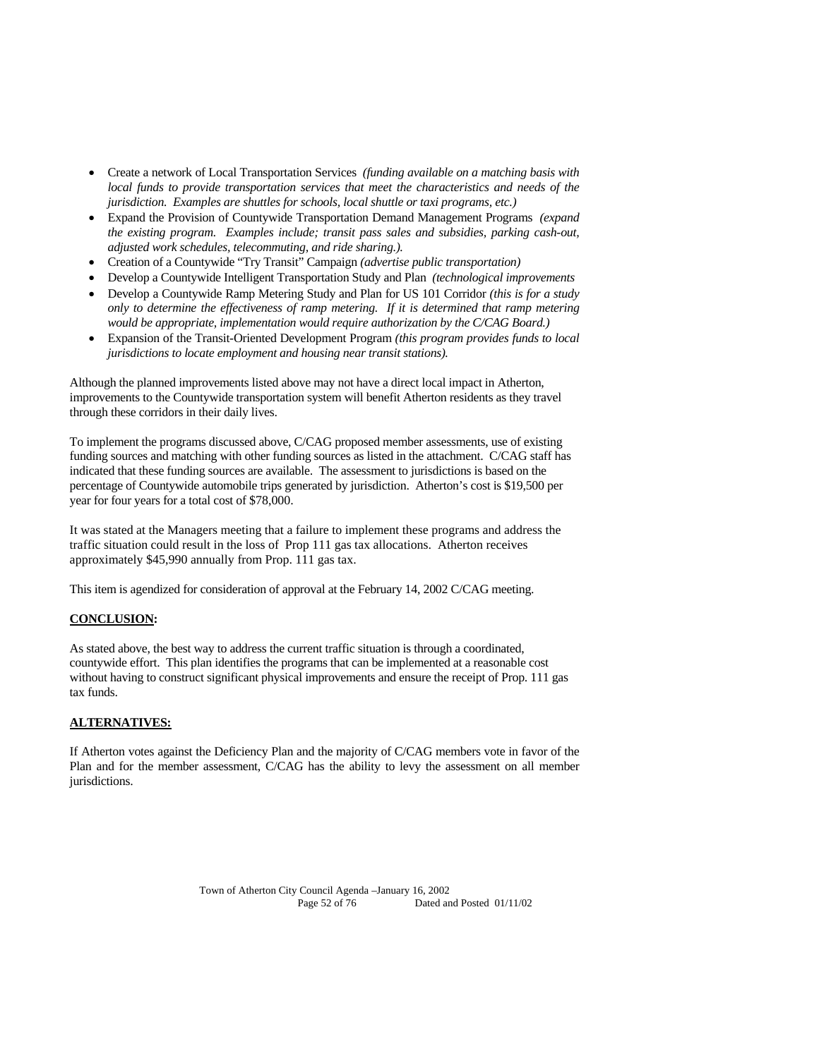- Create a network of Local Transportation Services *(funding available on a matching basis with local funds to provide transportation services that meet the characteristics and needs of the jurisdiction. Examples are shuttles for schools, local shuttle or taxi programs, etc.)*
- Expand the Provision of Countywide Transportation Demand Management Programs *(expand the existing program. Examples include; transit pass sales and subsidies, parking cash-out, adjusted work schedules, telecommuting, and ride sharing.).*
- Creation of a Countywide "Try Transit" Campaign *(advertise public transportation)*
- Develop a Countywide Intelligent Transportation Study and Plan *(technological improvements*
- Develop a Countywide Ramp Metering Study and Plan for US 101 Corridor *(this is for a study only to determine the effectiveness of ramp metering. If it is determined that ramp metering would be appropriate, implementation would require authorization by the C/CAG Board.)*
- Expansion of the Transit-Oriented Development Program *(this program provides funds to local jurisdictions to locate employment and housing near transit stations).*

Although the planned improvements listed above may not have a direct local impact in Atherton, improvements to the Countywide transportation system will benefit Atherton residents as they travel through these corridors in their daily lives.

To implement the programs discussed above, C/CAG proposed member assessments, use of existing funding sources and matching with other funding sources as listed in the attachment. C/CAG staff has indicated that these funding sources are available. The assessment to jurisdictions is based on the percentage of Countywide automobile trips generated by jurisdiction. Atherton's cost is \$19,500 per year for four years for a total cost of \$78,000.

It was stated at the Managers meeting that a failure to implement these programs and address the traffic situation could result in the loss of Prop 111 gas tax allocations. Atherton receives approximately \$45,990 annually from Prop. 111 gas tax.

This item is agendized for consideration of approval at the February 14, 2002 C/CAG meeting.

## **CONCLUSION:**

As stated above, the best way to address the current traffic situation is through a coordinated, countywide effort. This plan identifies the programs that can be implemented at a reasonable cost without having to construct significant physical improvements and ensure the receipt of Prop. 111 gas tax funds.

#### **ALTERNATIVES:**

If Atherton votes against the Deficiency Plan and the majority of C/CAG members vote in favor of the Plan and for the member assessment, C/CAG has the ability to levy the assessment on all member jurisdictions.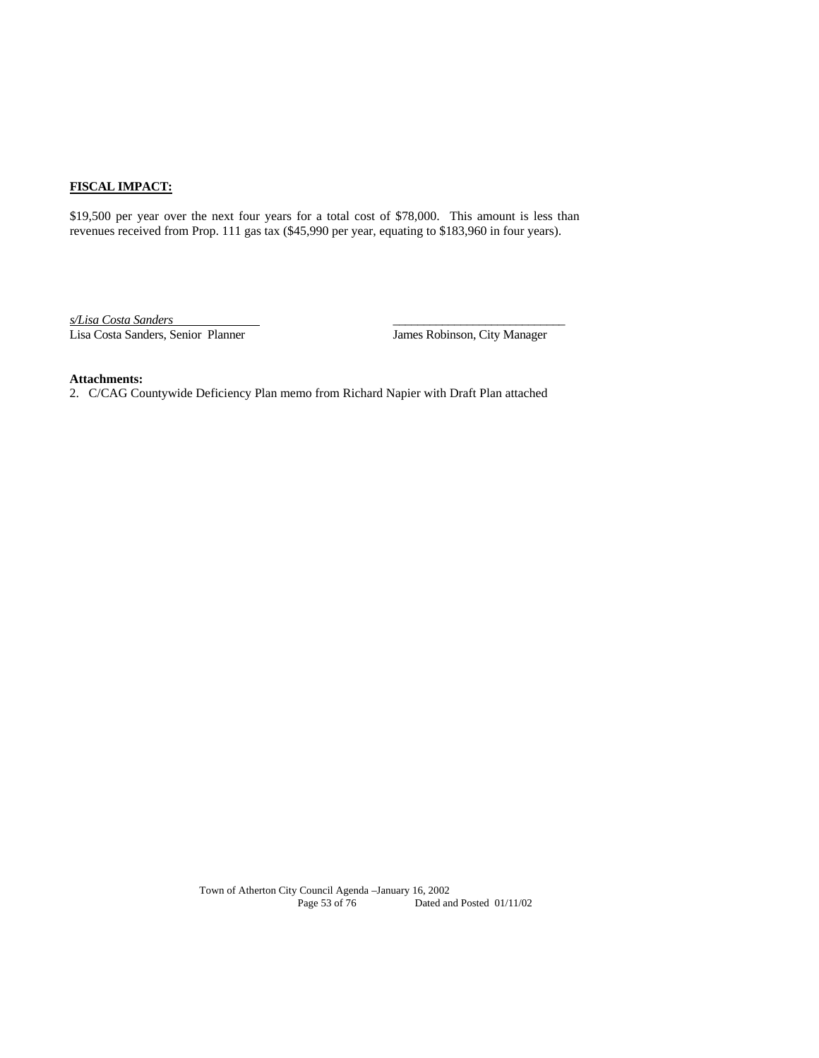# **FISCAL IMPACT:**

\$19,500 per year over the next four years for a total cost of \$78,000. This amount is less than revenues received from Prop. 111 gas tax (\$45,990 per year, equating to \$183,960 in four years).

*s/Lisa Costa Sanders* \_\_\_\_\_\_\_\_\_\_\_\_\_\_\_\_\_\_\_\_\_\_\_\_\_\_\_\_ Lisa Costa Sanders, Senior Planner James Robinson, City Manager

#### **Attachments:**

2. C/CAG Countywide Deficiency Plan memo from Richard Napier with Draft Plan attached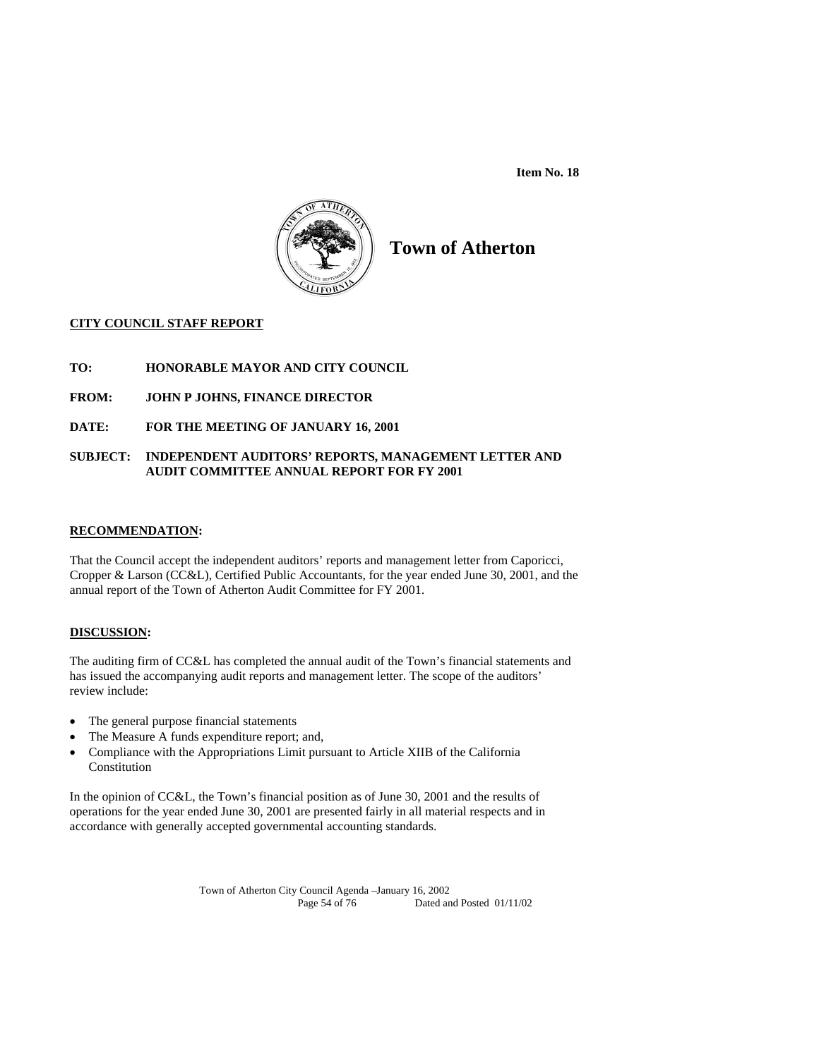

# **Town of Atherton**

## **CITY COUNCIL STAFF REPORT**

# **TO: HONORABLE MAYOR AND CITY COUNCIL**

- **FROM: JOHN P JOHNS, FINANCE DIRECTOR**
- **DATE: FOR THE MEETING OF JANUARY 16, 2001**

## **SUBJECT: INDEPENDENT AUDITORS' REPORTS, MANAGEMENT LETTER AND AUDIT COMMITTEE ANNUAL REPORT FOR FY 2001**

#### **RECOMMENDATION:**

That the Council accept the independent auditors' reports and management letter from Caporicci, Cropper & Larson (CC&L), Certified Public Accountants, for the year ended June 30, 2001, and the annual report of the Town of Atherton Audit Committee for FY 2001.

## **DISCUSSION:**

The auditing firm of CC&L has completed the annual audit of the Town's financial statements and has issued the accompanying audit reports and management letter. The scope of the auditors' review include:

- The general purpose financial statements
- The Measure A funds expenditure report; and,
- Compliance with the Appropriations Limit pursuant to Article XIIB of the California Constitution

In the opinion of CC&L, the Town's financial position as of June 30, 2001 and the results of operations for the year ended June 30, 2001 are presented fairly in all material respects and in accordance with generally accepted governmental accounting standards.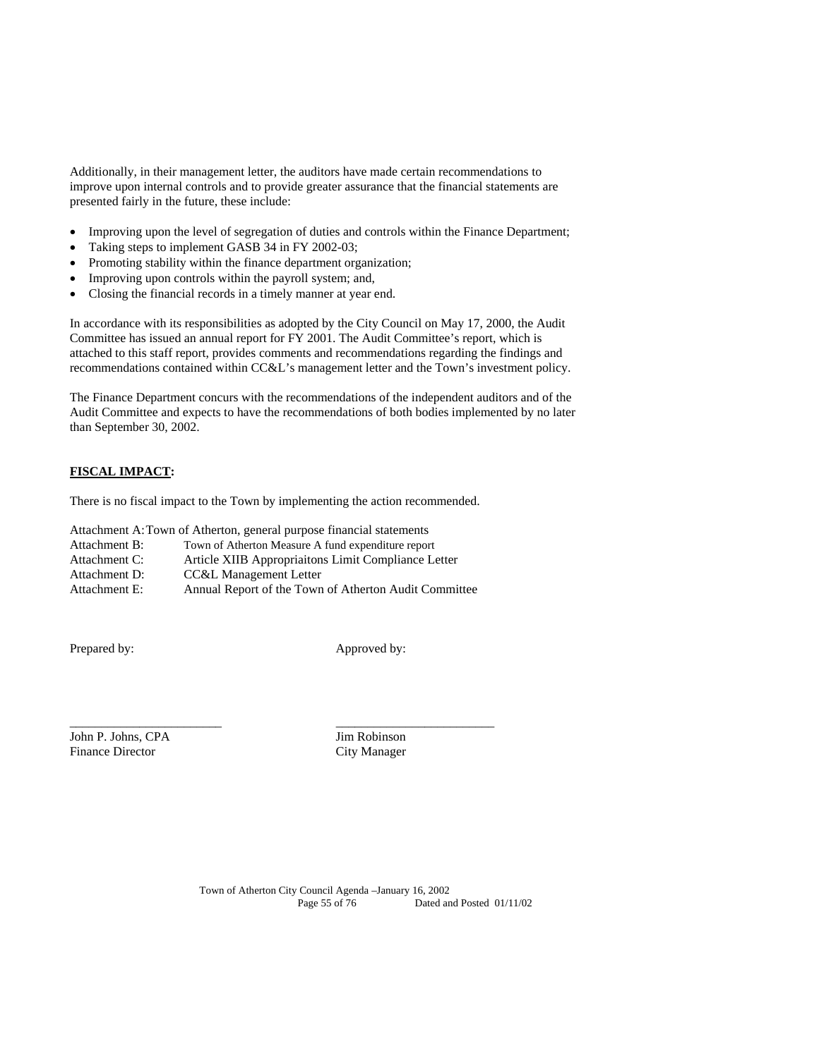Additionally, in their management letter, the auditors have made certain recommendations to improve upon internal controls and to provide greater assurance that the financial statements are presented fairly in the future, these include:

- Improving upon the level of segregation of duties and controls within the Finance Department;
- Taking steps to implement GASB 34 in FY 2002-03;
- Promoting stability within the finance department organization;
- Improving upon controls within the payroll system; and,
- Closing the financial records in a timely manner at year end.

In accordance with its responsibilities as adopted by the City Council on May 17, 2000, the Audit Committee has issued an annual report for FY 2001. The Audit Committee's report, which is attached to this staff report, provides comments and recommendations regarding the findings and recommendations contained within CC&L's management letter and the Town's investment policy.

The Finance Department concurs with the recommendations of the independent auditors and of the Audit Committee and expects to have the recommendations of both bodies implemented by no later than September 30, 2002.

## **FISCAL IMPACT:**

There is no fiscal impact to the Town by implementing the action recommended.

Attachment A: Town of Atherton, general purpose financial statements

| Attachment B: | Town of Atherton Measure A fund expenditure report |  |  |
|---------------|----------------------------------------------------|--|--|
|               |                                                    |  |  |

- Attachment C: Article XIIB Appropriaitons Limit Compliance Letter
- Attachment D: CC&L Management Letter
- Attachment E: Annual Report of the Town of Atherton Audit Committee

\_\_\_\_\_\_\_\_\_\_\_\_\_\_\_\_\_\_\_\_\_\_\_\_ \_\_\_\_\_\_\_\_\_\_\_\_\_\_\_\_\_\_\_\_\_\_\_\_\_

Prepared by: Approved by:

John P. Johns, CPA Jim Robinson Finance Director City Manager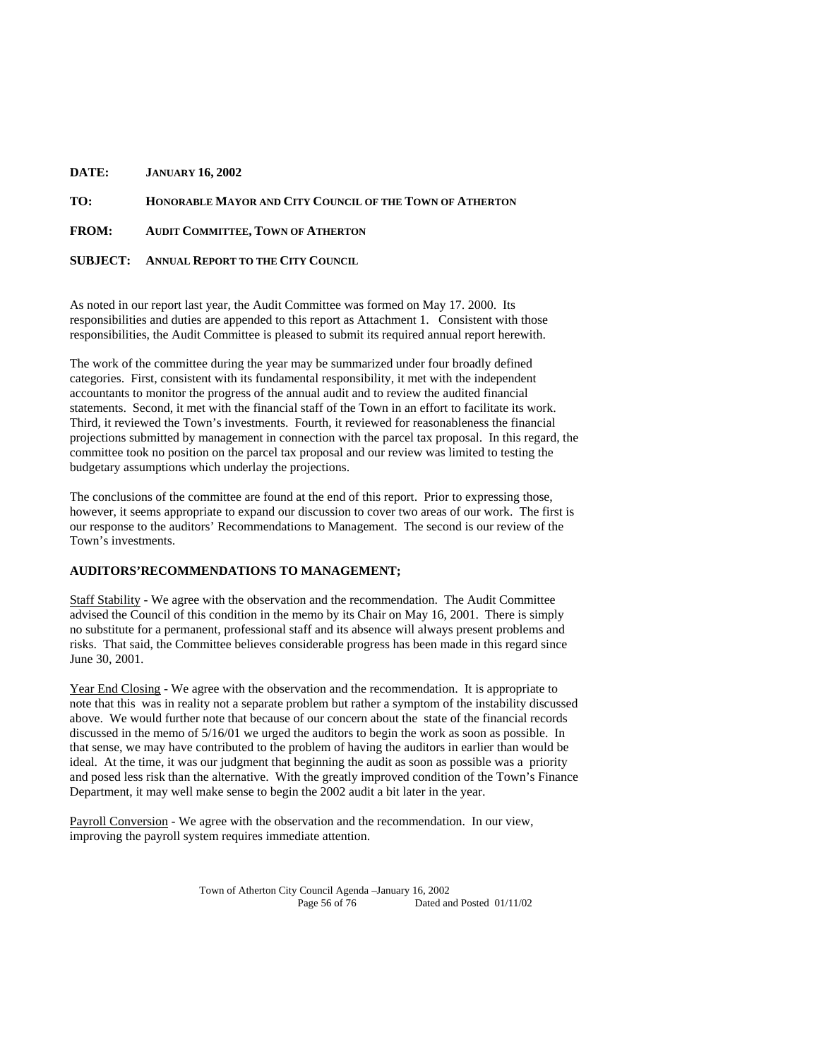| DATE: | <b>JANUARY 16, 2002</b> |
|-------|-------------------------|
|-------|-------------------------|

**TO: HONORABLE MAYOR AND CITY COUNCIL OF THE TOWN OF ATHERTON**

**FROM: AUDIT COMMITTEE, TOWN OF ATHERTON**

**SUBJECT: ANNUAL REPORT TO THE CITY COUNCIL**

As noted in our report last year, the Audit Committee was formed on May 17. 2000. Its responsibilities and duties are appended to this report as Attachment 1. Consistent with those responsibilities, the Audit Committee is pleased to submit its required annual report herewith.

The work of the committee during the year may be summarized under four broadly defined categories. First, consistent with its fundamental responsibility, it met with the independent accountants to monitor the progress of the annual audit and to review the audited financial statements. Second, it met with the financial staff of the Town in an effort to facilitate its work. Third, it reviewed the Town's investments. Fourth, it reviewed for reasonableness the financial projections submitted by management in connection with the parcel tax proposal. In this regard, the committee took no position on the parcel tax proposal and our review was limited to testing the budgetary assumptions which underlay the projections.

The conclusions of the committee are found at the end of this report. Prior to expressing those, however, it seems appropriate to expand our discussion to cover two areas of our work. The first is our response to the auditors' Recommendations to Management. The second is our review of the Town's investments.

#### **AUDITORS'RECOMMENDATIONS TO MANAGEMENT;**

Staff Stability - We agree with the observation and the recommendation. The Audit Committee advised the Council of this condition in the memo by its Chair on May 16, 2001. There is simply no substitute for a permanent, professional staff and its absence will always present problems and risks. That said, the Committee believes considerable progress has been made in this regard since June 30, 2001.

Year End Closing - We agree with the observation and the recommendation. It is appropriate to note that this was in reality not a separate problem but rather a symptom of the instability discussed above. We would further note that because of our concern about the state of the financial records discussed in the memo of 5/16/01 we urged the auditors to begin the work as soon as possible. In that sense, we may have contributed to the problem of having the auditors in earlier than would be ideal. At the time, it was our judgment that beginning the audit as soon as possible was a priority and posed less risk than the alternative. With the greatly improved condition of the Town's Finance Department, it may well make sense to begin the 2002 audit a bit later in the year.

Payroll Conversion - We agree with the observation and the recommendation. In our view, improving the payroll system requires immediate attention.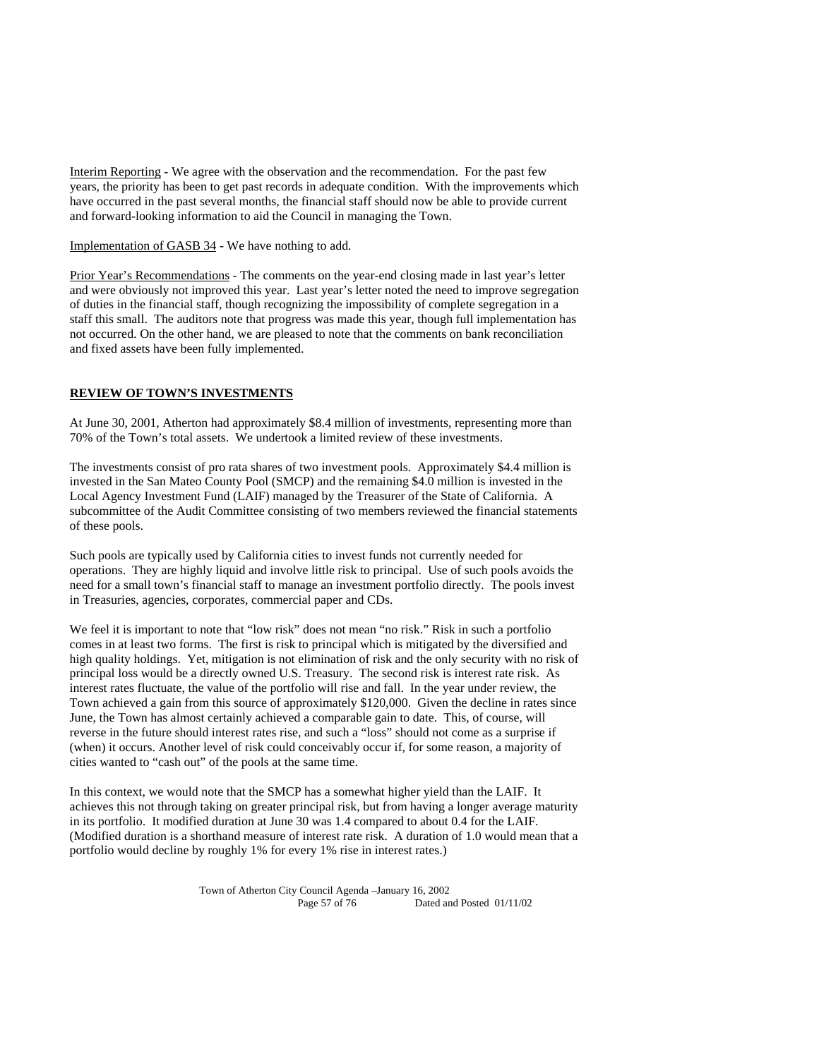Interim Reporting - We agree with the observation and the recommendation. For the past few years, the priority has been to get past records in adequate condition. With the improvements which have occurred in the past several months, the financial staff should now be able to provide current and forward-looking information to aid the Council in managing the Town.

Implementation of GASB 34 - We have nothing to add.

Prior Year's Recommendations - The comments on the year-end closing made in last year's letter and were obviously not improved this year. Last year's letter noted the need to improve segregation of duties in the financial staff, though recognizing the impossibility of complete segregation in a staff this small. The auditors note that progress was made this year, though full implementation has not occurred. On the other hand, we are pleased to note that the comments on bank reconciliation and fixed assets have been fully implemented.

## **REVIEW OF TOWN'S INVESTMENTS**

At June 30, 2001, Atherton had approximately \$8.4 million of investments, representing more than 70% of the Town's total assets. We undertook a limited review of these investments.

The investments consist of pro rata shares of two investment pools. Approximately \$4.4 million is invested in the San Mateo County Pool (SMCP) and the remaining \$4.0 million is invested in the Local Agency Investment Fund (LAIF) managed by the Treasurer of the State of California. A subcommittee of the Audit Committee consisting of two members reviewed the financial statements of these pools.

Such pools are typically used by California cities to invest funds not currently needed for operations. They are highly liquid and involve little risk to principal. Use of such pools avoids the need for a small town's financial staff to manage an investment portfolio directly. The pools invest in Treasuries, agencies, corporates, commercial paper and CDs.

We feel it is important to note that "low risk" does not mean "no risk." Risk in such a portfolio comes in at least two forms. The first is risk to principal which is mitigated by the diversified and high quality holdings. Yet, mitigation is not elimination of risk and the only security with no risk of principal loss would be a directly owned U.S. Treasury. The second risk is interest rate risk. As interest rates fluctuate, the value of the portfolio will rise and fall. In the year under review, the Town achieved a gain from this source of approximately \$120,000. Given the decline in rates since June, the Town has almost certainly achieved a comparable gain to date. This, of course, will reverse in the future should interest rates rise, and such a "loss" should not come as a surprise if (when) it occurs. Another level of risk could conceivably occur if, for some reason, a majority of cities wanted to "cash out" of the pools at the same time.

In this context, we would note that the SMCP has a somewhat higher yield than the LAIF. It achieves this not through taking on greater principal risk, but from having a longer average maturity in its portfolio. It modified duration at June 30 was 1.4 compared to about 0.4 for the LAIF. (Modified duration is a shorthand measure of interest rate risk. A duration of 1.0 would mean that a portfolio would decline by roughly 1% for every 1% rise in interest rates.)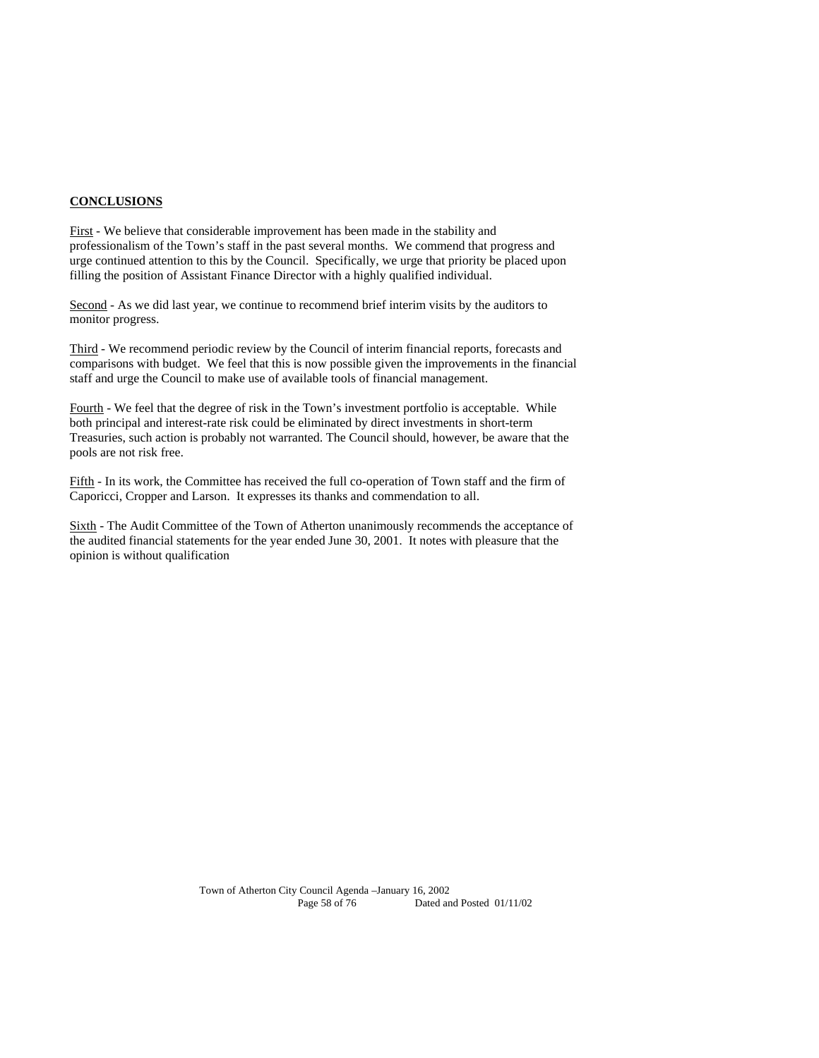#### **CONCLUSIONS**

First - We believe that considerable improvement has been made in the stability and professionalism of the Town's staff in the past several months. We commend that progress and urge continued attention to this by the Council. Specifically, we urge that priority be placed upon filling the position of Assistant Finance Director with a highly qualified individual.

Second - As we did last year, we continue to recommend brief interim visits by the auditors to monitor progress.

Third - We recommend periodic review by the Council of interim financial reports, forecasts and comparisons with budget. We feel that this is now possible given the improvements in the financial staff and urge the Council to make use of available tools of financial management.

Fourth - We feel that the degree of risk in the Town's investment portfolio is acceptable. While both principal and interest-rate risk could be eliminated by direct investments in short-term Treasuries, such action is probably not warranted. The Council should, however, be aware that the pools are not risk free.

Fifth - In its work, the Committee has received the full co-operation of Town staff and the firm of Caporicci, Cropper and Larson. It expresses its thanks and commendation to all.

Sixth - The Audit Committee of the Town of Atherton unanimously recommends the acceptance of the audited financial statements for the year ended June 30, 2001. It notes with pleasure that the opinion is without qualification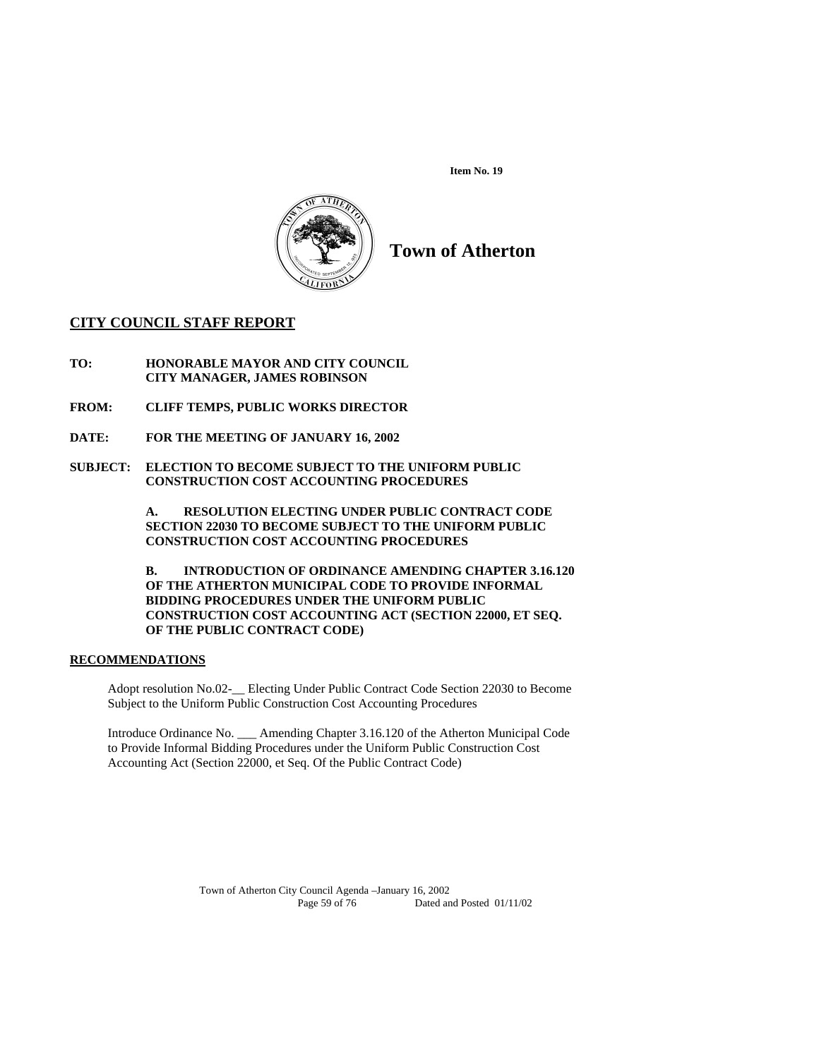

**Town of Atherton** 

# **CITY COUNCIL STAFF REPORT**

**TO: HONORABLE MAYOR AND CITY COUNCIL CITY MANAGER, JAMES ROBINSON** 

- **FROM: CLIFF TEMPS, PUBLIC WORKS DIRECTOR**
- **DATE: FOR THE MEETING OF JANUARY 16, 2002**
- **SUBJECT: ELECTION TO BECOME SUBJECT TO THE UNIFORM PUBLIC CONSTRUCTION COST ACCOUNTING PROCEDURES**

**A. RESOLUTION ELECTING UNDER PUBLIC CONTRACT CODE SECTION 22030 TO BECOME SUBJECT TO THE UNIFORM PUBLIC CONSTRUCTION COST ACCOUNTING PROCEDURES** 

**B. INTRODUCTION OF ORDINANCE AMENDING CHAPTER 3.16.120 OF THE ATHERTON MUNICIPAL CODE TO PROVIDE INFORMAL BIDDING PROCEDURES UNDER THE UNIFORM PUBLIC CONSTRUCTION COST ACCOUNTING ACT (SECTION 22000, ET SEQ. OF THE PUBLIC CONTRACT CODE)** 

#### **RECOMMENDATIONS**

Adopt resolution No.02-\_\_ Electing Under Public Contract Code Section 22030 to Become Subject to the Uniform Public Construction Cost Accounting Procedures

Introduce Ordinance No. \_\_\_ Amending Chapter 3.16.120 of the Atherton Municipal Code to Provide Informal Bidding Procedures under the Uniform Public Construction Cost Accounting Act (Section 22000, et Seq. Of the Public Contract Code)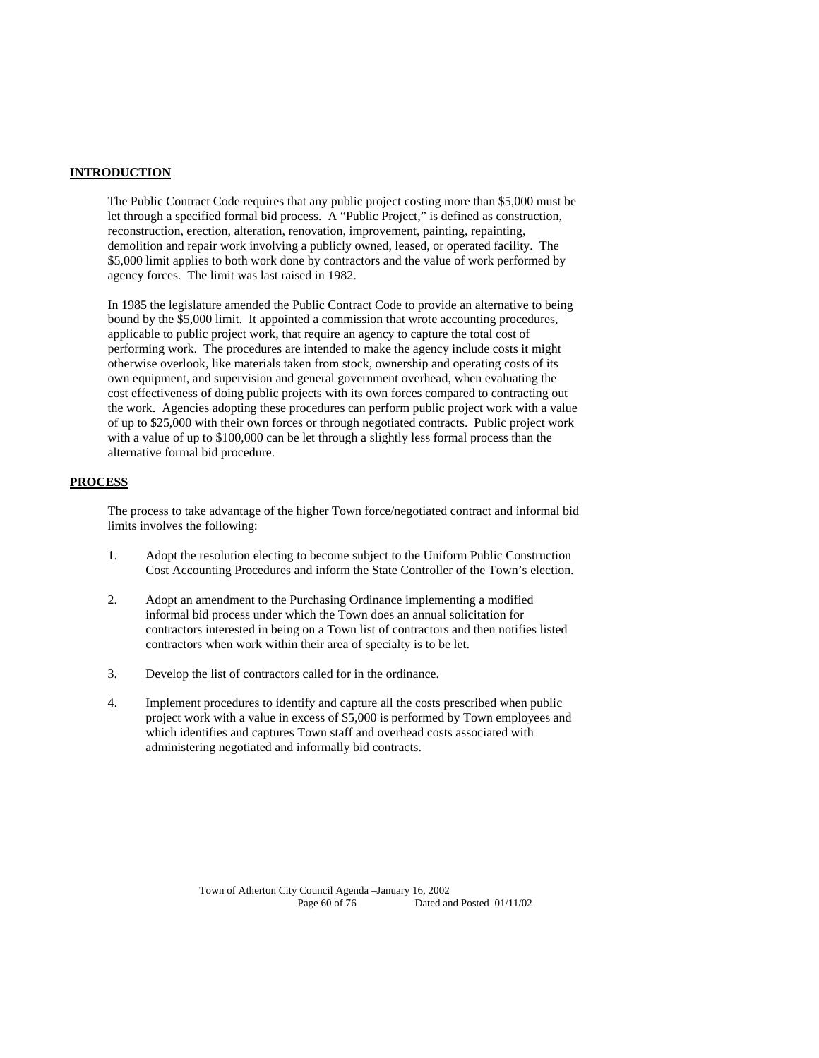#### **INTRODUCTION**

The Public Contract Code requires that any public project costing more than \$5,000 must be let through a specified formal bid process. A "Public Project," is defined as construction, reconstruction, erection, alteration, renovation, improvement, painting, repainting, demolition and repair work involving a publicly owned, leased, or operated facility. The \$5,000 limit applies to both work done by contractors and the value of work performed by agency forces. The limit was last raised in 1982.

In 1985 the legislature amended the Public Contract Code to provide an alternative to being bound by the \$5,000 limit. It appointed a commission that wrote accounting procedures, applicable to public project work, that require an agency to capture the total cost of performing work. The procedures are intended to make the agency include costs it might otherwise overlook, like materials taken from stock, ownership and operating costs of its own equipment, and supervision and general government overhead, when evaluating the cost effectiveness of doing public projects with its own forces compared to contracting out the work. Agencies adopting these procedures can perform public project work with a value of up to \$25,000 with their own forces or through negotiated contracts. Public project work with a value of up to \$100,000 can be let through a slightly less formal process than the alternative formal bid procedure.

#### **PROCESS**

The process to take advantage of the higher Town force/negotiated contract and informal bid limits involves the following:

- 1. Adopt the resolution electing to become subject to the Uniform Public Construction Cost Accounting Procedures and inform the State Controller of the Town's election.
- 2. Adopt an amendment to the Purchasing Ordinance implementing a modified informal bid process under which the Town does an annual solicitation for contractors interested in being on a Town list of contractors and then notifies listed contractors when work within their area of specialty is to be let.
- 3. Develop the list of contractors called for in the ordinance.
- 4. Implement procedures to identify and capture all the costs prescribed when public project work with a value in excess of \$5,000 is performed by Town employees and which identifies and captures Town staff and overhead costs associated with administering negotiated and informally bid contracts.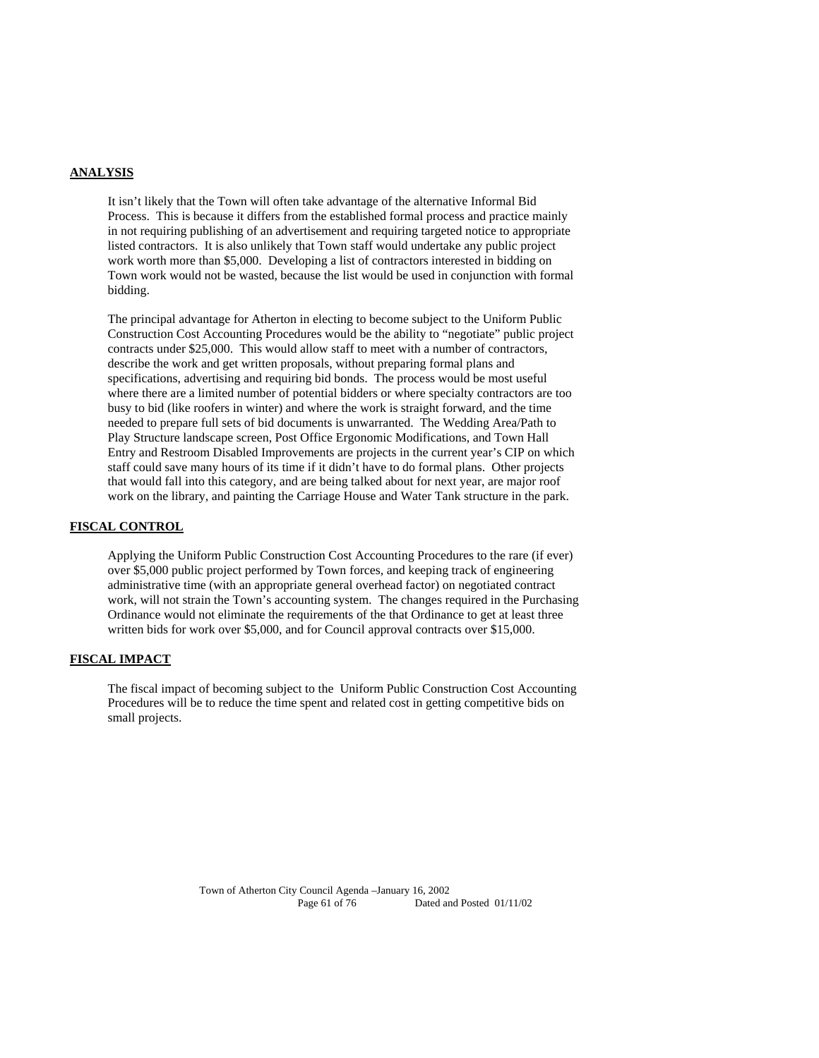## **ANALYSIS**

It isn't likely that the Town will often take advantage of the alternative Informal Bid Process. This is because it differs from the established formal process and practice mainly in not requiring publishing of an advertisement and requiring targeted notice to appropriate listed contractors. It is also unlikely that Town staff would undertake any public project work worth more than \$5,000. Developing a list of contractors interested in bidding on Town work would not be wasted, because the list would be used in conjunction with formal bidding.

The principal advantage for Atherton in electing to become subject to the Uniform Public Construction Cost Accounting Procedures would be the ability to "negotiate" public project contracts under \$25,000. This would allow staff to meet with a number of contractors, describe the work and get written proposals, without preparing formal plans and specifications, advertising and requiring bid bonds. The process would be most useful where there are a limited number of potential bidders or where specialty contractors are too busy to bid (like roofers in winter) and where the work is straight forward, and the time needed to prepare full sets of bid documents is unwarranted. The Wedding Area/Path to Play Structure landscape screen, Post Office Ergonomic Modifications, and Town Hall Entry and Restroom Disabled Improvements are projects in the current year's CIP on which staff could save many hours of its time if it didn't have to do formal plans. Other projects that would fall into this category, and are being talked about for next year, are major roof work on the library, and painting the Carriage House and Water Tank structure in the park.

#### **FISCAL CONTROL**

Applying the Uniform Public Construction Cost Accounting Procedures to the rare (if ever) over \$5,000 public project performed by Town forces, and keeping track of engineering administrative time (with an appropriate general overhead factor) on negotiated contract work, will not strain the Town's accounting system. The changes required in the Purchasing Ordinance would not eliminate the requirements of the that Ordinance to get at least three written bids for work over \$5,000, and for Council approval contracts over \$15,000.

#### **FISCAL IMPACT**

The fiscal impact of becoming subject to the Uniform Public Construction Cost Accounting Procedures will be to reduce the time spent and related cost in getting competitive bids on small projects.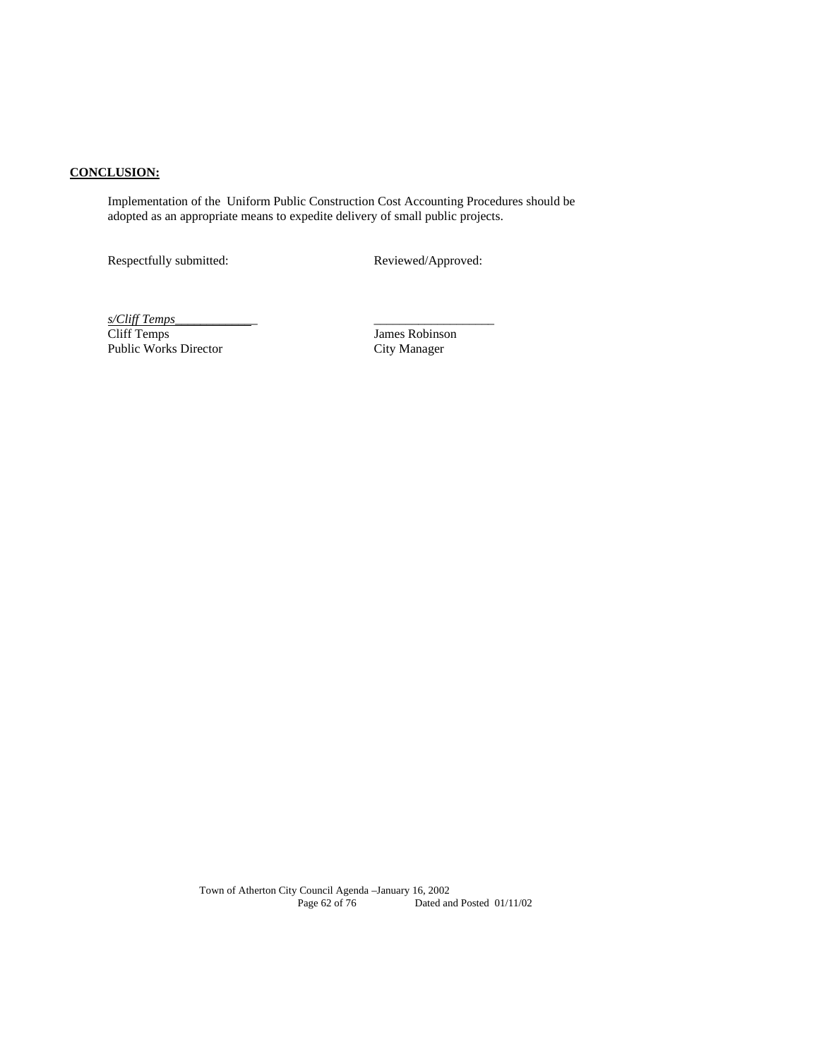# **CONCLUSION:**

Implementation of the Uniform Public Construction Cost Accounting Procedures should be adopted as an appropriate means to expedite delivery of small public projects.

Respectfully submitted: Reviewed/Approved:

*s/Cliff Temps*\_\_\_\_\_\_\_\_\_\_\_\_\_ \_\_\_\_\_\_\_\_\_\_\_\_\_\_\_\_\_\_\_ Public Works Director City Manager

James Robinson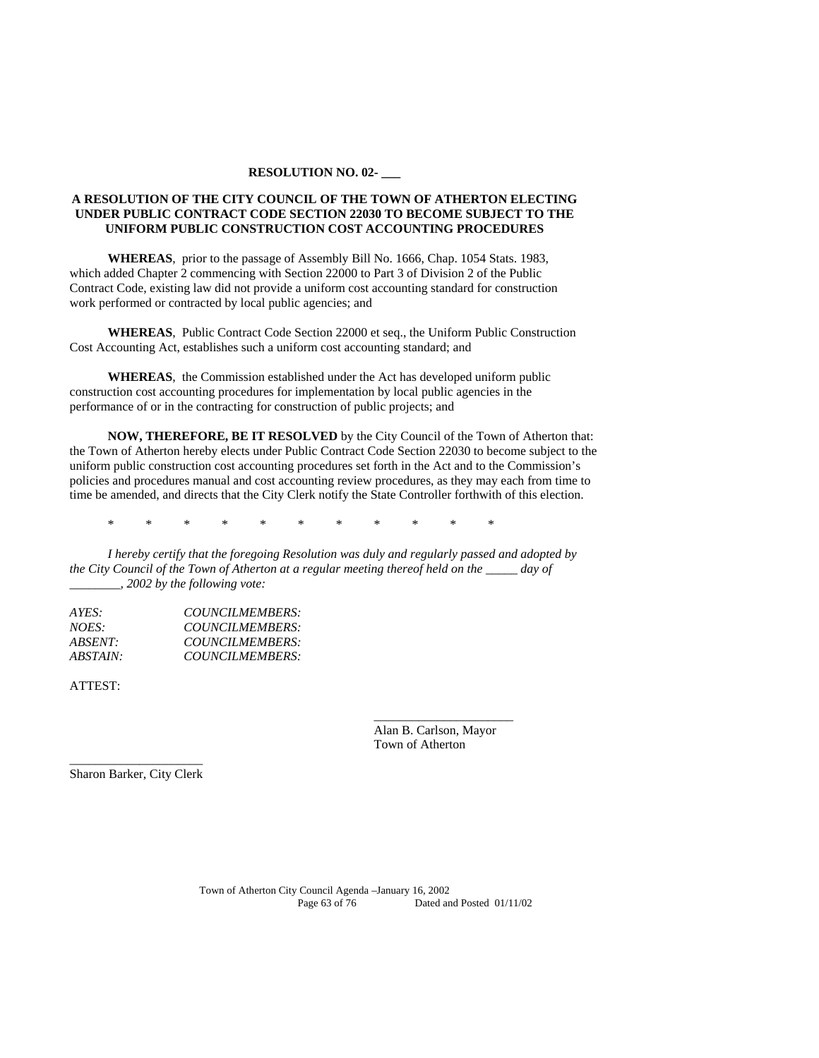#### **RESOLUTION NO. 02- \_\_\_**

## **A RESOLUTION OF THE CITY COUNCIL OF THE TOWN OF ATHERTON ELECTING UNDER PUBLIC CONTRACT CODE SECTION 22030 TO BECOME SUBJECT TO THE UNIFORM PUBLIC CONSTRUCTION COST ACCOUNTING PROCEDURES**

**WHEREAS**, prior to the passage of Assembly Bill No. 1666, Chap. 1054 Stats. 1983, which added Chapter 2 commencing with Section 22000 to Part 3 of Division 2 of the Public Contract Code, existing law did not provide a uniform cost accounting standard for construction work performed or contracted by local public agencies; and

**WHEREAS**, Public Contract Code Section 22000 et seq., the Uniform Public Construction Cost Accounting Act, establishes such a uniform cost accounting standard; and

**WHEREAS**, the Commission established under the Act has developed uniform public construction cost accounting procedures for implementation by local public agencies in the performance of or in the contracting for construction of public projects; and

**NOW, THEREFORE, BE IT RESOLVED** by the City Council of the Town of Atherton that: the Town of Atherton hereby elects under Public Contract Code Section 22030 to become subject to the uniform public construction cost accounting procedures set forth in the Act and to the Commission's policies and procedures manual and cost accounting review procedures, as they may each from time to time be amended, and directs that the City Clerk notify the State Controller forthwith of this election.

\* \* \* \* \* \* \* \* \* \* \*

 $\overline{\phantom{a}}$  , which is a set of the set of the set of the set of the set of the set of the set of the set of the set of the set of the set of the set of the set of the set of the set of the set of the set of the set of th

*I hereby certify that the foregoing Resolution was duly and regularly passed and adopted by the City Council of the Town of Atherton at a regular meeting thereof held on the \_\_\_\_\_ day of \_\_\_\_\_\_\_\_, 2002 by the following vote:* 

| AYES:           | COUNCILMEMBERS: |
|-----------------|-----------------|
| <i>NOES:</i>    | COUNCILMEMBERS: |
| <i>ABSENT:</i>  | COUNCILMEMBERS: |
| <i>ABSTAIN:</i> | COUNCILMEMBERS: |

ATTEST:

 Alan B. Carlson, Mayor Town of Atherton

\_\_\_\_\_\_\_\_\_\_\_\_\_\_\_\_\_\_\_\_\_ Sharon Barker, City Clerk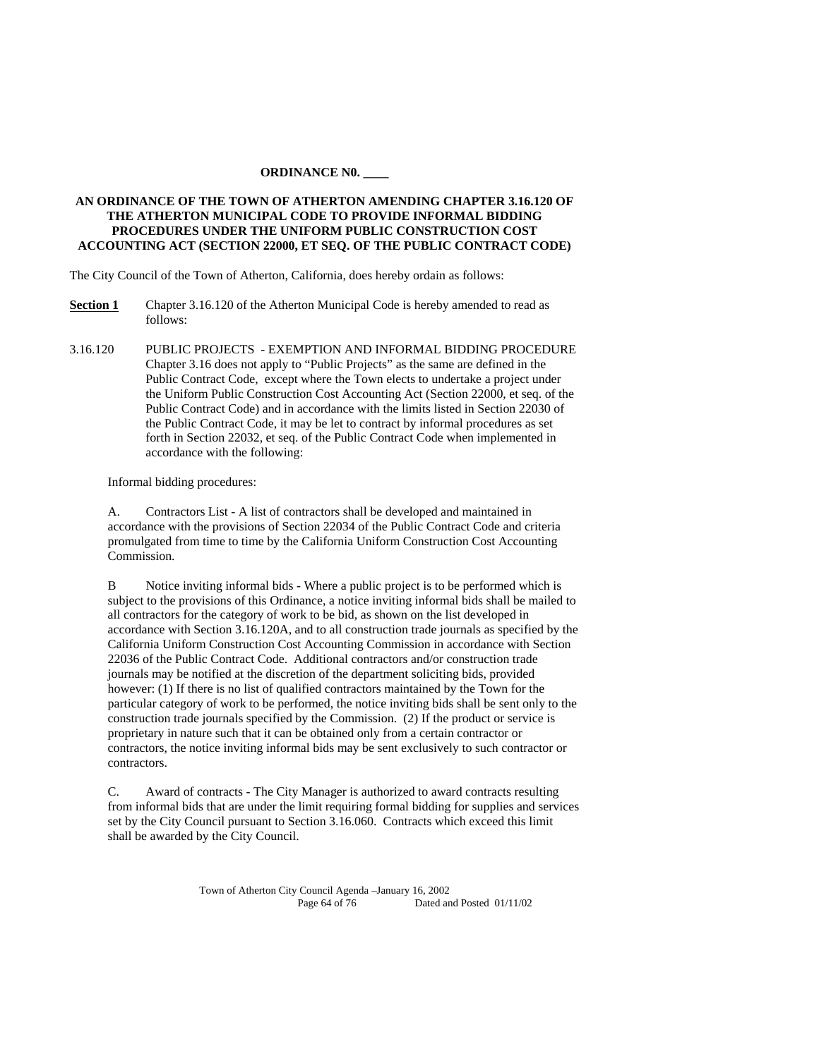#### **ORDINANCE N0. \_\_\_\_**

## **AN ORDINANCE OF THE TOWN OF ATHERTON AMENDING CHAPTER 3.16.120 OF THE ATHERTON MUNICIPAL CODE TO PROVIDE INFORMAL BIDDING PROCEDURES UNDER THE UNIFORM PUBLIC CONSTRUCTION COST ACCOUNTING ACT (SECTION 22000, ET SEQ. OF THE PUBLIC CONTRACT CODE)**

The City Council of the Town of Atherton, California, does hereby ordain as follows:

- **Section 1** Chapter 3.16.120 of the Atherton Municipal Code is hereby amended to read as follows:
- 3.16.120 PUBLIC PROJECTS EXEMPTION AND INFORMAL BIDDING PROCEDURE Chapter 3.16 does not apply to "Public Projects" as the same are defined in the Public Contract Code, except where the Town elects to undertake a project under the Uniform Public Construction Cost Accounting Act (Section 22000, et seq. of the Public Contract Code) and in accordance with the limits listed in Section 22030 of the Public Contract Code, it may be let to contract by informal procedures as set forth in Section 22032, et seq. of the Public Contract Code when implemented in accordance with the following:

Informal bidding procedures:

A. Contractors List - A list of contractors shall be developed and maintained in accordance with the provisions of Section 22034 of the Public Contract Code and criteria promulgated from time to time by the California Uniform Construction Cost Accounting Commission.

B Notice inviting informal bids - Where a public project is to be performed which is subject to the provisions of this Ordinance, a notice inviting informal bids shall be mailed to all contractors for the category of work to be bid, as shown on the list developed in accordance with Section 3.16.120A, and to all construction trade journals as specified by the California Uniform Construction Cost Accounting Commission in accordance with Section 22036 of the Public Contract Code. Additional contractors and/or construction trade journals may be notified at the discretion of the department soliciting bids, provided however: (1) If there is no list of qualified contractors maintained by the Town for the particular category of work to be performed, the notice inviting bids shall be sent only to the construction trade journals specified by the Commission. (2) If the product or service is proprietary in nature such that it can be obtained only from a certain contractor or contractors, the notice inviting informal bids may be sent exclusively to such contractor or contractors.

C. Award of contracts - The City Manager is authorized to award contracts resulting from informal bids that are under the limit requiring formal bidding for supplies and services set by the City Council pursuant to Section 3.16.060. Contracts which exceed this limit shall be awarded by the City Council.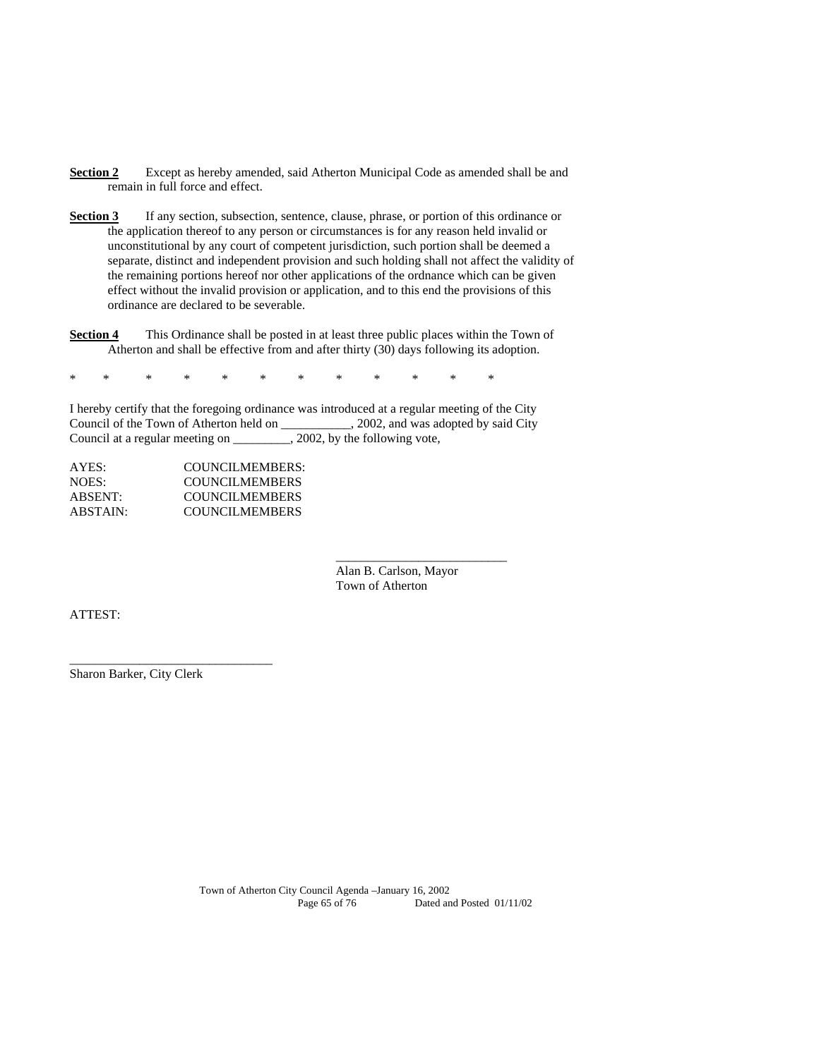- **Section 2** Except as hereby amended, said Atherton Municipal Code as amended shall be and remain in full force and effect.
- **Section 3** If any section, subsection, sentence, clause, phrase, or portion of this ordinance or the application thereof to any person or circumstances is for any reason held invalid or unconstitutional by any court of competent jurisdiction, such portion shall be deemed a separate, distinct and independent provision and such holding shall not affect the validity of the remaining portions hereof nor other applications of the ordnance which can be given effect without the invalid provision or application, and to this end the provisions of this ordinance are declared to be severable.
- **Section 4** This Ordinance shall be posted in at least three public places within the Town of Atherton and shall be effective from and after thirty (30) days following its adoption.

\* \* \* \* \* \* \* \* \* \* \* \*

I hereby certify that the foregoing ordinance was introduced at a regular meeting of the City Council of the Town of Atherton held on \_\_\_\_\_\_\_\_\_\_\_, 2002, and was adopted by said City Council at a regular meeting on \_\_\_\_\_\_\_\_\_, 2002, by the following vote,

\_\_\_\_\_\_\_\_\_\_\_\_\_\_\_\_\_\_\_\_\_\_\_\_\_\_\_

| COUNCILMEMBERS:       |
|-----------------------|
| <b>COUNCILMEMBERS</b> |
| <b>COUNCILMEMBERS</b> |
| <b>COUNCILMEMBERS</b> |
|                       |

 Alan B. Carlson, Mayor Town of Atherton

ATTEST:

Sharon Barker, City Clerk

\_\_\_\_\_\_\_\_\_\_\_\_\_\_\_\_\_\_\_\_\_\_\_\_\_\_\_\_\_\_\_\_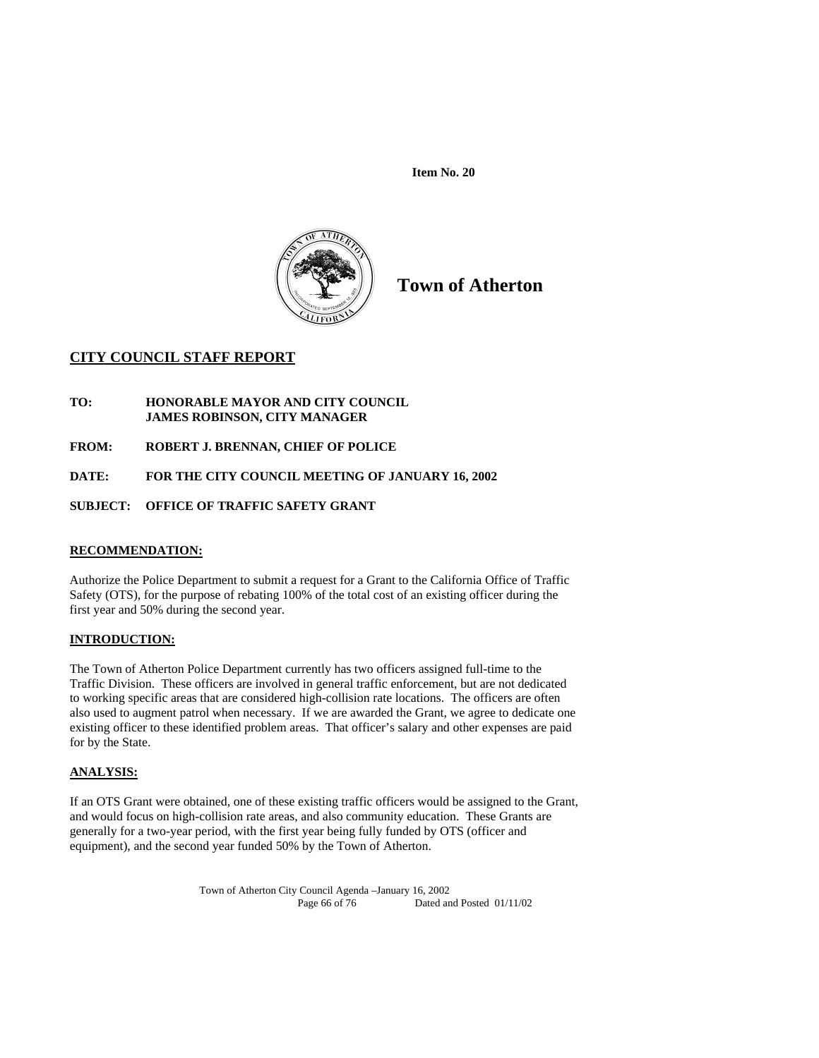

**Town of Atherton** 

# **CITY COUNCIL STAFF REPORT**

- **TO: HONORABLE MAYOR AND CITY COUNCIL JAMES ROBINSON, CITY MANAGER**
- **FROM: ROBERT J. BRENNAN, CHIEF OF POLICE**

# **DATE: FOR THE CITY COUNCIL MEETING OF JANUARY 16, 2002**

# **SUBJECT: OFFICE OF TRAFFIC SAFETY GRANT**

# **RECOMMENDATION:**

Authorize the Police Department to submit a request for a Grant to the California Office of Traffic Safety (OTS), for the purpose of rebating 100% of the total cost of an existing officer during the first year and 50% during the second year.

# **INTRODUCTION:**

The Town of Atherton Police Department currently has two officers assigned full-time to the Traffic Division. These officers are involved in general traffic enforcement, but are not dedicated to working specific areas that are considered high-collision rate locations. The officers are often also used to augment patrol when necessary. If we are awarded the Grant, we agree to dedicate one existing officer to these identified problem areas. That officer's salary and other expenses are paid for by the State.

# **ANALYSIS:**

If an OTS Grant were obtained, one of these existing traffic officers would be assigned to the Grant, and would focus on high-collision rate areas, and also community education. These Grants are generally for a two-year period, with the first year being fully funded by OTS (officer and equipment), and the second year funded 50% by the Town of Atherton.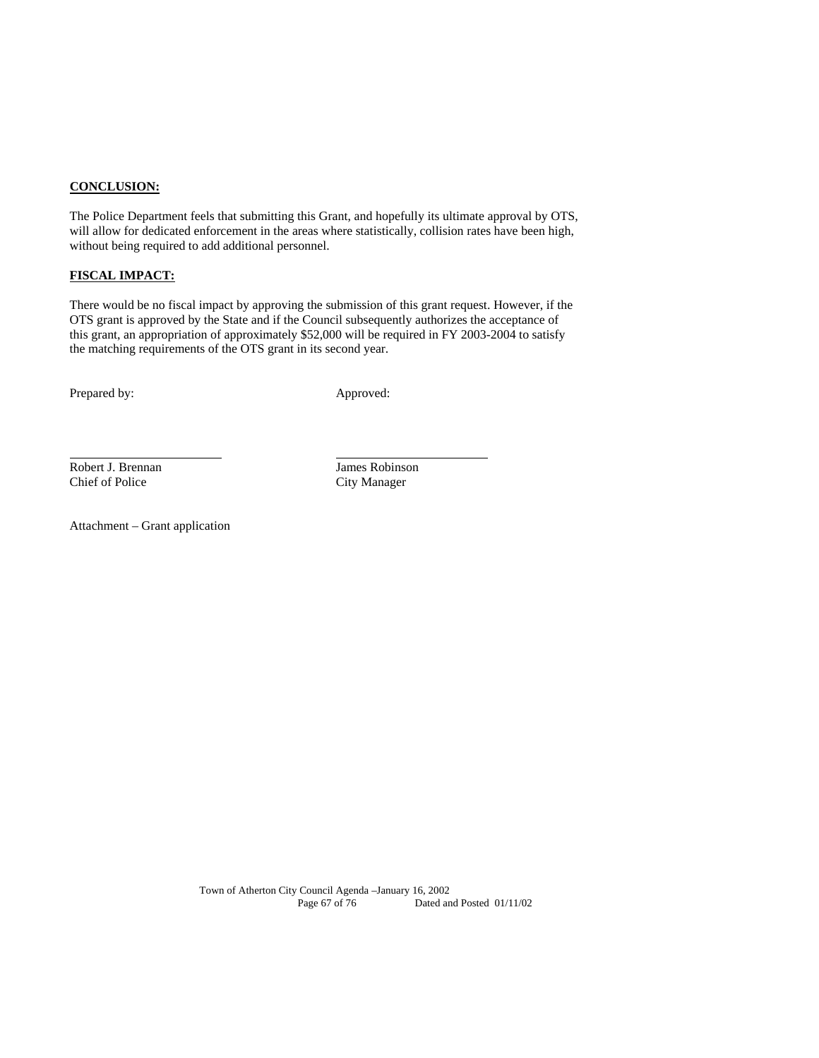#### **CONCLUSION:**

The Police Department feels that submitting this Grant, and hopefully its ultimate approval by OTS, will allow for dedicated enforcement in the areas where statistically, collision rates have been high, without being required to add additional personnel.

# **FISCAL IMPACT:**

There would be no fiscal impact by approving the submission of this grant request. However, if the OTS grant is approved by the State and if the Council subsequently authorizes the acceptance of this grant, an appropriation of approximately \$52,000 will be required in FY 2003-2004 to satisfy the matching requirements of the OTS grant in its second year.

Prepared by: Approved:

l

Robert J. Brennan Maria James Robinson<br>
Chief of Police City Manager

City Manager

Attachment – Grant application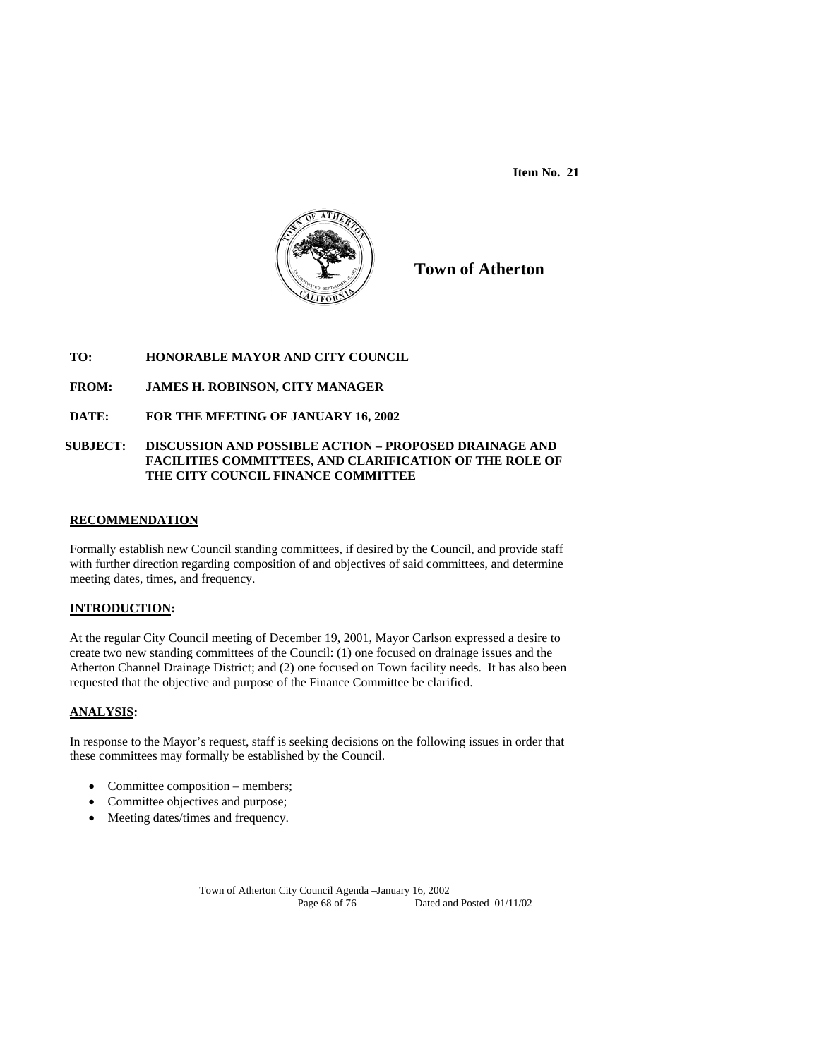

**Town of Atherton**

# **TO: HONORABLE MAYOR AND CITY COUNCIL**

# **FROM: JAMES H. ROBINSON, CITY MANAGER**

# **DATE: FOR THE MEETING OF JANUARY 16, 2002**

#### **SUBJECT: DISCUSSION AND POSSIBLE ACTION – PROPOSED DRAINAGE AND FACILITIES COMMITTEES, AND CLARIFICATION OF THE ROLE OF THE CITY COUNCIL FINANCE COMMITTEE**

#### **RECOMMENDATION**

Formally establish new Council standing committees, if desired by the Council, and provide staff with further direction regarding composition of and objectives of said committees, and determine meeting dates, times, and frequency.

#### **INTRODUCTION:**

At the regular City Council meeting of December 19, 2001, Mayor Carlson expressed a desire to create two new standing committees of the Council: (1) one focused on drainage issues and the Atherton Channel Drainage District; and (2) one focused on Town facility needs. It has also been requested that the objective and purpose of the Finance Committee be clarified.

#### **ANALYSIS:**

In response to the Mayor's request, staff is seeking decisions on the following issues in order that these committees may formally be established by the Council.

- Committee composition members;
- Committee objectives and purpose;
- Meeting dates/times and frequency.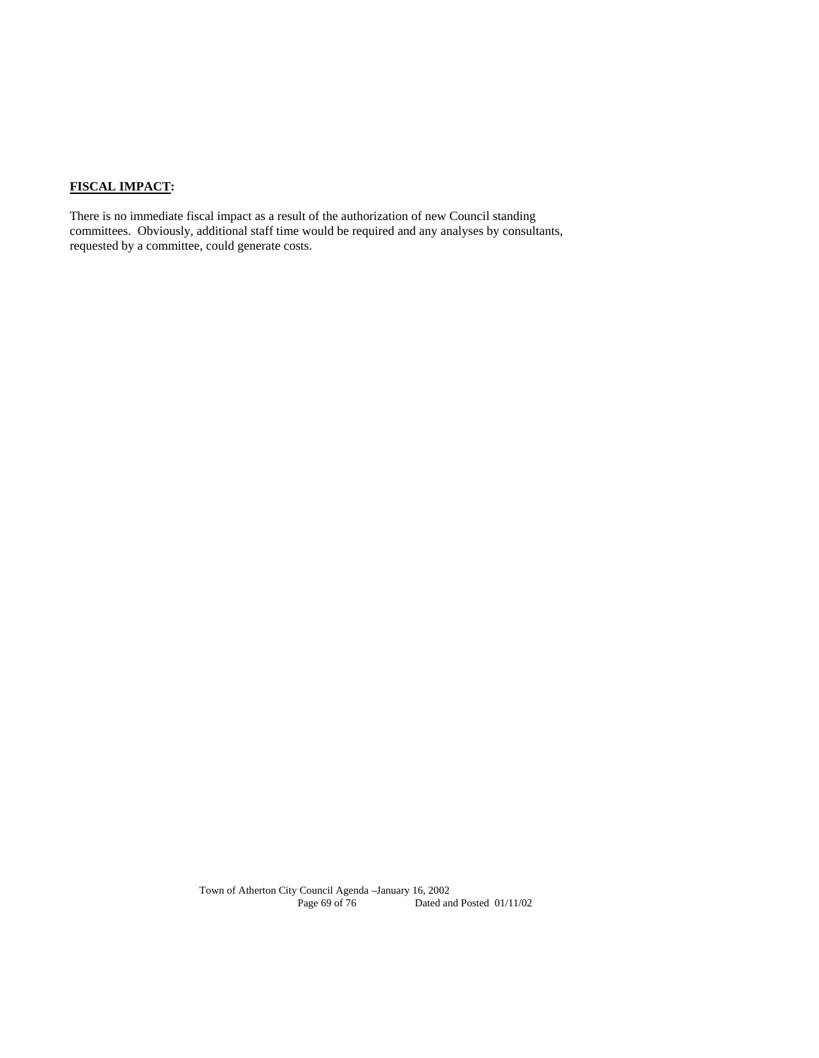# **FISCAL IMPACT:**

There is no immediate fiscal impact as a result of the authorization of new Council standing committees. Obviously, additional staff time would be required and any analyses by consultants, requested by a committee, could generate costs.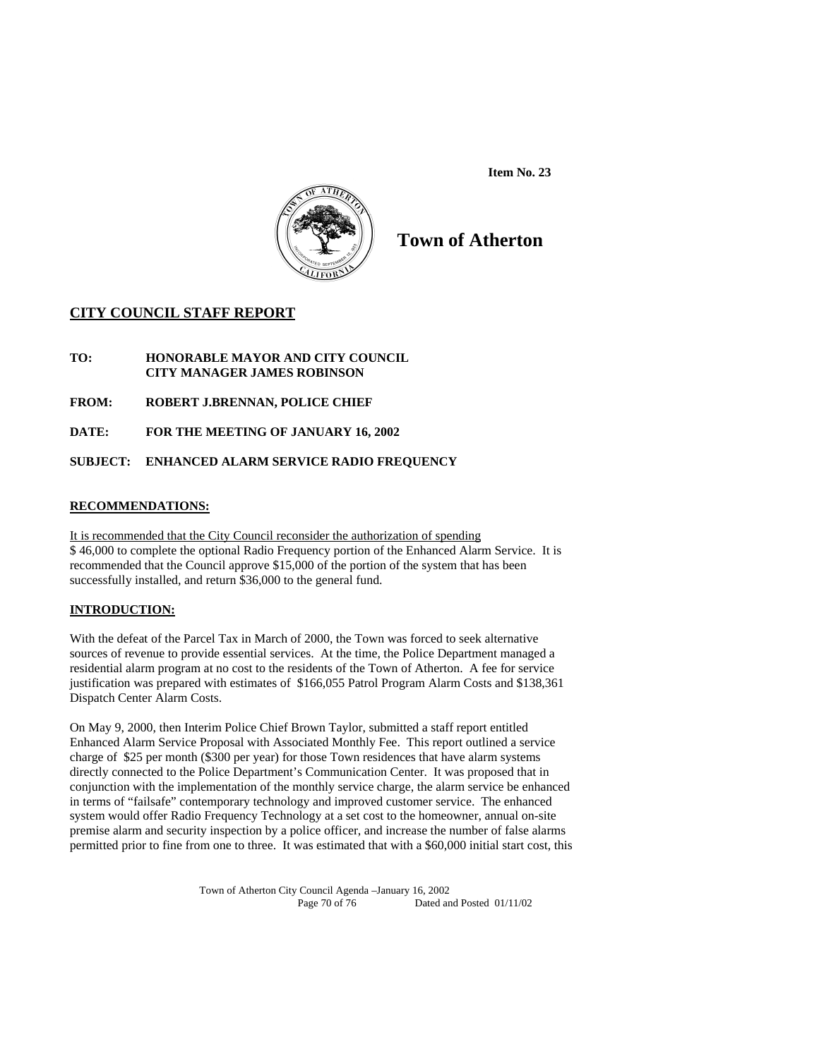

# **Town of Atherton**

# **CITY COUNCIL STAFF REPORT**

- **TO: HONORABLE MAYOR AND CITY COUNCIL CITY MANAGER JAMES ROBINSON**
- **FROM: ROBERT J.BRENNAN, POLICE CHIEF**
- **DATE: FOR THE MEETING OF JANUARY 16, 2002**

# **SUBJECT: ENHANCED ALARM SERVICE RADIO FREQUENCY**

# **RECOMMENDATIONS:**

It is recommended that the City Council reconsider the authorization of spending \$ 46,000 to complete the optional Radio Frequency portion of the Enhanced Alarm Service. It is recommended that the Council approve \$15,000 of the portion of the system that has been successfully installed, and return \$36,000 to the general fund.

# **INTRODUCTION:**

With the defeat of the Parcel Tax in March of 2000, the Town was forced to seek alternative sources of revenue to provide essential services. At the time, the Police Department managed a residential alarm program at no cost to the residents of the Town of Atherton. A fee for service justification was prepared with estimates of \$166,055 Patrol Program Alarm Costs and \$138,361 Dispatch Center Alarm Costs.

On May 9, 2000, then Interim Police Chief Brown Taylor, submitted a staff report entitled Enhanced Alarm Service Proposal with Associated Monthly Fee. This report outlined a service charge of \$25 per month (\$300 per year) for those Town residences that have alarm systems directly connected to the Police Department's Communication Center. It was proposed that in conjunction with the implementation of the monthly service charge, the alarm service be enhanced in terms of "failsafe" contemporary technology and improved customer service. The enhanced system would offer Radio Frequency Technology at a set cost to the homeowner, annual on-site premise alarm and security inspection by a police officer, and increase the number of false alarms permitted prior to fine from one to three. It was estimated that with a \$60,000 initial start cost, this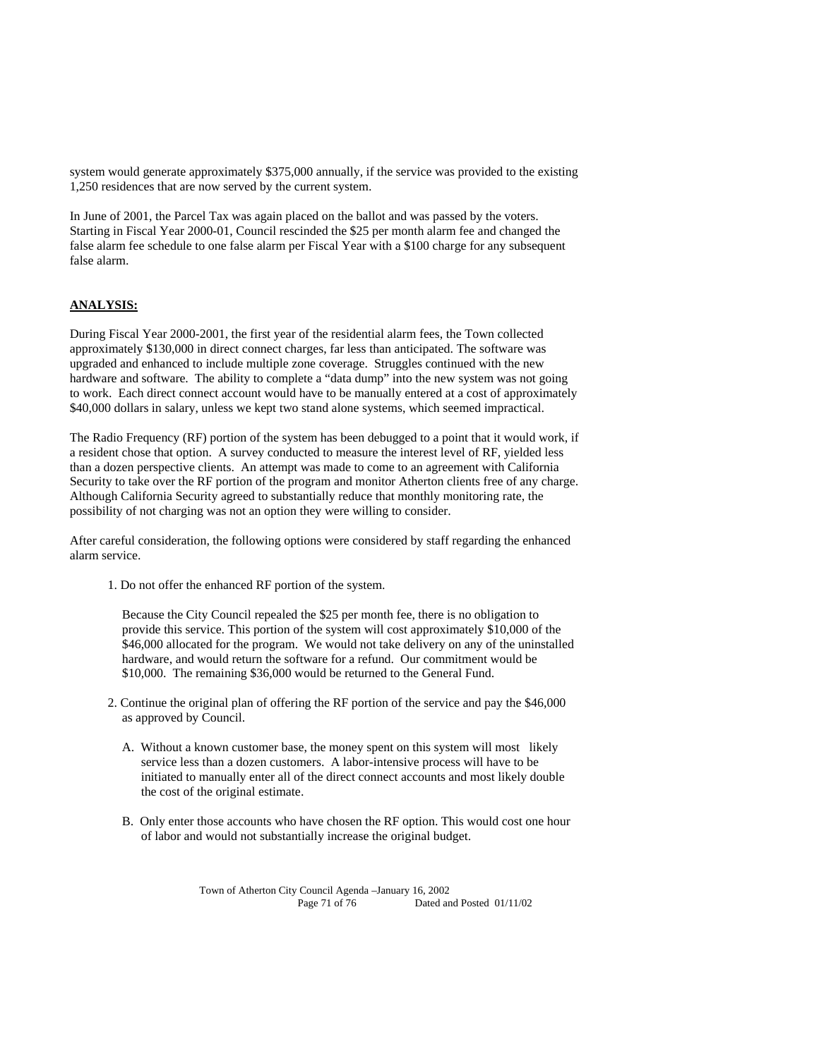system would generate approximately \$375,000 annually, if the service was provided to the existing 1,250 residences that are now served by the current system.

In June of 2001, the Parcel Tax was again placed on the ballot and was passed by the voters. Starting in Fiscal Year 2000-01, Council rescinded the \$25 per month alarm fee and changed the false alarm fee schedule to one false alarm per Fiscal Year with a \$100 charge for any subsequent false alarm.

# **ANALYSIS:**

During Fiscal Year 2000-2001, the first year of the residential alarm fees, the Town collected approximately \$130,000 in direct connect charges, far less than anticipated. The software was upgraded and enhanced to include multiple zone coverage. Struggles continued with the new hardware and software. The ability to complete a "data dump" into the new system was not going to work. Each direct connect account would have to be manually entered at a cost of approximately \$40,000 dollars in salary, unless we kept two stand alone systems, which seemed impractical.

The Radio Frequency (RF) portion of the system has been debugged to a point that it would work, if a resident chose that option. A survey conducted to measure the interest level of RF, yielded less than a dozen perspective clients. An attempt was made to come to an agreement with California Security to take over the RF portion of the program and monitor Atherton clients free of any charge. Although California Security agreed to substantially reduce that monthly monitoring rate, the possibility of not charging was not an option they were willing to consider.

After careful consideration, the following options were considered by staff regarding the enhanced alarm service.

1. Do not offer the enhanced RF portion of the system.

Because the City Council repealed the \$25 per month fee, there is no obligation to provide this service. This portion of the system will cost approximately \$10,000 of the \$46,000 allocated for the program. We would not take delivery on any of the uninstalled hardware, and would return the software for a refund. Our commitment would be \$10,000. The remaining \$36,000 would be returned to the General Fund.

- 2. Continue the original plan of offering the RF portion of the service and pay the \$46,000 as approved by Council.
	- A. Without a known customer base, the money spent on this system will most likely service less than a dozen customers. A labor-intensive process will have to be initiated to manually enter all of the direct connect accounts and most likely double the cost of the original estimate.
	- B. Only enter those accounts who have chosen the RF option. This would cost one hour of labor and would not substantially increase the original budget.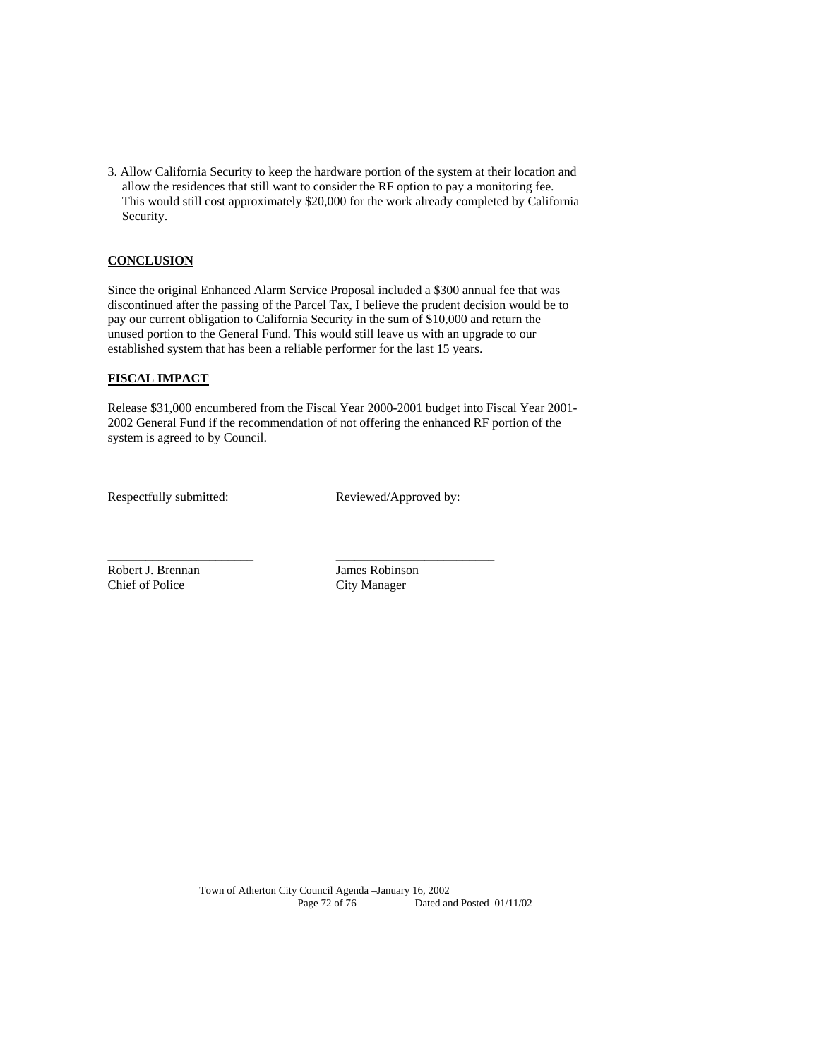3. Allow California Security to keep the hardware portion of the system at their location and allow the residences that still want to consider the RF option to pay a monitoring fee. This would still cost approximately \$20,000 for the work already completed by California Security.

# **CONCLUSION**

Since the original Enhanced Alarm Service Proposal included a \$300 annual fee that was discontinued after the passing of the Parcel Tax, I believe the prudent decision would be to pay our current obligation to California Security in the sum of \$10,000 and return the unused portion to the General Fund. This would still leave us with an upgrade to our established system that has been a reliable performer for the last 15 years.

# **FISCAL IMPACT**

Release \$31,000 encumbered from the Fiscal Year 2000-2001 budget into Fiscal Year 2001- 2002 General Fund if the recommendation of not offering the enhanced RF portion of the system is agreed to by Council.

\_\_\_\_\_\_\_\_\_\_\_\_\_\_\_\_\_\_\_\_\_\_\_ \_\_\_\_\_\_\_\_\_\_\_\_\_\_\_\_\_\_\_\_\_\_\_\_\_

Respectfully submitted: Reviewed/Approved by:

Robert J. Brennan James Robinson Chief of Police City Manager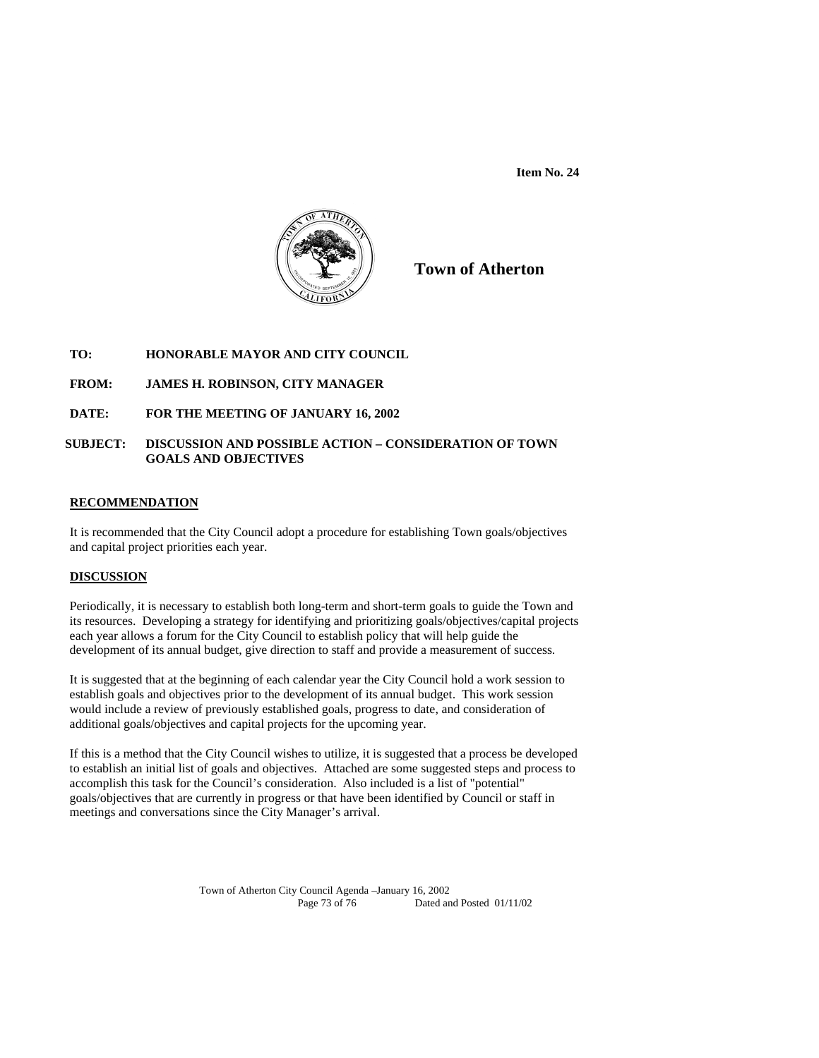**Item No. 24** 



**Town of Atherton**

# **TO: HONORABLE MAYOR AND CITY COUNCIL**

# **FROM: JAMES H. ROBINSON, CITY MANAGER**

# **DATE: FOR THE MEETING OF JANUARY 16, 2002**

# **SUBJECT: DISCUSSION AND POSSIBLE ACTION – CONSIDERATION OF TOWN GOALS AND OBJECTIVES**

#### **RECOMMENDATION**

It is recommended that the City Council adopt a procedure for establishing Town goals/objectives and capital project priorities each year.

# **DISCUSSION**

Periodically, it is necessary to establish both long-term and short-term goals to guide the Town and its resources. Developing a strategy for identifying and prioritizing goals/objectives/capital projects each year allows a forum for the City Council to establish policy that will help guide the development of its annual budget, give direction to staff and provide a measurement of success.

It is suggested that at the beginning of each calendar year the City Council hold a work session to establish goals and objectives prior to the development of its annual budget. This work session would include a review of previously established goals, progress to date, and consideration of additional goals/objectives and capital projects for the upcoming year.

If this is a method that the City Council wishes to utilize, it is suggested that a process be developed to establish an initial list of goals and objectives. Attached are some suggested steps and process to accomplish this task for the Council's consideration. Also included is a list of "potential" goals/objectives that are currently in progress or that have been identified by Council or staff in meetings and conversations since the City Manager's arrival.

> Town of Atherton City Council Agenda –January 16, 2002 Page 73 of 76 Dated and Posted 01/11/02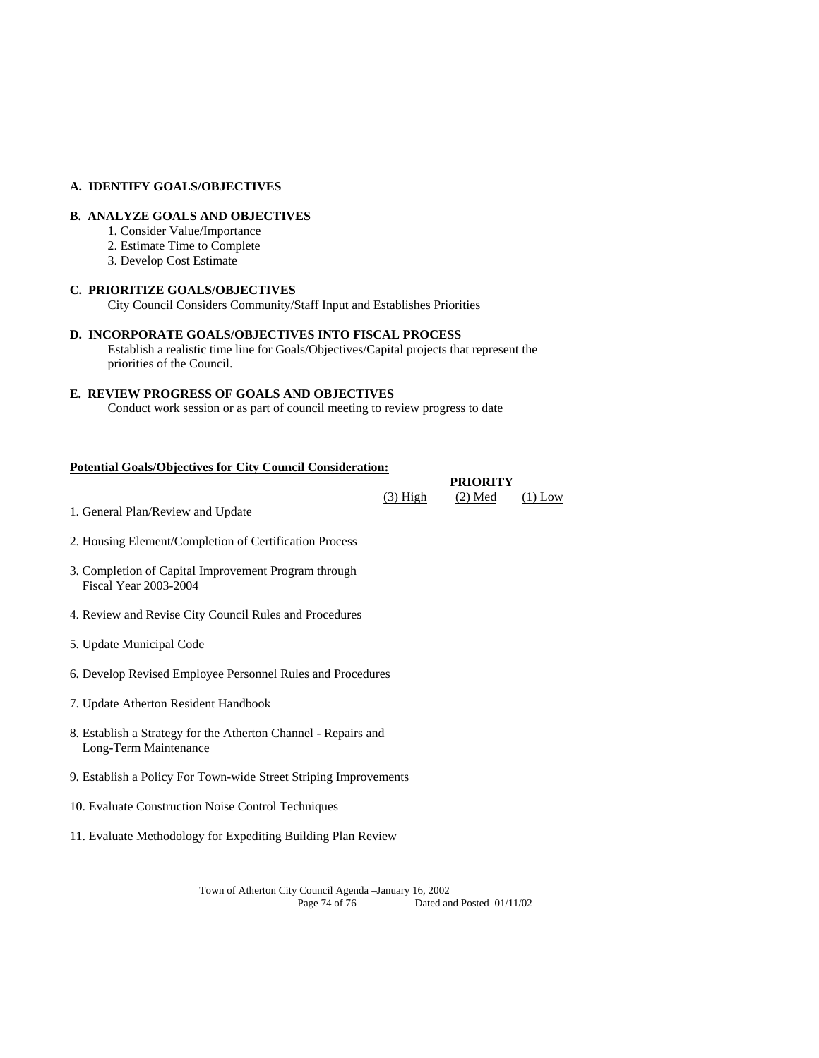## **A. IDENTIFY GOALS/OBJECTIVES**

# **B. ANALYZE GOALS AND OBJECTIVES**

- 1. Consider Value/Importance
- 2. Estimate Time to Complete
- 3. Develop Cost Estimate

#### **C. PRIORITIZE GOALS/OBJECTIVES**

City Council Considers Community/Staff Input and Establishes Priorities

## **D. INCORPORATE GOALS/OBJECTIVES INTO FISCAL PROCESS**

Establish a realistic time line for Goals/Objectives/Capital projects that represent the priorities of the Council.

### **E. REVIEW PROGRESS OF GOALS AND OBJECTIVES**

Conduct work session or as part of council meeting to review progress to date

 $(3) High \t(2) Med \t(1) Low$ 

## **Potential Goals/Objectives for City Council Consideration:**

**PRIORITY** 

1. General Plan/Review and Update

- 2. Housing Element/Completion of Certification Process
- 3. Completion of Capital Improvement Program through Fiscal Year 2003-2004
- 4. Review and Revise City Council Rules and Procedures
- 5. Update Municipal Code
- 6. Develop Revised Employee Personnel Rules and Procedures
- 7. Update Atherton Resident Handbook
- 8. Establish a Strategy for the Atherton Channel Repairs and Long-Term Maintenance
- 9. Establish a Policy For Town-wide Street Striping Improvements
- 10. Evaluate Construction Noise Control Techniques
- 11. Evaluate Methodology for Expediting Building Plan Review

Town of Atherton City Council Agenda –January 16, 2002 Dated and Posted 01/11/02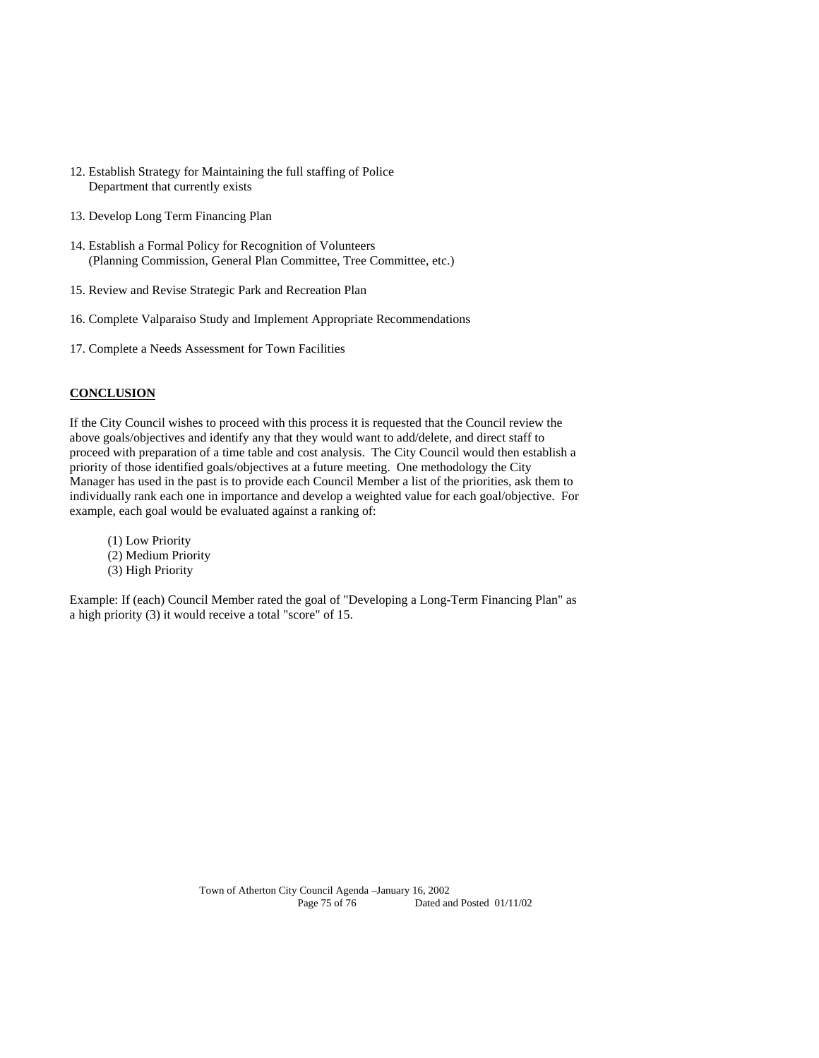- 12. Establish Strategy for Maintaining the full staffing of Police Department that currently exists
- 13. Develop Long Term Financing Plan
- 14. Establish a Formal Policy for Recognition of Volunteers (Planning Commission, General Plan Committee, Tree Committee, etc.)
- 15. Review and Revise Strategic Park and Recreation Plan
- 16. Complete Valparaiso Study and Implement Appropriate Recommendations
- 17. Complete a Needs Assessment for Town Facilities

## **CONCLUSION**

If the City Council wishes to proceed with this process it is requested that the Council review the above goals/objectives and identify any that they would want to add/delete, and direct staff to proceed with preparation of a time table and cost analysis. The City Council would then establish a priority of those identified goals/objectives at a future meeting. One methodology the City Manager has used in the past is to provide each Council Member a list of the priorities, ask them to individually rank each one in importance and develop a weighted value for each goal/objective. For example, each goal would be evaluated against a ranking of:

(1) Low Priority (2) Medium Priority (3) High Priority

Example: If (each) Council Member rated the goal of "Developing a Long-Term Financing Plan" as a high priority (3) it would receive a total "score" of 15.